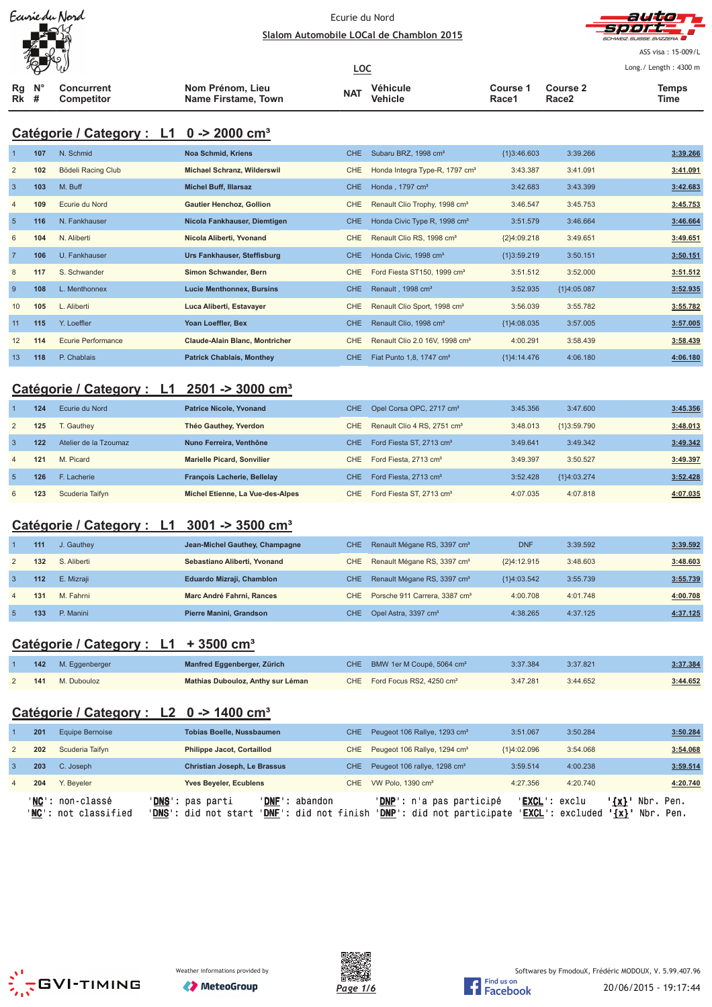



ASS visa: 15-009/L Lo ng./ Length: 4300 m

| $\infty$ w                      |  |                          |                                         | <u>LOC</u> |                     | Long./ Length: 4300 r |                                      |               |
|---------------------------------|--|--------------------------|-----------------------------------------|------------|---------------------|-----------------------|--------------------------------------|---------------|
| $Ra$ $N^{\circ}$<br><b>Rk</b> # |  | Concurrent<br>Competitor | Nom Prénom, Lieu<br>Name Firstame, Town | <b>NAT</b> | Véhicule<br>Vehicle | Course 1<br>Race1     | <b>Course 2</b><br>Race <sub>2</sub> | Temps<br>Time |

# **Catégorie / Category : L1 0 -> 2000 cm³**

| $\overline{1}$ | 107 | N. Schmid          | <b>Noa Schmid, Kriens</b>             | CHE.       | Subaru BRZ, 1998 cm <sup>3</sup>           | ${1}3:46.603$ | 3:39.266      | 3:39.266 |
|----------------|-----|--------------------|---------------------------------------|------------|--------------------------------------------|---------------|---------------|----------|
| $\overline{2}$ | 102 | Bödeli Racing Club | <b>Michael Schranz, Wilderswil</b>    | <b>CHE</b> | Honda Integra Type-R, 1797 cm <sup>3</sup> | 3:43.387      | 3:41.091      | 3:41.091 |
| $\overline{3}$ | 103 | M. Buff            | <b>Michel Buff, Illarsaz</b>          | <b>CHE</b> | Honda, 1797 cm <sup>3</sup>                | 3:42.683      | 3:43.399      | 3:42.683 |
| 4              | 109 | Ecurie du Nord     | <b>Gautier Henchoz, Gollion</b>       | CHE        | Renault Clio Trophy, 1998 cm <sup>3</sup>  | 3:46.547      | 3:45.753      | 3:45.753 |
| 5              | 116 | N. Fankhauser      | Nicola Fankhauser, Diemtigen          | CHE.       | Honda Civic Type R, 1998 cm <sup>3</sup>   | 3:51.579      | 3:46.664      | 3:46.664 |
| 6              | 104 | N. Aliberti        | Nicola Aliberti, Yvonand              | <b>CHE</b> | Renault Clio RS, 1998 cm <sup>3</sup>      | ${2}4:09.218$ | 3:49.651      | 3:49.651 |
| $\overline{7}$ | 106 | U. Fankhauser      | Urs Fankhauser, Steffisburg           | <b>CHE</b> | Honda Civic, 1998 cm <sup>3</sup>          | ${1}3:59.219$ | 3:50.151      | 3:50.151 |
| 8              | 117 | S. Schwander       | Simon Schwander, Bern                 | <b>CHE</b> | Ford Fiesta ST150, 1999 cm <sup>3</sup>    | 3:51.512      | 3:52.000      | 3:51.512 |
| 9              | 108 | L. Menthonnex      | <b>Lucie Menthonnex, Bursins</b>      | CHE        | Renault, 1998 cm <sup>3</sup>              | 3:52.935      | ${1}4:05.087$ | 3:52.935 |
| 10             | 105 | L. Aliberti        | Luca Aliberti, Estavayer              | <b>CHE</b> | Renault Clio Sport, 1998 cm <sup>3</sup>   | 3:56.039      | 3:55.782      | 3:55.782 |
| 11             | 115 | Y. Loeffler        | Yoan Loeffler, Bex                    | CHE        | Renault Clio, 1998 cm <sup>3</sup>         | ${1}4:08.035$ | 3:57.005      | 3:57.005 |
| 12             | 114 | Ecurie Performance | <b>Claude-Alain Blanc, Montricher</b> | CHE        | Renault Clio 2.0 16V, 1998 cm <sup>3</sup> | 4:00.291      | 3:58.439      | 3:58.439 |
| 13             | 118 | P. Chablais        | <b>Patrick Chablais, Monthey</b>      | CHE        | Fiat Punto 1,8, 1747 cm <sup>3</sup>       | ${1}4:14.476$ | 4:06.180      | 4:06.180 |

# **Catégorie / Category : L1 2501 -> 3000 cm³**

|                | 124 | Ecurie du Nord        | <b>Patrice Nicole, Yvonand</b>     | CHE. | Opel Corsa OPC, 2717 cm <sup>3</sup>    | 3:45.356 | 3:47.600    | 3:45.356 |
|----------------|-----|-----------------------|------------------------------------|------|-----------------------------------------|----------|-------------|----------|
| 2              | 125 | . Gauthev             | Théo Gauthey, Yverdon              | CHE  | Renault Clio 4 RS, 2751 cm <sup>3</sup> | 3:48.013 | {1}3:59.790 | 3:48.013 |
| 3              | 122 | Atelier de la Tzoumaz | Nuno Ferreira. Venthône            | CHE  | Ford Fiesta ST, 2713 cm <sup>3</sup>    | 3:49.641 | 3:49.342    | 3:49.342 |
| $\overline{4}$ | 121 | M. Picard             | <b>Marielle Picard, Sonvilier</b>  | CHE  | Ford Fiesta, 2713 cm <sup>3</sup>       | 3:49.397 | 3:50.527    | 3:49.397 |
| $\overline{5}$ | 126 | F. Lacherie           | <b>François Lacherie, Bellelay</b> | CHE  | Ford Fiesta, 2713 cm <sup>3</sup>       | 3:52.428 | {1}4:03.274 | 3:52.428 |
| 6              | 123 | Scuderia Taifyn       | Michel Etienne, La Vue-des-Alpes   | CHE. | Ford Fiesta ST, 2713 cm <sup>3</sup>    | 4:07.035 | 4:07.818    | 4:07.035 |

### **Catégorie / Category : L1 3001 -> 3500 cm³**

|                | 111 | J. Gauthey  | Jean-Michel Gauthey, Champagne | <b>CHE</b> | Renault Mégane RS, 3397 cm <sup>3</sup>       | <b>DNF</b>    | 3:39.592 | 3:39.592 |
|----------------|-----|-------------|--------------------------------|------------|-----------------------------------------------|---------------|----------|----------|
| 2              | 132 | S. Aliberti | Sebastiano Aliberti, Yvonand   | CHE        | Renault Mégane RS, 3397 cm <sup>3</sup>       | ${2}4:12.915$ | 3:48.603 | 3:48.603 |
|                | 112 | E. Mizraii  | Eduardo Mizraji, Chamblon      | <b>CHE</b> | Renault Mégane RS, 3397 cm <sup>3</sup>       | ${1}4:03.542$ | 3:55.739 | 3:55.739 |
| $\overline{4}$ | 131 | M. Fahrni   | Marc André Fahrni, Rances      |            | CHE Porsche 911 Carrera, 3387 cm <sup>3</sup> | 4:00.708      | 4:01.748 | 4:00.708 |
|                | 133 | P. Manini   | Pierre Manini, Grandson        |            | CHE Opel Astra, 3397 cm <sup>3</sup>          | 4:38.265      | 4:37.125 | 4:37.125 |

#### **Catégorie / Category : L1 + 3500 cm³**

|     | <b>142</b> M. Eggenberger | Manfred Eggenberger, Zürich       | CHE BMW 1er M Coupé, 5064 cm <sup>3</sup> | 3:37.384 | 3:37.821 | 3:37.384 |
|-----|---------------------------|-----------------------------------|-------------------------------------------|----------|----------|----------|
| 141 | M. Dubouloz               | Mathias Dubouloz, Anthy sur Léman | CHE Ford Focus RS2, 4250 cm <sup>3</sup>  | 3:47.281 | 3:44.652 | 3:44.652 |

# **Catégorie / Category : L2 0 -> 1400 cm³**

|                | 201 | Equipe Bernoise                                   | <b>Tobias Boelle, Nussbaumen</b>                  |                                         | CHE - | Peugeot 106 Rallye, 1293 cm <sup>3</sup>                        | 3:51.067      | 3:50.284                                            |                        |                        | 3:50.284 |
|----------------|-----|---------------------------------------------------|---------------------------------------------------|-----------------------------------------|-------|-----------------------------------------------------------------|---------------|-----------------------------------------------------|------------------------|------------------------|----------|
| 2              | 202 | Scuderia Taifyn                                   | <b>Philippe Jacot, Cortaillod</b>                 |                                         |       | CHE Peugeot 106 Rallye, 1294 cm <sup>3</sup>                    | ${1}4:02.096$ | 3:54.068                                            |                        |                        | 3:54.068 |
|                | 203 | C. Joseph                                         | <b>Christian Joseph, Le Brassus</b>               |                                         | CHE - | Peugeot 106 rallye, 1298 cm <sup>3</sup>                        | 3:59.514      | 4:00.238                                            |                        |                        | 3:59.514 |
| $\overline{4}$ | 204 | Y. Beveler                                        | <b>Yves Beyeler, Ecublens</b>                     |                                         |       | CHE VW Polo, 1390 cm <sup>3</sup>                               | 4:27.356      | 4:20.740                                            |                        |                        | 4:20.740 |
|                |     | ' <b>NC</b> ': non-classé<br>'NC': not classified | ' <b>DNS</b> ': pas parti<br>'DNS': did not start | 'DNF': abandon<br>'DNF': did not finish |       | ' <b>DNP</b> ': n'a pas participé<br>'DNP': did not participate |               | ' <b>EXCL</b> ': exclu<br>' <b>EXCL</b> ': excluded | $'$ {x} $'$<br>$\{x\}$ | Nbr. Pen.<br>Nbr. Pen. |          |





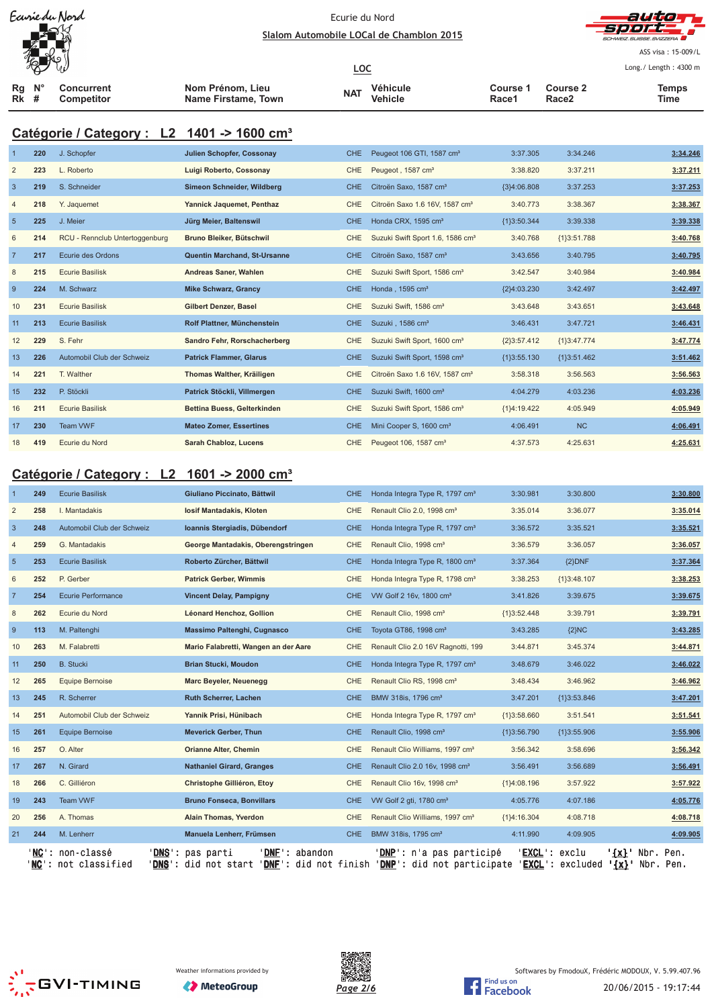



ASS visa: 15-009/L Lo ng./ Length: 4300 m

| $\sqrt[3]{2}$ |                   |                     | <u>LOC</u> |          |          |                 | Long./ Length: 4300 r |
|---------------|-------------------|---------------------|------------|----------|----------|-----------------|-----------------------|
| Ra N°         | Concurrent        | Nom Prénom, Lieu    | <b>NAT</b> | Véhicule | Course 1 | <b>Course 2</b> | Temps                 |
| Rk #          | <b>Competitor</b> | Name Firstame, Town |            | Vehicle  | Race1    | Race2           | Time                  |

# **Catégorie / Category : L2 1401 -> 1600 cm³**

|                | 220 | J. Schopfer                    | <b>Julien Schopfer, Cossonay</b> | CHE.       | Peugeot 106 GTI, 1587 cm <sup>3</sup>        | 3:37.305      | 3:34.246      | 3:34.246 |
|----------------|-----|--------------------------------|----------------------------------|------------|----------------------------------------------|---------------|---------------|----------|
| $\overline{2}$ | 223 | L. Roberto                     | Luigi Roberto, Cossonay          | <b>CHE</b> | Peugeot, 1587 cm <sup>3</sup>                | 3:38.820      | 3:37.211      | 3:37.211 |
| $\overline{3}$ | 219 | S. Schneider                   | Simeon Schneider, Wildberg       | <b>CHE</b> | Citroën Saxo, 1587 cm <sup>3</sup>           | ${3}4:06.808$ | 3:37.253      | 3:37.253 |
| $\overline{4}$ | 218 | Y. Jaquemet                    | Yannick Jaquemet, Penthaz        | <b>CHE</b> | Citroën Saxo 1.6 16V, 1587 cm <sup>3</sup>   | 3:40.773      | 3:38.367      | 3:38.367 |
| 5              | 225 | J. Meier                       | Jürg Meier, Baltenswil           | <b>CHE</b> | Honda CRX, 1595 cm <sup>3</sup>              | ${1}3:50.344$ | 3:39.338      | 3:39.338 |
| 6              | 214 | RCU - Rennclub Untertoggenburg | Bruno Bleiker, Bütschwil         | <b>CHE</b> | Suzuki Swift Sport 1.6, 1586 cm <sup>3</sup> | 3:40.768      | ${1}3:51.788$ | 3:40.768 |
| $\overline{7}$ | 217 | Ecurie des Ordons              | Quentin Marchand, St-Ursanne     | <b>CHE</b> | Citroën Saxo, 1587 cm <sup>3</sup>           | 3:43.656      | 3:40.795      | 3:40.795 |
| 8              | 215 | <b>Ecurie Basilisk</b>         | Andreas Saner, Wahlen            | <b>CHE</b> | Suzuki Swift Sport, 1586 cm <sup>3</sup>     | 3:42.547      | 3:40.984      | 3:40.984 |
| 9              | 224 | M. Schwarz                     | <b>Mike Schwarz, Grancy</b>      | CHE.       | Honda, 1595 cm <sup>3</sup>                  | {2}4:03.230   | 3:42.497      | 3:42.497 |
| 10             | 231 | <b>Ecurie Basilisk</b>         | <b>Gilbert Denzer, Basel</b>     | <b>CHE</b> | Suzuki Swift, 1586 cm <sup>3</sup>           | 3:43.648      | 3:43.651      | 3:43.648 |
| 11             | 213 | <b>Ecurie Basilisk</b>         | Rolf Plattner, Münchenstein      | <b>CHE</b> | Suzuki . 1586 cm <sup>3</sup>                | 3:46.431      | 3:47.721      | 3:46.431 |
| 12             | 229 | S. Fehr                        | Sandro Fehr, Rorschacherberg     | <b>CHE</b> | Suzuki Swift Sport, 1600 cm <sup>3</sup>     | ${2}3:57.412$ | {1}3:47.774   | 3:47.774 |
| 13             | 226 | Automobil Club der Schweiz     | <b>Patrick Flammer, Glarus</b>   | <b>CHE</b> | Suzuki Swift Sport, 1598 cm <sup>3</sup>     | ${13:55.130}$ | ${1}3:51.462$ | 3:51.462 |
| 14             | 221 | T. Walther                     | Thomas Walther, Kräiligen        | <b>CHE</b> | Citroën Saxo 1.6 16V, 1587 cm <sup>3</sup>   | 3:58.318      | 3:56.563      | 3:56.563 |
| 15             | 232 | P. Stöckli                     | Patrick Stöckli, Villmergen      | <b>CHE</b> | Suzuki Swift, 1600 cm <sup>3</sup>           | 4:04.279      | 4:03.236      | 4:03.236 |
| 16             | 211 | <b>Ecurie Basilisk</b>         | Bettina Buess, Gelterkinden      | <b>CHE</b> | Suzuki Swift Sport, 1586 cm <sup>3</sup>     | {1}4:19.422   | 4:05.949      | 4:05.949 |
| 17             | 230 | <b>Team VWF</b>                | <b>Mateo Zomer, Essertines</b>   | <b>CHE</b> | Mini Cooper S, 1600 cm <sup>3</sup>          | 4:06.491      | <b>NC</b>     | 4:06.491 |
| 18             | 419 | Ecurie du Nord                 | Sarah Chabloz, Lucens            | <b>CHE</b> | Peugeot 106, 1587 cm <sup>3</sup>            | 4:37.573      | 4:25.631      | 4:25.631 |

# **Catégorie / Category : L2 1601 -> 2000 cm³**

|                | 249    | <b>Ecurie Basilisk</b>                                   | Giuliano Piccinato, Bättwil                                               | <b>CHE</b> | Honda Integra Type R, 1797 cm <sup>3</sup>                    | 3:30.981          | 3:30.800          | 3:30.800                                         |
|----------------|--------|----------------------------------------------------------|---------------------------------------------------------------------------|------------|---------------------------------------------------------------|-------------------|-------------------|--------------------------------------------------|
| $\overline{2}$ | 258    | I. Mantadakis                                            | losif Mantadakis, Kloten                                                  | <b>CHE</b> | Renault Clio 2.0, 1998 cm <sup>3</sup>                        | 3:35.014          | 3:36.077          | 3:35.014                                         |
| $\mathbf{3}$   | 248    | Automobil Club der Schweiz                               | Ioannis Stergiadis, Dübendorf                                             | <b>CHE</b> | Honda Integra Type R, 1797 cm <sup>3</sup>                    | 3:36.572          | 3:35.521          | 3:35.521                                         |
| $\overline{4}$ | 259    | G. Mantadakis                                            | George Mantadakis, Oberengstringen                                        | CHE        | Renault Clio, 1998 cm <sup>3</sup>                            | 3:36.579          | 3:36.057          | 3:36.057                                         |
| 5              | 253    | <b>Ecurie Basilisk</b>                                   | Roberto Zürcher, Bättwil                                                  | <b>CHE</b> | Honda Integra Type R, 1800 cm <sup>3</sup>                    | 3:37.364          | ${2}DNF$          | 3:37.364                                         |
| 6              | 252    | P. Gerber                                                | <b>Patrick Gerber, Wimmis</b>                                             | <b>CHE</b> | Honda Integra Type R, 1798 cm <sup>3</sup>                    | 3:38.253          | ${1}3:48.107$     | 3:38.253                                         |
| $\overline{7}$ | 254    | <b>Ecurie Performance</b>                                | <b>Vincent Delay, Pampigny</b>                                            | <b>CHE</b> | VW Golf 2 16v, 1800 cm <sup>3</sup>                           | 3:41.826          | 3:39.675          | 3:39.675                                         |
| 8              | 262    | Ecurie du Nord                                           | Léonard Henchoz, Gollion                                                  | <b>CHE</b> | Renault Clio, 1998 cm <sup>3</sup>                            | ${1}3:52.448$     | 3:39.791          | 3:39.791                                         |
| 9              | 113    | M. Paltenghi                                             | Massimo Paltenghi, Cugnasco                                               | <b>CHE</b> | Toyota GT86, 1998 cm <sup>3</sup>                             | 3:43.285          | ${2}NC$           | 3:43.285                                         |
| 10             | 263    | M. Falabretti                                            | Mario Falabretti, Wangen an der Aare                                      | CHE        | Renault Clio 2.0 16V Ragnotti, 199                            | 3:44.871          | 3:45.374          | 3:44.871                                         |
| 11             | 250    | <b>B.</b> Stucki                                         | <b>Brian Stucki, Moudon</b>                                               | <b>CHE</b> | Honda Integra Type R, 1797 cm <sup>3</sup>                    | 3:48.679          | 3:46.022          | 3:46.022                                         |
| 12             | 265    | <b>Equipe Bernoise</b>                                   | Marc Beyeler, Neuenegg                                                    | <b>CHE</b> | Renault Clio RS, 1998 cm <sup>3</sup>                         | 3:48.434          | 3:46.962          | 3:46.962                                         |
| 13             | 245    | R. Scherrer                                              | Ruth Scherrer, Lachen                                                     | <b>CHE</b> | BMW 318is, 1796 cm <sup>3</sup>                               | 3:47.201          | ${1}3:53.846$     | 3:47.201                                         |
| 14             | 251    | Automobil Club der Schweiz                               | Yannik Prisi, Hünibach                                                    | CHE        | Honda Integra Type R, 1797 cm <sup>3</sup>                    | ${13:58.660}$     | 3:51.541          | 3:51.541                                         |
| 15             | 261    | <b>Equipe Bernoise</b>                                   | <b>Meverick Gerber, Thun</b>                                              | <b>CHE</b> | Renault Clio, 1998 cm <sup>3</sup>                            | ${1}3:56.790$     | ${1}3:55.906$     | 3:55.906                                         |
| 16             | 257    | O. Alter                                                 | <b>Orianne Alter, Chemin</b>                                              | <b>CHE</b> | Renault Clio Williams, 1997 cm <sup>3</sup>                   | 3:56.342          | 3:58.696          | 3:56.342                                         |
| 17             | 267    | N. Girard                                                | <b>Nathaniel Girard, Granges</b>                                          | <b>CHE</b> | Renault Clio 2.0 16v, 1998 cm <sup>3</sup>                    | 3:56.491          | 3:56.689          | 3:56.491                                         |
| 18             | 266    | C. Gilliéron                                             | Christophe Gilliéron, Etoy                                                | CHE        | Renault Clio 16v, 1998 cm <sup>3</sup>                        | {1}4:08.196       | 3:57.922          | 3:57.922                                         |
| 19             | 243    | <b>Team VWF</b>                                          | <b>Bruno Fonseca, Bonvillars</b>                                          | <b>CHE</b> | VW Golf 2 gti, 1780 cm <sup>3</sup>                           | 4:05.776          | 4:07.186          | 4:05.776                                         |
| 20             | 256    | A. Thomas                                                | Alain Thomas, Yverdon                                                     | <b>CHE</b> | Renault Clio Williams, 1997 cm <sup>3</sup>                   | {1}4:16.304       | 4:08.718          | 4:08.718                                         |
| 21             | 244    | M. Lenherr                                               | Manuela Lenherr, Frümsen                                                  | <b>CHE</b> | BMW 318is, 1795 cm <sup>3</sup>                               | 4:11.990          | 4:09.905          | 4:09.905                                         |
|                | $NC$ : | non-classé<br><b>DNS</b><br>not classified<br><b>DNS</b> | ' DNF<br>abandon<br>pas parti<br>did not start<br>'DNF'<br>did not finish |            | <b>DNP</b> ': n'a pas participé<br>'DNP': did not participate | 'EXCL':<br>EXCL': | exclu<br>excluded | Pen.<br>$'$ {x} $'$<br>Nbr.<br>$\{x\}$ Nbr. Pen. |





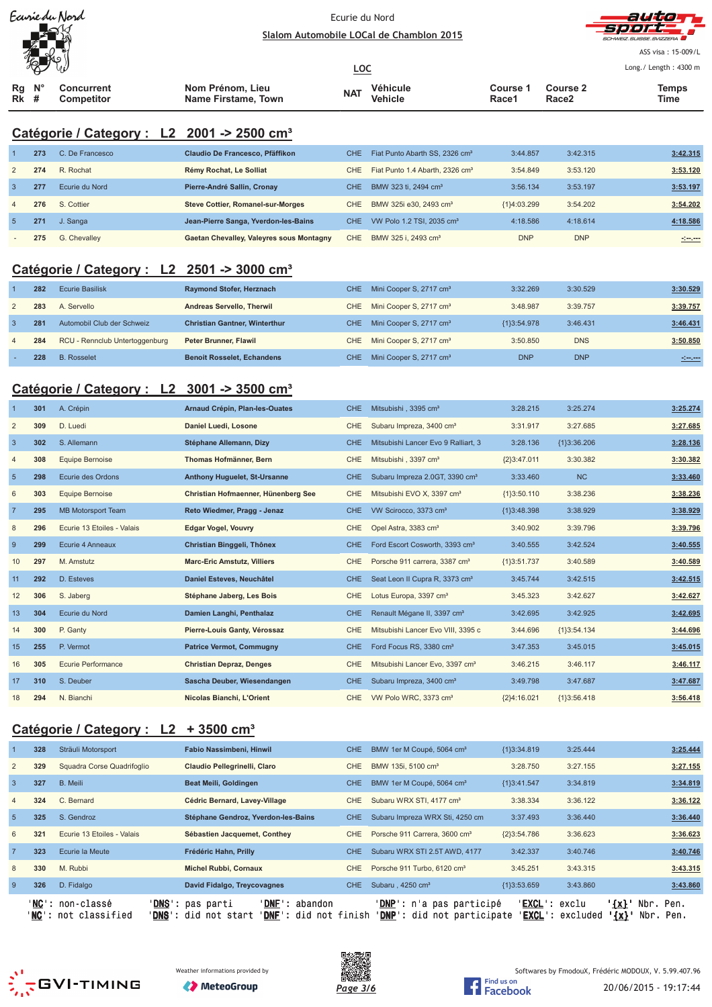



ASS visa: 15-009/L Lo  $(1 - 1)$ 

|             | $\sqrt{\omega}$  |                                 |                                         | <u>LOC</u> |                     |                   |                          | Long. / Length: $4300 \text{ m}$ |
|-------------|------------------|---------------------------------|-----------------------------------------|------------|---------------------|-------------------|--------------------------|----------------------------------|
| <b>Rk</b> # | $Rq$ $N^{\circ}$ | <b>Concurrent</b><br>Competitor | Nom Prénom, Lieu<br>Name Firstame, Town | <b>NAT</b> | Véhicule<br>Vehicle | Course 1<br>Race1 | <b>Course 2</b><br>Race2 | Temps<br>Time                    |

# **Catégorie / Category : L2 2001 -> 2500 cm³**

|                | 273 | C. De Francesco | Claudio De Francesco, Pfäffikon          | CHE.  | Fiat Punto Abarth SS, 2326 cm <sup>3</sup>  | 3:44.857      | 3:42.315   | 3:42.315         |
|----------------|-----|-----------------|------------------------------------------|-------|---------------------------------------------|---------------|------------|------------------|
| 2              | 274 | R. Rochat       | Rémy Rochat, Le Solliat                  | CHE   | Fiat Punto 1.4 Abarth, 2326 cm <sup>3</sup> | 3:54.849      | 3:53.120   | 3:53.120         |
| -3             | 277 | Ecurie du Nord  | Pierre-André Sallin, Cronay              | CHE.  | BMW 323 ti, 2494 cm <sup>3</sup>            | 3:56.134      | 3:53.197   | 3:53.197         |
| $\overline{4}$ | 276 | S. Cottier      | <b>Steve Cottier, Romanel-sur-Morges</b> | CHE.  | BMW 325i e30, 2493 cm <sup>3</sup>          | ${1}4:03.299$ | 3:54.202   | 3:54.202         |
| -5             | 271 | J. Sanga        | Jean-Pierre Sanga, Yverdon-les-Bains     | CHE - | VW Polo 1.2 TSI, 2035 cm <sup>3</sup>       | 4:18.586      | 4:18.614   | 4:18.586         |
| $\sim$         | 275 | G. Chevalley    | Gaetan Chevalley, Valeyres sous Montagny | CHE.  | BMW 325 i. 2493 cm <sup>3</sup>             | <b>DNP</b>    | <b>DNP</b> | <u> 101.000 </u> |

# **Catégorie / Category : L2 2501 -> 3000 cm³**

|                | 282 | Ecurie Basilisk                | <b>Raymond Stofer, Herznach</b>      | CHE. | Mini Cooper S, 2717 cm <sup>3</sup> | 3:32.269    | 3:30.529   | 3:30.529 |
|----------------|-----|--------------------------------|--------------------------------------|------|-------------------------------------|-------------|------------|----------|
| 2              | 283 | A. Servello                    | <b>Andreas Servello, Therwil</b>     | CHE  | Mini Cooper S, 2717 cm <sup>3</sup> | 3:48.987    | 3:39.757   | 3:39.757 |
|                | 281 | Automobil Club der Schweiz     | <b>Christian Gantner, Winterthur</b> | CHE. | Mini Cooper S, 2717 cm <sup>3</sup> | {1}3:54.978 | 3:46.431   | 3:46.431 |
| $\overline{4}$ | 284 | RCU - Rennclub Untertoggenburg | <b>Peter Brunner, Flawil</b>         | CHE  | Mini Cooper S, 2717 cm <sup>3</sup> | 3:50.850    | <b>DNS</b> | 3:50.850 |
|                | 228 | <b>B.</b> Rosselet             | <b>Benoit Rosselet, Echandens</b>    | CHE. | Mini Cooper S, 2717 cm <sup>3</sup> | <b>DNP</b>  | <b>DNP</b> |          |

### **Catégorie / Category : L2 3001 -> 3500 cm³**

|                 | 301 | A. Crépin                  | Arnaud Crépin, Plan-les-Ouates      | <b>CHE</b> | Mitsubishi, 3395 cm <sup>3</sup>            | 3:28.215      | 3:25.274      | 3:25.274 |
|-----------------|-----|----------------------------|-------------------------------------|------------|---------------------------------------------|---------------|---------------|----------|
| $\overline{2}$  | 309 | D. Luedi                   | Daniel Luedi, Losone                | <b>CHE</b> | Subaru Impreza, 3400 cm <sup>3</sup>        | 3:31.917      | 3:27.685      | 3:27.685 |
| 3               | 302 | S. Allemann                | Stéphane Allemann, Dizy             | <b>CHE</b> | Mitsubishi Lancer Evo 9 Ralliart, 3         | 3:28.136      | ${13:36.206}$ | 3:28.136 |
| 4               | 308 | <b>Equipe Bernoise</b>     | Thomas Hofmänner, Bern              | <b>CHE</b> | Mitsubishi, 3397 cm <sup>3</sup>            | ${2}3:47.011$ | 3:30.382      | 3:30.382 |
| $5\phantom{.0}$ | 298 | Ecurie des Ordons          | <b>Anthony Huguelet, St-Ursanne</b> | <b>CHE</b> | Subaru Impreza 2.0GT, 3390 cm <sup>3</sup>  | 3:33.460      | <b>NC</b>     | 3:33.460 |
| 6               | 303 | <b>Equipe Bernoise</b>     | Christian Hofmaenner, Hünenberg See | <b>CHE</b> | Mitsubishi EVO X, 3397 cm <sup>3</sup>      | ${1}3:50.110$ | 3:38.236      | 3:38.236 |
| $\overline{7}$  | 295 | <b>MB Motorsport Team</b>  | Reto Wiedmer, Pragg - Jenaz         | <b>CHE</b> | VW Scirocco, 3373 cm <sup>3</sup>           | ${1}3:48.398$ | 3:38.929      | 3:38.929 |
| 8               | 296 | Ecurie 13 Etoiles - Valais | <b>Edgar Vogel, Vouvry</b>          | <b>CHE</b> | Opel Astra, 3383 cm <sup>3</sup>            | 3:40.902      | 3:39.796      | 3:39.796 |
| 9               | 299 | Ecurie 4 Anneaux           | Christian Binggeli, Thônex          | <b>CHE</b> | Ford Escort Cosworth, 3393 cm <sup>3</sup>  | 3:40.555      | 3:42.524      | 3:40.555 |
| 10              | 297 | M. Amstutz                 | <b>Marc-Eric Amstutz, Villiers</b>  | <b>CHE</b> | Porsche 911 carrera, 3387 cm <sup>3</sup>   | {1}3:51.737   | 3:40.589      | 3:40.589 |
| 11              | 292 | D. Esteves                 | Daniel Esteves, Neuchâtel           | <b>CHE</b> | Seat Leon II Cupra R, 3373 cm <sup>3</sup>  | 3:45.744      | 3:42.515      | 3:42.515 |
| 12              | 306 | S. Jaberg                  | Stéphane Jaberg, Les Bois           | <b>CHE</b> | Lotus Europa, 3397 cm <sup>3</sup>          | 3:45.323      | 3:42.627      | 3:42.627 |
| 13              | 304 | Ecurie du Nord             | Damien Langhi, Penthalaz            | <b>CHE</b> | Renault Mégane II, 3397 cm <sup>3</sup>     | 3:42.695      | 3:42.925      | 3:42.695 |
| 14              | 300 | P. Ganty                   | Pierre-Louis Ganty, Vérossaz        | <b>CHE</b> | Mitsubishi Lancer Evo VIII, 3395 c          | 3:44.696      | ${1}3:54.134$ | 3:44.696 |
| 15              | 255 | P. Vermot                  | <b>Patrice Vermot, Commugny</b>     | <b>CHE</b> | Ford Focus RS, 3380 cm <sup>3</sup>         | 3:47.353      | 3:45.015      | 3:45.015 |
| 16              | 305 | Ecurie Performance         | <b>Christian Depraz, Denges</b>     | <b>CHE</b> | Mitsubishi Lancer Evo, 3397 cm <sup>3</sup> | 3:46.215      | 3:46.117      | 3:46.117 |
| 17              | 310 | S. Deuber                  | Sascha Deuber, Wiesendangen         | <b>CHE</b> | Subaru Impreza, 3400 cm <sup>3</sup>        | 3:49.798      | 3:47.687      | 3:47.687 |
| 18              | 294 | N. Bianchi                 | Nicolas Bianchi, L'Orient           | <b>CHE</b> | VW Polo WRC, 3373 cm <sup>3</sup>           | {2}4:16.021   | ${13:56.418}$ | 3:56.418 |

### **Catégorie / Category : L2 + 3500 cm³**

|                 | 328 | Sträuli Motorsport                                | Fabio Nassimbeni, Hinwil                                                                                     | CHE.       | BMW 1er M Coupé, 5064 cm <sup>3</sup>                                  | ${1}3:34.819$          | 3:25.444                  |                  | 3:25.444               |
|-----------------|-----|---------------------------------------------------|--------------------------------------------------------------------------------------------------------------|------------|------------------------------------------------------------------------|------------------------|---------------------------|------------------|------------------------|
| 2               | 329 | Squadra Corse Quadrifoglio                        | Claudio Pellegrinelli, Claro                                                                                 | CHE.       | BMW 135i, 5100 cm <sup>3</sup>                                         | 3:28.750               | 3:27.155                  |                  | 3:27.155               |
| $\mathbf{3}$    | 327 | B. Meili                                          | Beat Meili, Goldingen                                                                                        | CHE.       | BMW 1er M Coupé, 5064 cm <sup>3</sup>                                  | ${1}3:41.547$          | 3:34.819                  |                  | 3:34.819               |
| $\overline{4}$  | 324 | C. Bernard                                        | Cédric Bernard, Lavey-Village                                                                                | <b>CHE</b> | Subaru WRX STI, 4177 cm <sup>3</sup>                                   | 3:38.334               | 3:36.122                  |                  | 3:36.122               |
| $5\overline{5}$ | 325 | S. Gendroz                                        | Stéphane Gendroz, Yverdon-les-Bains                                                                          | CHE.       | Subaru Impreza WRX Sti, 4250 cm                                        | 3:37.493               | 3:36.440                  |                  | 3:36.440               |
| 6               | 321 | Ecurie 13 Etoiles - Valais                        | Sébastien Jacquemet, Conthey                                                                                 | <b>CHE</b> | Porsche 911 Carrera, 3600 cm <sup>3</sup>                              | ${2}3:54.786$          | 3:36.623                  |                  | 3:36.623               |
|                 | 323 | Ecurie la Meute                                   | Frédéric Hahn, Prilly                                                                                        | CHE.       | Subaru WRX STI 2.5T AWD, 4177                                          | 3:42.337               | 3:40.746                  |                  | 3:40.746               |
| 8               | 330 | M. Rubbi                                          | <b>Michel Rubbi, Cornaux</b>                                                                                 | CHE.       | Porsche 911 Turbo, 6120 cm <sup>3</sup>                                | 3:45.251               | 3:43.315                  |                  | 3:43.315               |
| -9              | 326 | D. Fidalgo                                        | David Fidalgo, Treycovagnes                                                                                  | CHE.       | Subaru, 4250 cm <sup>3</sup>                                           | ${13:53.659}$          | 3:43.860                  |                  | 3:43.860               |
|                 |     | 'NC': non-classé<br>' <b>NC</b> ': not classified | ' <b>DNS</b> ': pas parti<br>'DNF': abandon<br><b>DNF':</b> did not finish'<br>' <b>DNS</b> ': did not start |            | ' <b>DNP</b> ': n'a pas participé<br><b>DNP':</b> did not participate" | ' <b>EXCL</b> ': exclu | ' <b>EXCL</b> ': excluded | $\{x\}$<br>'{x}' | Nbr. Pen.<br>Nbr. Pen. |





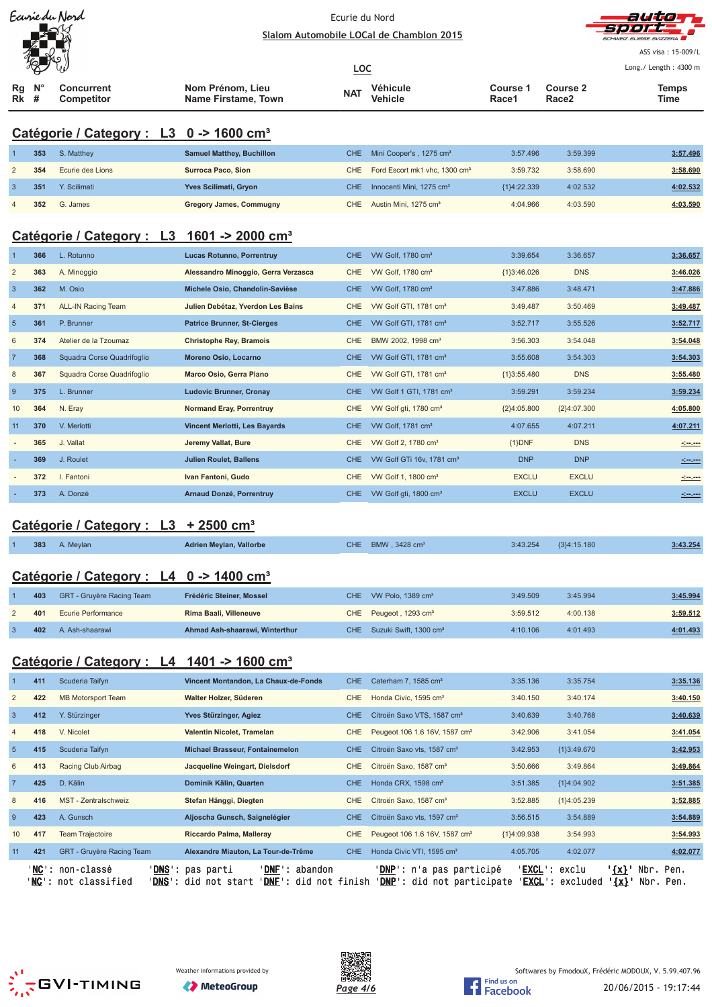| Ecurie du Nord |
|----------------|
|                |
|                |
|                |

#### Ec urie du No rd



|                           |     | Earrie du Nord                                                         | Ecurie du Nord<br>Slalom Automobile LOCal de Chamblon 2015                                                                                                                                             | autioff<br>才身身直見<br>ASS visa: 15-009/L<br>Long./ Length: 4300 m |                                           |                   |                          |                          |
|---------------------------|-----|------------------------------------------------------------------------|--------------------------------------------------------------------------------------------------------------------------------------------------------------------------------------------------------|-----------------------------------------------------------------|-------------------------------------------|-------------------|--------------------------|--------------------------|
| Rg<br>Rk                  | #   | <b>Concurrent</b><br>Competitor                                        | Nom Prénom, Lieu<br><b>Name Firstame, Town</b>                                                                                                                                                         | <b>LOC</b><br><b>NAT</b>                                        | Véhicule<br>Vehicle                       | Course 1<br>Race1 | <b>Course 2</b><br>Race2 | Temps<br>Time            |
|                           |     | Catégorie / Category : L3 0 -> 1600 cm <sup>3</sup>                    |                                                                                                                                                                                                        |                                                                 |                                           |                   |                          |                          |
|                           | 353 | S. Matthey                                                             | <b>Samuel Matthey, Buchillon</b>                                                                                                                                                                       | <b>CHE</b>                                                      | Mini Cooper's, 1275 cm <sup>3</sup>       | 3:57.496          | 3:59.399                 | 3:57.496                 |
| $\overline{c}$            | 354 | Ecurie des Lions                                                       | <b>Surroca Paco, Sion</b>                                                                                                                                                                              | <b>CHE</b>                                                      | Ford Escort mk1 vhc, 1300 cm <sup>3</sup> | 3:59.732          | 3:58.690                 | 3:58.690                 |
| $\mathbf{3}$              | 351 | Y. Scilimati                                                           | Yves Scilimati, Gryon                                                                                                                                                                                  | <b>CHE</b>                                                      | Innocenti Mini, 1275 cm <sup>3</sup>      | ${1}4:22.339$     | 4:02.532                 | 4:02.532                 |
| 4                         | 352 | G. James                                                               | <b>Gregory James, Commugny</b>                                                                                                                                                                         | <b>CHE</b>                                                      | Austin Mini, 1275 cm <sup>3</sup>         | 4:04.966          | 4:03.590                 | 4:03.590                 |
|                           |     | Catégorie / Category : L3 1601 -> 2000 cm <sup>3</sup>                 |                                                                                                                                                                                                        |                                                                 |                                           |                   |                          |                          |
|                           | 366 | L. Rotunno                                                             | <b>Lucas Rotunno, Porrentruy</b>                                                                                                                                                                       | <b>CHE</b>                                                      | VW Golf, 1780 cm <sup>3</sup>             | 3:39.654          | 3:36.657                 | 3:36.657                 |
| $\overline{c}$            | 363 | A. Minoggio                                                            | Alessandro Minoggio, Gerra Verzasca                                                                                                                                                                    | <b>CHE</b>                                                      | VW Golf, 1780 cm <sup>3</sup>             | ${1}3:46.026$     | <b>DNS</b>               | 3:46.026                 |
| $\mathbf{3}$              | 362 | M. Osio                                                                | Michele Osio, Chandolin-Savièse                                                                                                                                                                        | <b>CHE</b>                                                      | VW Golf, 1780 cm <sup>3</sup>             | 3:47.886          | 3:48.471                 | 3:47.886                 |
| $\overline{4}$            | 371 | <b>ALL-IN Racing Team</b>                                              | Julien Debétaz, Yverdon Les Bains                                                                                                                                                                      | <b>CHE</b>                                                      | VW Golf GTI, 1781 cm <sup>3</sup>         | 3:49.487          | 3:50.469                 | 3:49.487                 |
| $\sqrt{5}$                | 361 | P. Brunner                                                             | <b>Patrice Brunner, St-Cierges</b>                                                                                                                                                                     | <b>CHE</b>                                                      | VW Golf GTI, 1781 cm <sup>3</sup>         | 3:52.717          | 3:55.526                 | 3:52.717                 |
| 6                         | 374 | Atelier de la Tzoumaz                                                  | <b>Christophe Rey, Bramois</b>                                                                                                                                                                         | CHE                                                             | BMW 2002, 1998 cm <sup>3</sup>            | 3:56.303          | 3:54.048                 | 3:54.048                 |
| $\overline{7}$            | 368 | Squadra Corse Quadrifoglio                                             | Moreno Osio, Locarno                                                                                                                                                                                   | <b>CHE</b>                                                      | VW Golf GTI, 1781 cm <sup>3</sup>         | 3:55.608          | 3:54.303                 | 3:54.303                 |
| 8                         | 367 | Squadra Corse Quadrifoglio                                             | Marco Osio, Gerra Piano                                                                                                                                                                                | <b>CHE</b>                                                      | VW Golf GTI, 1781 cm <sup>3</sup>         | ${1}3:55.480$     | <b>DNS</b>               | 3:55.480                 |
| $9\,$                     | 375 | L. Brunner                                                             | <b>Ludovic Brunner, Cronay</b>                                                                                                                                                                         | <b>CHE</b>                                                      | VW Golf 1 GTI, 1781 cm <sup>3</sup>       | 3:59.291          | 3:59.234                 |                          |
|                           |     |                                                                        |                                                                                                                                                                                                        |                                                                 |                                           |                   |                          | 3:59.234                 |
| 10                        | 364 | N. Eray                                                                | <b>Normand Eray, Porrentruy</b>                                                                                                                                                                        | <b>CHE</b>                                                      | VW Golf gti, 1780 cm <sup>3</sup>         | ${2}4:05.800$     | ${2}4:07.300$            | 4:05.800                 |
| 11                        | 370 | V. Merlotti                                                            | Vincent Merlotti, Les Bayards                                                                                                                                                                          | <b>CHE</b>                                                      | VW Golf, 1781 cm <sup>3</sup>             | 4:07.655          | 4:07.211                 | 4:07.211                 |
|                           | 365 | J. Vallat                                                              | Jeremy Vallat, Bure                                                                                                                                                                                    | <b>CHE</b>                                                      | VW Golf 2, 1780 cm <sup>3</sup>           | ${1}DNF$          | <b>DNS</b>               | <u> Karl</u>             |
|                           | 369 | J. Roulet                                                              | <b>Julien Roulet, Ballens</b>                                                                                                                                                                          | <b>CHE</b>                                                      | VW Golf GTi 16v, 1781 cm <sup>3</sup>     | <b>DNP</b>        | <b>DNP</b>               |                          |
|                           | 372 | I. Fantoni                                                             | Ivan Fantoni, Gudo                                                                                                                                                                                     | <b>CHE</b>                                                      | VW Golf 1, 1800 cm <sup>3</sup>           | <b>EXCLU</b>      | <b>EXCLU</b>             |                          |
|                           | 373 | A. Donzé                                                               | Arnaud Donzé, Porrentruy                                                                                                                                                                               | <b>CHE</b>                                                      | VW Golf gti, 1800 cm <sup>3</sup>         | <b>EXCLU</b>      | <b>EXCLU</b>             |                          |
|                           |     | Catégorie / Category : L3                                              | $+2500$ cm <sup>3</sup>                                                                                                                                                                                |                                                                 |                                           |                   |                          |                          |
|                           |     |                                                                        |                                                                                                                                                                                                        |                                                                 |                                           |                   |                          |                          |
|                           | 383 | A. Meylan                                                              | <b>Adrien Meylan, Vallorbe</b>                                                                                                                                                                         |                                                                 | CHE BMW, 3428 cm <sup>3</sup>             | 3:43.254          | ${3}4:15.180$            | 3:43.254                 |
|                           |     | Catégorie / Category : $L4 \quad 0 \rightarrow 1400 \text{ cm}^3$      |                                                                                                                                                                                                        |                                                                 |                                           |                   |                          |                          |
|                           | 403 | GRT - Gruyère Racing Team                                              | Frédéric Steiner, Mossel                                                                                                                                                                               | <b>CHE</b>                                                      | VW Polo, 1389 cm <sup>3</sup>             | 3:49.509          | 3:45.994                 | 3:45.994                 |
| $\overline{\mathbf{c}}$   | 401 | Ecurie Performance                                                     | Rima Baali, Villeneuve                                                                                                                                                                                 | <b>CHE</b>                                                      | Peugeot, 1293 cm <sup>3</sup>             | 3:59.512          | 4:00.138                 | 3:59.512                 |
| $\ensuremath{\mathsf{3}}$ | 402 | A. Ash-shaarawi                                                        | Ahmad Ash-shaarawi, Winterthur                                                                                                                                                                         | <b>CHE</b>                                                      | Suzuki Swift, 1300 cm <sup>3</sup>        | 4:10.106          | 4:01.493                 | 4:01.493                 |
|                           |     |                                                                        |                                                                                                                                                                                                        |                                                                 |                                           |                   |                          |                          |
|                           |     | Catégorie / Category : L4 1401 -> 1600 cm <sup>3</sup>                 |                                                                                                                                                                                                        |                                                                 |                                           |                   |                          |                          |
|                           | 411 | Scuderia Taifyn                                                        | Vincent Montandon, La Chaux-de-Fonds                                                                                                                                                                   | <b>CHE</b>                                                      | Caterham 7, 1585 cm <sup>3</sup>          | 3:35.136          | 3:35.754                 | 3:35.136                 |
| $\overline{\mathbf{c}}$   | 422 | <b>MB Motorsport Team</b>                                              | Walter Holzer, Süderen                                                                                                                                                                                 | <b>CHE</b>                                                      | Honda Civic, 1595 cm <sup>3</sup>         | 3:40.150          | 3:40.174                 | 3:40.150                 |
| $\mathbf{3}$              | 412 | Y. Stürzinger                                                          | Yves Stürzinger, Agiez                                                                                                                                                                                 | <b>CHE</b>                                                      | Citroën Saxo VTS, 1587 cm <sup>3</sup>    | 3:40.639          | 3:40.768                 | 3:40.639                 |
| 4                         | 418 | V. Nicolet                                                             | Valentin Nicolet, Tramelan                                                                                                                                                                             | <b>CHE</b>                                                      | Peugeot 106 1.6 16V, 1587 cm <sup>3</sup> | 3:42.906          | 3:41.054                 | 3:41.054                 |
| $\overline{5}$            | 415 | Scuderia Taifyn                                                        | <b>Michael Brasseur, Fontainemelon</b>                                                                                                                                                                 | <b>CHE</b>                                                      | Citroën Saxo vts, 1587 cm <sup>3</sup>    | 3:42.953          | ${1}3:49.670$            | 3:42.953                 |
| 6                         | 413 | Racing Club Airbag                                                     | Jacqueline Weingart, Dielsdorf                                                                                                                                                                         | CHE                                                             | Citroën Saxo, 1587 cm <sup>3</sup>        | 3:50.666          | 3:49.864                 | 3:49.864                 |
| $\overline{7}$            | 425 | D. Kälin                                                               | Dominik Kälin, Quarten                                                                                                                                                                                 | <b>CHE</b>                                                      | Honda CRX, 1598 cm <sup>3</sup>           | 3:51.385          | {1}4:04.902              | 3:51.385                 |
| 8                         | 416 | MST - Zentralschweiz                                                   | Stefan Hänggi, Diegten                                                                                                                                                                                 | CHE                                                             | Citroën Saxo, 1587 cm <sup>3</sup>        | 3:52.885          | ${1}4:05.239$            | 3:52.885                 |
| 9                         | 423 | A. Gunsch                                                              | Aljoscha Gunsch, Saignelégier                                                                                                                                                                          | <b>CHE</b>                                                      | Citroën Saxo vts, 1597 cm <sup>3</sup>    | 3:56.515          | 3:54.889                 | 3:54.889                 |
| 10                        | 417 | <b>Team Trajectoire</b>                                                | Riccardo Palma, Malleray                                                                                                                                                                               | <b>CHE</b>                                                      | Peugeot 106 1.6 16V, 1587 cm <sup>3</sup> | ${1}4:09.938$     | 3:54.993                 | 3:54.993                 |
| 11                        | 421 | GRT - Gruyère Racing Team                                              | Alexandre Miauton, La Tour-de-Trême                                                                                                                                                                    | <b>CHE</b>                                                      | Honda Civic VTI, 1595 cm <sup>3</sup>     | 4:05.705          | 4:02.077                 | 4:02.077                 |
|                           |     | ' <mark>NC</mark> ': non-classé<br>' <mark>NC</mark> ': not classified | ' <mark>DNS</mark> ': pas parti<br>'DNE': abandon<br>' <u>DNS</u> ': did not start ' <u>DNF</u> ': did not finish ' <u>DNP</u> ': did not participate ' <u>EXCL</u> ': excluded <b>'{x}'</b> Nbr. Pen. |                                                                 | ' <u>DNP</u> ': n'a pas participé         |                   | ' <u>EXCL</u> ': exclu   | ' <u>{x}</u> ' Nbr. Pen. |



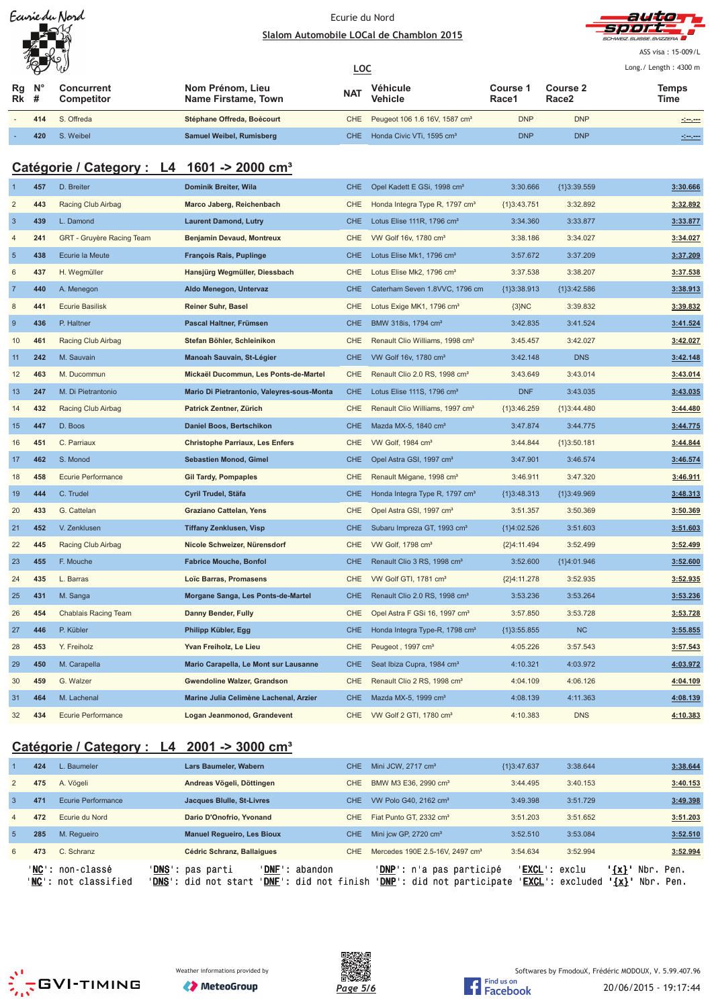| Ecurie du Nord |
|----------------|
|                |
|                |
|                |



ASS visa: 15-009/L Lo ng./ Length: 4300 m

|          | $\mathscr{H}$    | Ğν                              |                                         |            |                                               | Long./ Length: 4300 m    |                               |                                                                                                                                    |
|----------|------------------|---------------------------------|-----------------------------------------|------------|-----------------------------------------------|--------------------------|-------------------------------|------------------------------------------------------------------------------------------------------------------------------------|
| Rq<br>Rk | $N^{\circ}$<br># | Concurrent<br><b>Competitor</b> | Nom Prénom, Lieu<br>Name Firstame, Town | <b>NAT</b> | Véhicule<br>Vehicle                           | <b>Course</b> '<br>Race1 | Course 2<br>Race <sub>2</sub> | Temps<br>Time                                                                                                                      |
|          | 414              | S. Offreda                      | Stéphane Offreda, Boécourt              |            | CHE Peugeot 106 1.6 16V, 1587 cm <sup>3</sup> | <b>DNP</b>               | <b>DNP</b>                    | $\frac{1}{2} \left( \frac{1}{2} \frac{1}{2} \right) \left( \frac{1}{2} \frac{1}{2} \right) \left( \frac{1}{2} \frac{1}{2} \right)$ |
|          | 420              | S. Weibel                       | Samuel Weibel, Rumisberg                | <b>CHE</b> | Honda Civic VTi. 1595 cm <sup>3</sup>         | <b>DNP</b>               | <b>DNP</b>                    | <u>almon</u>                                                                                                                       |

# **Catégorie / Category : L4 1601 -> 2000 cm³**

| $\overline{1}$ | 457 | D. Breiter                  | Dominik Breiter, Wila                      | <b>CHE</b> | Opel Kadett E GSi, 1998 cm <sup>3</sup>     | 3:30.666      | ${1}3:39.559$ | 3:30.666 |
|----------------|-----|-----------------------------|--------------------------------------------|------------|---------------------------------------------|---------------|---------------|----------|
| $\overline{2}$ | 443 | Racing Club Airbag          | Marco Jaberg, Reichenbach                  | <b>CHE</b> | Honda Integra Type R, 1797 cm <sup>3</sup>  | ${1}3:43.751$ | 3:32.892      | 3:32.892 |
| $\overline{3}$ | 439 | L. Damond                   | <b>Laurent Damond, Lutry</b>               | <b>CHE</b> | Lotus Elise 111R, 1796 cm <sup>3</sup>      | 3:34.360      | 3:33.877      | 3:33.877 |
| $\overline{4}$ | 241 | GRT - Gruyère Racing Team   | <b>Benjamin Devaud, Montreux</b>           | <b>CHE</b> | VW Golf 16v, 1780 cm <sup>3</sup>           | 3:38.186      | 3:34.027      | 3:34.027 |
| $\overline{5}$ | 438 | Ecurie la Meute             | <b>François Rais, Puplinge</b>             | <b>CHE</b> | Lotus Elise Mk1, 1796 cm <sup>3</sup>       | 3:57.672      | 3:37.209      | 3:37.209 |
| $6\phantom{1}$ | 437 | H. Wegmüller                | Hansjürg Wegmüller, Diessbach              | <b>CHE</b> | Lotus Elise Mk2, 1796 cm <sup>3</sup>       | 3:37.538      | 3:38.207      | 3:37.538 |
| $\overline{7}$ | 440 | A. Menegon                  | Aldo Menegon, Untervaz                     | <b>CHE</b> | Caterham Seven 1.8VVC, 1796 cm              | ${1}3:38.913$ | ${1}3:42.586$ | 3:38.913 |
| $\bf 8$        | 441 | <b>Ecurie Basilisk</b>      | Reiner Suhr, Basel                         | <b>CHE</b> | Lotus Exige MK1, 1796 cm <sup>3</sup>       | ${3}NC$       | 3:39.832      | 3:39.832 |
| 9              | 436 | P. Haltner                  | Pascal Haltner, Frümsen                    | <b>CHE</b> | BMW 318is, 1794 cm <sup>3</sup>             | 3:42.835      | 3:41.524      | 3:41.524 |
| 10             | 461 | Racing Club Airbag          | Stefan Böhler, Schleinikon                 | <b>CHE</b> | Renault Clio Williams, 1998 cm <sup>3</sup> | 3:45.457      | 3:42.027      | 3:42.027 |
| 11             | 242 | M. Sauvain                  | Manoah Sauvain, St-Légier                  | <b>CHE</b> | VW Golf 16v, 1780 cm <sup>3</sup>           | 3:42.148      | <b>DNS</b>    | 3:42.148 |
| 12             | 463 | M. Ducommun                 | Mickaël Ducommun, Les Ponts-de-Martel      | <b>CHE</b> | Renault Clio 2.0 RS, 1998 cm <sup>3</sup>   | 3:43.649      | 3:43.014      | 3:43.014 |
| 13             | 247 | M. Di Pietrantonio          | Mario Di Pietrantonio, Valeyres-sous-Monta | <b>CHE</b> | Lotus Elise 111S, 1796 cm <sup>3</sup>      | <b>DNF</b>    | 3:43.035      | 3:43.035 |
| 14             | 432 | Racing Club Airbag          | Patrick Zentner, Zürich                    | CHE        | Renault Clio Williams, 1997 cm <sup>3</sup> | ${1}3:46.259$ | ${1}3:44.480$ | 3:44.480 |
| 15             | 447 | D. Boos                     | Daniel Boos, Bertschikon                   | <b>CHE</b> | Mazda MX-5, 1840 cm <sup>3</sup>            | 3:47.874      | 3:44.775      | 3:44.775 |
| 16             | 451 | C. Parriaux                 | <b>Christophe Parriaux, Les Enfers</b>     | <b>CHE</b> | VW Golf, 1984 cm <sup>3</sup>               | 3:44.844      | ${1}3:50.181$ | 3:44.844 |
| 17             | 462 | S. Monod                    | <b>Sebastien Monod, Gimel</b>              | <b>CHE</b> | Opel Astra GSI, 1997 cm <sup>3</sup>        | 3:47.901      | 3:46.574      | 3:46.574 |
| 18             | 458 | <b>Ecurie Performance</b>   | <b>Gil Tardy, Pompaples</b>                | <b>CHE</b> | Renault Mégane, 1998 cm <sup>3</sup>        | 3:46.911      | 3:47.320      | 3:46.911 |
| 19             | 444 | C. Trudel                   | Cyril Trudel, Stäfa                        | <b>CHE</b> | Honda Integra Type R, 1797 cm <sup>3</sup>  | ${1}3:48.313$ | ${1}3:49.969$ | 3:48.313 |
| 20             | 433 | G. Cattelan                 | Graziano Cattelan, Yens                    | <b>CHE</b> | Opel Astra GSI, 1997 cm <sup>3</sup>        | 3:51.357      | 3:50.369      | 3:50.369 |
| 21             | 452 | V. Zenklusen                | <b>Tiffany Zenklusen, Visp</b>             | <b>CHE</b> | Subaru Impreza GT, 1993 cm <sup>3</sup>     | {1}4:02.526   | 3:51.603      | 3:51.603 |
| 22             | 445 | Racing Club Airbag          | Nicole Schweizer, Nürensdorf               | CHE        | VW Golf, 1798 cm <sup>3</sup>               | ${2}4:11.494$ | 3:52.499      | 3:52.499 |
| 23             | 455 | F. Mouche                   | <b>Fabrice Mouche, Bonfol</b>              | <b>CHE</b> | Renault Clio 3 RS, 1998 cm <sup>3</sup>     | 3:52.600      | ${1}4:01.946$ | 3:52.600 |
| 24             | 435 | L. Barras                   | Loïc Barras, Promasens                     | <b>CHE</b> | VW Golf GTI, 1781 cm <sup>3</sup>           | ${2}4:11.278$ | 3:52.935      | 3:52.935 |
| 25             | 431 | M. Sanga                    | Morgane Sanga, Les Ponts-de-Martel         | <b>CHE</b> | Renault Clio 2.0 RS, 1998 cm <sup>3</sup>   | 3:53.236      | 3:53.264      | 3:53.236 |
| 26             | 454 | <b>Chablais Racing Team</b> | Danny Bender, Fully                        | CHE        | Opel Astra F GSi 16, 1997 cm <sup>3</sup>   | 3:57.850      | 3:53.728      | 3:53.728 |
| 27             | 446 | P. Kübler                   | Philipp Kübler, Egg                        | <b>CHE</b> | Honda Integra Type-R, 1798 cm <sup>3</sup>  | ${1}3:55.855$ | NC            | 3:55.855 |
| 28             | 453 | Y. Freiholz                 | Yvan Freiholz, Le Lieu                     | CHE        | Peugeot, 1997 cm <sup>3</sup>               | 4:05.226      | 3:57.543      | 3:57.543 |
| 29             | 450 | M. Carapella                | Mario Carapella, Le Mont sur Lausanne      | <b>CHE</b> | Seat Ibiza Cupra, 1984 cm <sup>3</sup>      | 4:10.321      | 4:03.972      | 4:03.972 |
| 30             | 459 | G. Walzer                   | Gwendoline Walzer, Grandson                | CHE        | Renault Clio 2 RS, 1998 cm <sup>3</sup>     | 4:04.109      | 4:06.126      | 4:04.109 |
| 31             | 464 | M. Lachenal                 | Marine Julia Celimène Lachenal, Arzier     | <b>CHE</b> | Mazda MX-5, 1999 cm <sup>3</sup>            | 4:08.139      | 4:11.363      | 4:08.139 |
| 32             | 434 | Ecurie Performance          | Logan Jeanmonod, Grandevent                | <b>CHE</b> | VW Golf 2 GTI, 1780 cm <sup>3</sup>         | 4:10.383      | <b>DNS</b>    | 4:10.383 |

# **Catégorie / Category : L4 2001 -> 3000 cm³**

|                 | 424   | L. Baumeler                                | Lars Baumeler, Wabern                                | CHE.                                                | Mini JCW, 2717 cm <sup>3</sup>                                | {1}3:47.637 | 3:38.644                                            |                                    | 3:38.644     |
|-----------------|-------|--------------------------------------------|------------------------------------------------------|-----------------------------------------------------|---------------------------------------------------------------|-------------|-----------------------------------------------------|------------------------------------|--------------|
| $\overline{2}$  | 475   | A. Vögeli                                  | Andreas Vögeli, Döttingen                            | <b>CHE</b>                                          | BMW M3 E36, 2990 cm <sup>3</sup>                              | 3:44.495    | 3:40.153                                            |                                    | 3:40.153     |
| 3               | 471   | Ecurie Performance                         | Jacques Blulle, St-Livres                            | <b>CHE</b>                                          | VW Polo G40, 2162 cm <sup>3</sup>                             | 3:49.398    | 3:51.729                                            |                                    | 3:49.398     |
| $\overline{4}$  | 472   | Ecurie du Nord                             | Dario D'Onofrio, Yvonand                             | CHE.                                                | Fiat Punto GT, 2332 cm <sup>3</sup>                           | 3:51.203    | 3:51.652                                            |                                    | 3:51.203     |
| $5\overline{5}$ | 285   | M. Requeiro                                | <b>Manuel Requeiro, Les Bioux</b>                    | CHE.                                                | Mini jcw GP, 2720 cm <sup>3</sup>                             | 3:52.510    | 3:53.084                                            |                                    | 3:52.510     |
| 6               | 473   | C. Schranz                                 | Cédric Schranz, Ballaigues                           | <b>CHE</b>                                          | Mercedes 190E 2.5-16V, 2497 cm <sup>3</sup>                   | 3:54.634    | 3:52.994                                            |                                    | 3:52.994     |
|                 | 'NC': | non-classé<br>' <b>NC':</b> not classified | ' <b>DNS':</b> pas parti<br>'DNS' :<br>did not start | 'DNF' :<br>abandon<br>' <b>DNF':</b> did not finish | <b>'DNP':</b> n'a pas participé<br>'DNP': did not participate |             | ' <b>EXCL</b> ': exclu<br>' <b>EXCL</b> ': excluded | ' {x} '<br>Nbr.<br>$\{x\}$<br>Nbr. | Pen.<br>Pen. |



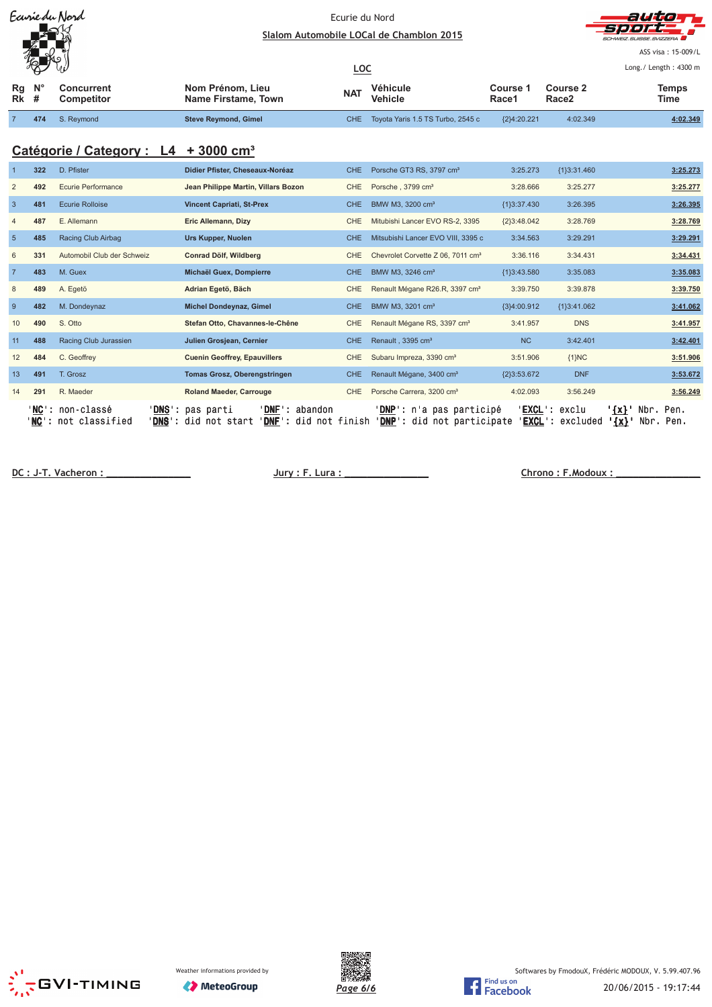| Ecurie du Nord<br>A<br>優        |     |                                 | Ecurie du Nord<br>Slalom Automobile LOCal de Chamblon 2015 |            |                                   |                   |                   | auto<br>sport.<br>SCHWEIZ SUISSE SVIZZERA<br>ASS visa: 15-009/L |  |  |  |
|---------------------------------|-----|---------------------------------|------------------------------------------------------------|------------|-----------------------------------|-------------------|-------------------|-----------------------------------------------------------------|--|--|--|
|                                 |     | يا ا                            |                                                            | <u>LOC</u> |                                   |                   |                   | Long./ Length: 4300 m                                           |  |  |  |
| $Rg$ $N^{\circ}$<br><b>Rk</b> # |     | Concurrent<br><b>Competitor</b> | Nom Prénom, Lieu<br>Name Firstame, Town                    | <b>NAT</b> | Véhicule<br><b>Vehicle</b>        | Course 1<br>Race1 | Course 2<br>Race2 | <b>Temps</b><br>Time                                            |  |  |  |
|                                 | 474 | S. Reymond                      | <b>Steve Reymond, Gimel</b>                                | CHE.       | Toyota Yaris 1.5 TS Turbo, 2545 c | ${2}4:20.221$     | 4:02.349          | 4:02.349                                                        |  |  |  |

# **Catégorie / Category : L4 + 3000 cm³**

|                   | 322 | D. Pfister                                                 | Didier Pfister, Cheseaux-Noréaz                                                                                       | CHE.       | Porsche GT3 RS, 3797 cm <sup>3</sup>                                   | 3:25.273       | ${1}3:31.460$                                       |                           |                        | 3:25.273 |
|-------------------|-----|------------------------------------------------------------|-----------------------------------------------------------------------------------------------------------------------|------------|------------------------------------------------------------------------|----------------|-----------------------------------------------------|---------------------------|------------------------|----------|
|                   | 492 | Ecurie Performance                                         | Jean Philippe Martin, Villars Bozon                                                                                   | <b>CHE</b> | Porsche, 3799 cm <sup>3</sup>                                          | 3:28.666       | 3:25.277                                            |                           |                        | 3:25.277 |
| -3                | 481 | <b>Ecurie Rolloise</b>                                     | <b>Vincent Capriati, St-Prex</b>                                                                                      | CHE.       | BMW M3, 3200 cm <sup>3</sup>                                           | ${13:37.430}$  | 3:26.395                                            |                           |                        | 3:26.395 |
|                   | 487 | E. Allemann                                                | Eric Allemann, Dizy                                                                                                   | <b>CHE</b> | Mitubishi Lancer EVO RS-2, 3395                                        | ${2}3:48.042$  | 3:28.769                                            |                           |                        | 3:28.769 |
| 5                 | 485 | Racing Club Airbag                                         | Urs Kupper, Nuolen                                                                                                    | <b>CHE</b> | Mitsubishi Lancer EVO VIII, 3395 c                                     | 3:34.563       | 3:29.291                                            |                           |                        | 3:29.291 |
| 6                 | 331 | Automobil Club der Schweiz                                 | Conrad Dölf, Wildberg                                                                                                 | <b>CHE</b> | Chevrolet Corvette Z 06, 7011 cm <sup>3</sup>                          | 3:36.116       | 3:34.431                                            |                           |                        | 3:34.431 |
| $\overline{7}$    | 483 | M. Guex                                                    | Michaël Guex, Dompierre                                                                                               | CHE        | BMW M3, 3246 cm <sup>3</sup>                                           | ${1}3:43.580$  | 3:35.083                                            |                           |                        | 3:35.083 |
| 8                 | 489 | A. Egetö                                                   | Adrian Egetö, Bäch                                                                                                    | CHE        | Renault Mégane R26.R, 3397 cm <sup>3</sup>                             | 3:39.750       | 3:39.878                                            |                           |                        | 3:39.750 |
| -9                | 482 | M. Dondeynaz                                               | Michel Dondeynaz, Gimel                                                                                               | CHE.       | BMW M3, 3201 cm <sup>3</sup>                                           | {3}4:00.912    | ${13:41.062}$                                       |                           |                        | 3:41.062 |
| 10                | 490 | S. Otto                                                    | Stefan Otto, Chavannes-le-Chêne                                                                                       | <b>CHE</b> | Renault Mégane RS, 3397 cm <sup>3</sup>                                | 3:41.957       | <b>DNS</b>                                          |                           |                        | 3:41.957 |
| 11                | 488 | Racing Club Jurassien                                      | Julien Grosjean, Cernier                                                                                              | CHE.       | Renault, 3395 cm <sup>3</sup>                                          | N <sub>C</sub> | 3:42.401                                            |                           |                        | 3:42.401 |
| $12 \overline{ }$ | 484 | C. Geoffrey                                                | <b>Cuenin Geoffrey, Epauvillers</b>                                                                                   | <b>CHE</b> | Subaru Impreza, 3390 cm <sup>3</sup>                                   | 3:51.906       | ${1}NC$                                             |                           |                        | 3:51.906 |
| 13                | 491 | T. Grosz                                                   | <b>Tomas Grosz, Oberengstringen</b>                                                                                   | <b>CHE</b> | Renault Mégane, 3400 cm <sup>3</sup>                                   | {2}3:53.672    | <b>DNF</b>                                          |                           |                        | 3:53.672 |
| 14                | 291 | R. Maeder                                                  | <b>Roland Maeder, Carrouge</b>                                                                                        | <b>CHE</b> | Porsche Carrera, 3200 cm <sup>3</sup>                                  | 4:02.093       | 3:56.249                                            |                           |                        | 3:56.249 |
|                   |     | ' <b>NC</b> ': non-classé<br>' <b>NC</b> ': not classified | <b>DNF</b><br><b>DNS</b> : pas parti<br>': abandon<br>' <b>DNF</b> ': did not finish<br>' <b>DNS</b> ': did not start |            | <b>'DNP':</b> n'a pas participé<br>' <b>DNP</b> ': did not participate |                | ' <b>EXCL</b> ': exclu<br>' <b>EXCL</b> ': excluded | ' <u>{x}</u> '<br>$\{x\}$ | Nbr. Pen.<br>Nbr. Pen. |          |

**DC**: J-T. Vacheron : **Matter Contains the Contract Contains of Chrono** : **E. Modoux** : **Chrono** : **F. Modoux** :





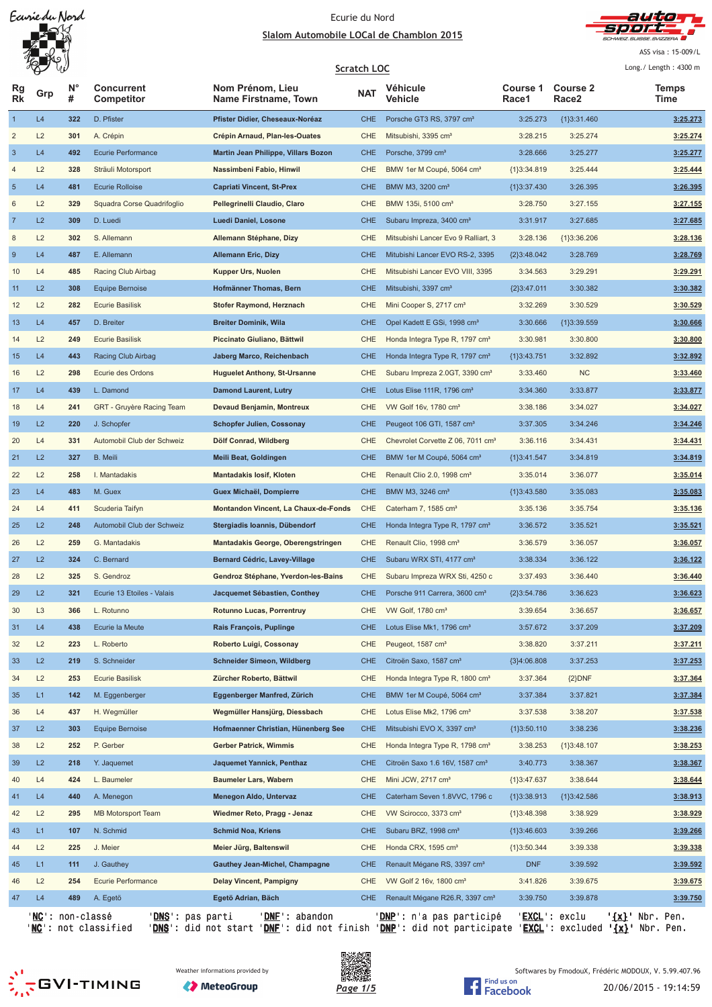

ASS visa: 15-009/L

| N°<br><b>Course 2</b><br><b>Concurrent</b><br>Nom Prénom, Lieu<br>Véhicule<br>Course 1<br>Rg<br><b>Temps</b><br><b>NAT</b><br>Grp<br>Rk<br>#<br>Vehicle<br>Competitor<br>Name Firstname, Town<br>Race1<br>Race2<br>Time<br>L4<br>$\mathbf{1}$<br>322<br>D. Pfister<br>Pfister Didier, Cheseaux-Noréaz<br><b>CHE</b><br>Porsche GT3 RS, 3797 cm <sup>3</sup><br>3:25.273<br>${1}3:31.460$<br>3:25.273<br>$\overline{\mathbf{c}}$<br>L2<br>301<br>A. Crépin<br>Crépin Arnaud, Plan-les-Ouates<br>CHE<br>Mitsubishi, 3395 cm <sup>3</sup><br>3:28.215<br>3:25.274<br>3:25.274<br>L4<br>492<br>Ecurie Performance<br>Martin Jean Philippe, Villars Bozon<br><b>CHE</b><br>Porsche, 3799 cm <sup>3</sup><br>3:28.666<br>3:25.277<br>3:25.277<br>L2<br>328<br>Sträuli Motorsport<br>Nassimbeni Fabio, Hinwil<br>CHE<br>BMW 1er M Coupé, 5064 cm <sup>3</sup><br>${1}3:34.819$<br>3:25.444<br>3:25.444<br>L4<br>3:26.395<br>481<br><b>Ecurie Rolloise</b><br><b>Capriati Vincent, St-Prex</b><br><b>CHE</b><br>BMW M3, 3200 cm <sup>3</sup><br>${1}3:37.430$<br>3:26.395<br>L2<br>6<br>329<br>Squadra Corse Quadrifoglio<br>Pellegrinelli Claudio, Claro<br><b>CHE</b><br>3:28.750<br>3:27.155<br>3:27.155<br>BMW 135i, 5100 cm <sup>3</sup><br>L2<br>309<br>D. Luedi<br>Luedi Daniel, Losone<br><b>CHE</b><br>Subaru Impreza, 3400 cm <sup>3</sup><br>3:27.685<br>3:31.917<br>3:27.685<br>L2<br>302<br>S. Allemann<br>Allemann Stéphane, Dizy<br>CHE<br>Mitsubishi Lancer Evo 9 Ralliart, 3<br>3:28.136<br>${1}3:36.206$<br>3:28.136<br>L4<br><b>Allemann Eric, Dizy</b><br><b>CHE</b><br>3:28.769<br>487<br>E. Allemann<br>Mitubishi Lancer EVO RS-2, 3395<br>${2}3:48.042$<br>3:28.769<br>10<br>L4<br>485<br>Racing Club Airbag<br>Kupper Urs, Nuolen<br><b>CHE</b><br>Mitsubishi Lancer EVO VIII, 3395<br>3:34.563<br>3:29.291<br>3:29.291<br>L2<br>11<br>308<br><b>Equipe Bernoise</b><br>Hofmänner Thomas, Bern<br><b>CHE</b><br>Mitsubishi, 3397 cm <sup>3</sup><br>${2}3:47.011$<br>3:30.382<br>3:30.382<br>L2<br>12<br>282<br>3:30.529<br>3:30.529<br><b>Ecurie Basilisk</b><br>Stofer Raymond, Herznach<br>CHE<br>Mini Cooper S, 2717 cm <sup>3</sup><br>3:32.269<br>L4<br>13<br>457<br>D. Breiter<br><b>Breiter Dominik, Wila</b><br><b>CHE</b><br>Opel Kadett E GSi, 1998 cm <sup>3</sup><br>3:30.666<br>${1}3:39.559$<br>3:30.666<br>L2<br>249<br><b>Ecurie Basilisk</b><br>Piccinato Giuliano, Bättwil<br>CHE<br>Honda Integra Type R, 1797 cm <sup>3</sup><br>3:30.981<br>3:30.800<br>3:30.800<br>14<br>L4<br>15<br>443<br>Racing Club Airbag<br>Jaberg Marco, Reichenbach<br><b>CHE</b><br>Honda Integra Type R, 1797 cm <sup>3</sup><br>3:32.892<br>3:32.892<br>${1}3:43.751$<br>L2<br><b>NC</b><br>16<br>298<br><b>Huguelet Anthony, St-Ursanne</b><br><b>CHE</b><br>3:33.460<br>3:33.460<br>Ecurie des Ordons<br>Subaru Impreza 2.0GT, 3390 cm <sup>3</sup><br>L4<br>17<br>439<br>L. Damond<br><b>Damond Laurent, Lutry</b><br><b>CHE</b><br>Lotus Elise 111R, 1796 cm <sup>3</sup><br>3:34.360<br>3:33.877<br>3:33.877<br>L4<br>241<br>GRT - Gruyère Racing Team<br>Devaud Benjamin, Montreux<br>CHE<br>VW Golf 16v, 1780 cm <sup>3</sup><br>3:34.027<br>18<br>3:38.186<br>3:34.027<br>L2<br>19<br>220<br>J. Schopfer<br><b>Schopfer Julien, Cossonay</b><br><b>CHE</b><br>Peugeot 106 GTI, 1587 cm <sup>3</sup><br>3:37.305<br>3:34.246<br>3:34.246<br>L4<br>20<br>331<br>Automobil Club der Schweiz<br>Dölf Conrad, Wildberg<br>CHE<br>Chevrolet Corvette Z 06, 7011 cm <sup>3</sup><br>3:36.116<br>3:34.431<br>3:34.431<br>L2<br>327<br><b>B.</b> Meili<br><b>Meili Beat, Goldingen</b><br><b>CHE</b><br>BMW 1er M Coupé, 5064 cm <sup>3</sup><br>3:34.819<br>{1}3:41.547<br>3:34.819<br>L2<br>3:35.014<br>22<br>258<br>I. Mantadakis<br><b>Mantadakis losif, Kloten</b><br>CHE<br>Renault Clio 2.0, 1998 cm <sup>3</sup><br>3:35.014<br>3:36.077<br>23<br>L4<br><b>CHE</b><br>483<br>M. Guex<br>Guex Michaël, Dompierre<br>BMW M3, 3246 cm <sup>3</sup><br>{1}3:43.580<br>3:35.083<br>3:35.083<br>24<br>L4<br>411<br>Scuderia Taifyn<br>Montandon Vincent, La Chaux-de-Fonds<br>CHE<br>3:35.136<br>3:35.754<br>3:35.136<br>Caterham 7, $1585 \text{ cm}^3$<br>L2<br>25<br>248<br>Automobil Club der Schweiz<br>Stergiadis Ioannis, Dübendorf<br><b>CHE</b><br>3:36.572<br>3:35.521<br>3:35.521<br>Honda Integra Type R, 1797 cm <sup>3</sup><br>L2<br>26<br>259<br>G. Mantadakis<br><b>Mantadakis George, Oberengstringen</b><br>CHE<br>Renault Clio, 1998 cm <sup>3</sup><br>3:36.579<br>3:36.057<br>3:36.057<br>L2<br>3:36.122<br>324<br>C. Bernard<br>Bernard Cédric, Lavey-Village<br><b>CHE</b><br>Subaru WRX STI, 4177 cm <sup>3</sup><br>3:38.334<br>3:36.122<br>L2<br>Gendroz Stéphane, Yverdon-les-Bains<br>3:37.493<br>3:36.440<br>3:36.440<br>28<br>325<br>S. Gendroz<br><b>CHE</b><br>Subaru Impreza WRX Sti, 4250 c<br>L2<br>29<br>321<br>3:36.623<br>Ecurie 13 Etoiles - Valais<br><b>CHE</b><br>${2}3:54.786$<br>3:36.623<br>Jacquemet Sébastien, Conthey<br>Porsche 911 Carrera, 3600 cm <sup>3</sup><br>L <sub>3</sub><br>3:39.654<br>3:36.657<br>3:36.657<br>30<br>366<br>L. Rotunno<br>Rotunno Lucas, Porrentruy<br><b>CHE</b><br>VW Golf, 1780 cm <sup>3</sup><br>L4<br>Ecurie la Meute<br>3:37.209<br>31<br>438<br>Rais François, Puplinge<br><b>CHE</b><br>Lotus Elise Mk1, 1796 cm <sup>3</sup><br>3:57.672<br>3:37.209<br>32<br>L2<br>223<br>L. Roberto<br>Roberto Luigi, Cossonay<br>CHE<br>Peugeot, 1587 cm <sup>3</sup><br>3:38.820<br>3:37.211<br>3:37.211<br>L2<br>33<br>219<br>S. Schneider<br><b>Schneider Simeon, Wildberg</b><br><b>CHE</b><br>Citroën Saxo, 1587 cm <sup>3</sup><br>${3}4:06.808$<br>3:37.253<br>3:37.253<br>L2<br>34<br>253<br><b>Ecurie Basilisk</b><br>Zürcher Roberto, Bättwil<br>CHE<br>Honda Integra Type R, 1800 cm <sup>3</sup><br>3:37.364<br>${2}DNF$<br>3:37.364<br>L1<br>35<br>142<br>M. Eggenberger<br>Eggenberger Manfred, Zürich<br><b>CHE</b><br>BMW 1er M Coupé, 5064 cm <sup>3</sup><br>3:37.384<br>3:37.821<br>3:37.384<br>L4<br>Wegmüller Hansjürg, Diessbach<br>3:37.538<br>3:37.538<br>36<br>437<br>H. Wegmüller<br>CHE<br>Lotus Elise Mk2, 1796 cm <sup>3</sup><br>3:38.207<br>L2<br>37<br>303<br><b>Equipe Bernoise</b><br>Hofmaenner Christian, Hünenberg See<br><b>CHE</b><br>Mitsubishi EVO X, 3397 cm <sup>3</sup><br>${1}3:50.110$<br>3:38.236<br>3:38.236<br>38<br>L2<br>252<br>P. Gerber<br>Gerber Patrick, Wimmis<br>CHE<br>Honda Integra Type R, 1798 cm <sup>3</sup><br>3:38.253<br>${1}3:48.107$<br>3:38.253<br>L2<br>39<br>218<br>Y. Jaquemet<br>Jaquemet Yannick, Penthaz<br><b>CHE</b><br>Citroën Saxo 1.6 16V, 1587 cm <sup>3</sup><br>3:40.773<br>3:38.367<br>3:38.367<br>L4<br>40<br>424<br>L. Baumeler<br><b>Baumeler Lars, Wabern</b><br>CHE<br>Mini JCW, 2717 cm <sup>3</sup><br>${1}3:47.637$<br>3:38.644<br>3:38.644<br>L4<br>440<br>A. Menegon<br>Menegon Aldo, Untervaz<br><b>CHE</b><br>Caterham Seven 1.8VVC, 1796 c<br>${1}3:38.913$<br>{1}3:42.586<br>3:38.913<br>41<br>L2<br>42<br>295<br><b>MB Motorsport Team</b><br>Wiedmer Reto, Pragg - Jenaz<br>CHE<br>VW Scirocco, 3373 cm <sup>3</sup><br>${1}3:48.398$<br>3:38.929<br>3:38.929<br>L1<br>43<br>107<br>N. Schmid<br><b>Schmid Noa, Kriens</b><br><b>CHE</b><br>Subaru BRZ, 1998 cm <sup>3</sup><br>${1}3:46.603$<br>3:39.266<br>3:39.266<br>L2<br>225<br>J. Meier<br>Meier Jürg, Baltenswil<br>CHE<br>Honda CRX, 1595 cm <sup>3</sup><br>${1}3:50.344$<br>3:39.338<br>3:39.338<br>44<br>L1<br>Gauthey Jean-Michel, Champagne<br><b>CHE</b><br><b>DNF</b><br>3:39.592<br>3:39.592<br>45<br>111<br>J. Gauthey<br>Renault Mégane RS, 3397 cm <sup>3</sup><br>L2<br>254<br>Ecurie Performance<br>Delay Vincent, Pampigny<br>CHE<br>VW Golf 2 16v, 1800 cm <sup>3</sup><br>3:41.826<br>3:39.675<br>3:39.675<br>46<br>L4<br>47<br>489<br>A. Egetö<br>Egetö Adrian, Bäch<br><b>CHE</b><br>Renault Mégane R26.R, 3397 cm <sup>3</sup><br>3:39.750<br>3:39.878<br>3:39.750<br>'EXCL': exclu<br>' <u>NC</u> ': non-classé<br>' <u>DNS</u> ': pas parti<br>' <u>DNP</u> ': n'a pas participé |                  | W |                | <b>Scratch LOC</b> |  | Long./ Length: 4300 m    |
|------------------------------------------------------------------------------------------------------------------------------------------------------------------------------------------------------------------------------------------------------------------------------------------------------------------------------------------------------------------------------------------------------------------------------------------------------------------------------------------------------------------------------------------------------------------------------------------------------------------------------------------------------------------------------------------------------------------------------------------------------------------------------------------------------------------------------------------------------------------------------------------------------------------------------------------------------------------------------------------------------------------------------------------------------------------------------------------------------------------------------------------------------------------------------------------------------------------------------------------------------------------------------------------------------------------------------------------------------------------------------------------------------------------------------------------------------------------------------------------------------------------------------------------------------------------------------------------------------------------------------------------------------------------------------------------------------------------------------------------------------------------------------------------------------------------------------------------------------------------------------------------------------------------------------------------------------------------------------------------------------------------------------------------------------------------------------------------------------------------------------------------------------------------------------------------------------------------------------------------------------------------------------------------------------------------------------------------------------------------------------------------------------------------------------------------------------------------------------------------------------------------------------------------------------------------------------------------------------------------------------------------------------------------------------------------------------------------------------------------------------------------------------------------------------------------------------------------------------------------------------------------------------------------------------------------------------------------------------------------------------------------------------------------------------------------------------------------------------------------------------------------------------------------------------------------------------------------------------------------------------------------------------------------------------------------------------------------------------------------------------------------------------------------------------------------------------------------------------------------------------------------------------------------------------------------------------------------------------------------------------------------------------------------------------------------------------------------------------------------------------------------------------------------------------------------------------------------------------------------------------------------------------------------------------------------------------------------------------------------------------------------------------------------------------------------------------------------------------------------------------------------------------------------------------------------------------------------------------------------------------------------------------------------------------------------------------------------------------------------------------------------------------------------------------------------------------------------------------------------------------------------------------------------------------------------------------------------------------------------------------------------------------------------------------------------------------------------------------------------------------------------------------------------------------------------------------------------------------------------------------------------------------------------------------------------------------------------------------------------------------------------------------------------------------------------------------------------------------------------------------------------------------------------------------------------------------------------------------------------------------------------------------------------------------------------------------------------------------------------------------------------------------------------------------------------------------------------------------------------------------------------------------------------------------------------------------------------------------------------------------------------------------------------------------------------------------------------------------------------------------------------------------------------------------------------------------------------------------------------------------------------------------------------------------------------------------------------------------------------------------------------------------------------------------------------------------------------------------------------------------------------------------------------------------------------------------------------------------------------------------------------------------------------------------------------------------------------------------------------------------------------------------------------------------------------------------------------------------------------------------------------------------------------------------------------------------------------------------------------------------------------------------------------------------------------------------------------------------------------------------------------------------------------------------------------------------------------------------------------------------------------------------------------------------------------------------------------------------------------------------------------------------------------------------------------------------------------------------------------------------------------------------------------------------------------------------------------------------------------------------------------------------------------------------------------------------------------------------------------------------------------------------------------------------------------------------------------------------------------------------------------------------------------------------------------------------------------------------------------------------------------------------------------------------------------------------------------------------------------------------------------------------------------------------------------------------------------------------------------------------------------------------------------------------------------------------------------------------------------------------------------------------------------------------------------|------------------|---|----------------|--------------------|--|--------------------------|
|                                                                                                                                                                                                                                                                                                                                                                                                                                                                                                                                                                                                                                                                                                                                                                                                                                                                                                                                                                                                                                                                                                                                                                                                                                                                                                                                                                                                                                                                                                                                                                                                                                                                                                                                                                                                                                                                                                                                                                                                                                                                                                                                                                                                                                                                                                                                                                                                                                                                                                                                                                                                                                                                                                                                                                                                                                                                                                                                                                                                                                                                                                                                                                                                                                                                                                                                                                                                                                                                                                                                                                                                                                                                                                                                                                                                                                                                                                                                                                                                                                                                                                                                                                                                                                                                                                                                                                                                                                                                                                                                                                                                                                                                                                                                                                                                                                                                                                                                                                                                                                                                                                                                                                                                                                                                                                                                                                                                                                                                                                                                                                                                                                                                                                                                                                                                                                                                                                                                                                                                                                                                                                                                                                                                                                                                                                                                                                                                                                                                                                                                                                                                                                                                                                                                                                                                                                                                                                                                                                                                                                                                                                                                                                                                                                                                                                                                                                                                                                                                                                                                                                                                                                                                                                                                                                                                                                                                                                                                                                                                                                                                  |                  |   |                |                    |  |                          |
|                                                                                                                                                                                                                                                                                                                                                                                                                                                                                                                                                                                                                                                                                                                                                                                                                                                                                                                                                                                                                                                                                                                                                                                                                                                                                                                                                                                                                                                                                                                                                                                                                                                                                                                                                                                                                                                                                                                                                                                                                                                                                                                                                                                                                                                                                                                                                                                                                                                                                                                                                                                                                                                                                                                                                                                                                                                                                                                                                                                                                                                                                                                                                                                                                                                                                                                                                                                                                                                                                                                                                                                                                                                                                                                                                                                                                                                                                                                                                                                                                                                                                                                                                                                                                                                                                                                                                                                                                                                                                                                                                                                                                                                                                                                                                                                                                                                                                                                                                                                                                                                                                                                                                                                                                                                                                                                                                                                                                                                                                                                                                                                                                                                                                                                                                                                                                                                                                                                                                                                                                                                                                                                                                                                                                                                                                                                                                                                                                                                                                                                                                                                                                                                                                                                                                                                                                                                                                                                                                                                                                                                                                                                                                                                                                                                                                                                                                                                                                                                                                                                                                                                                                                                                                                                                                                                                                                                                                                                                                                                                                                                                  |                  |   |                |                    |  |                          |
|                                                                                                                                                                                                                                                                                                                                                                                                                                                                                                                                                                                                                                                                                                                                                                                                                                                                                                                                                                                                                                                                                                                                                                                                                                                                                                                                                                                                                                                                                                                                                                                                                                                                                                                                                                                                                                                                                                                                                                                                                                                                                                                                                                                                                                                                                                                                                                                                                                                                                                                                                                                                                                                                                                                                                                                                                                                                                                                                                                                                                                                                                                                                                                                                                                                                                                                                                                                                                                                                                                                                                                                                                                                                                                                                                                                                                                                                                                                                                                                                                                                                                                                                                                                                                                                                                                                                                                                                                                                                                                                                                                                                                                                                                                                                                                                                                                                                                                                                                                                                                                                                                                                                                                                                                                                                                                                                                                                                                                                                                                                                                                                                                                                                                                                                                                                                                                                                                                                                                                                                                                                                                                                                                                                                                                                                                                                                                                                                                                                                                                                                                                                                                                                                                                                                                                                                                                                                                                                                                                                                                                                                                                                                                                                                                                                                                                                                                                                                                                                                                                                                                                                                                                                                                                                                                                                                                                                                                                                                                                                                                                                                  |                  |   |                |                    |  |                          |
|                                                                                                                                                                                                                                                                                                                                                                                                                                                                                                                                                                                                                                                                                                                                                                                                                                                                                                                                                                                                                                                                                                                                                                                                                                                                                                                                                                                                                                                                                                                                                                                                                                                                                                                                                                                                                                                                                                                                                                                                                                                                                                                                                                                                                                                                                                                                                                                                                                                                                                                                                                                                                                                                                                                                                                                                                                                                                                                                                                                                                                                                                                                                                                                                                                                                                                                                                                                                                                                                                                                                                                                                                                                                                                                                                                                                                                                                                                                                                                                                                                                                                                                                                                                                                                                                                                                                                                                                                                                                                                                                                                                                                                                                                                                                                                                                                                                                                                                                                                                                                                                                                                                                                                                                                                                                                                                                                                                                                                                                                                                                                                                                                                                                                                                                                                                                                                                                                                                                                                                                                                                                                                                                                                                                                                                                                                                                                                                                                                                                                                                                                                                                                                                                                                                                                                                                                                                                                                                                                                                                                                                                                                                                                                                                                                                                                                                                                                                                                                                                                                                                                                                                                                                                                                                                                                                                                                                                                                                                                                                                                                                                  | $\sqrt{3}$       |   |                |                    |  |                          |
|                                                                                                                                                                                                                                                                                                                                                                                                                                                                                                                                                                                                                                                                                                                                                                                                                                                                                                                                                                                                                                                                                                                                                                                                                                                                                                                                                                                                                                                                                                                                                                                                                                                                                                                                                                                                                                                                                                                                                                                                                                                                                                                                                                                                                                                                                                                                                                                                                                                                                                                                                                                                                                                                                                                                                                                                                                                                                                                                                                                                                                                                                                                                                                                                                                                                                                                                                                                                                                                                                                                                                                                                                                                                                                                                                                                                                                                                                                                                                                                                                                                                                                                                                                                                                                                                                                                                                                                                                                                                                                                                                                                                                                                                                                                                                                                                                                                                                                                                                                                                                                                                                                                                                                                                                                                                                                                                                                                                                                                                                                                                                                                                                                                                                                                                                                                                                                                                                                                                                                                                                                                                                                                                                                                                                                                                                                                                                                                                                                                                                                                                                                                                                                                                                                                                                                                                                                                                                                                                                                                                                                                                                                                                                                                                                                                                                                                                                                                                                                                                                                                                                                                                                                                                                                                                                                                                                                                                                                                                                                                                                                                                  | $\overline{4}$   |   |                |                    |  |                          |
|                                                                                                                                                                                                                                                                                                                                                                                                                                                                                                                                                                                                                                                                                                                                                                                                                                                                                                                                                                                                                                                                                                                                                                                                                                                                                                                                                                                                                                                                                                                                                                                                                                                                                                                                                                                                                                                                                                                                                                                                                                                                                                                                                                                                                                                                                                                                                                                                                                                                                                                                                                                                                                                                                                                                                                                                                                                                                                                                                                                                                                                                                                                                                                                                                                                                                                                                                                                                                                                                                                                                                                                                                                                                                                                                                                                                                                                                                                                                                                                                                                                                                                                                                                                                                                                                                                                                                                                                                                                                                                                                                                                                                                                                                                                                                                                                                                                                                                                                                                                                                                                                                                                                                                                                                                                                                                                                                                                                                                                                                                                                                                                                                                                                                                                                                                                                                                                                                                                                                                                                                                                                                                                                                                                                                                                                                                                                                                                                                                                                                                                                                                                                                                                                                                                                                                                                                                                                                                                                                                                                                                                                                                                                                                                                                                                                                                                                                                                                                                                                                                                                                                                                                                                                                                                                                                                                                                                                                                                                                                                                                                                                  | $\sqrt{5}$       |   |                |                    |  |                          |
|                                                                                                                                                                                                                                                                                                                                                                                                                                                                                                                                                                                                                                                                                                                                                                                                                                                                                                                                                                                                                                                                                                                                                                                                                                                                                                                                                                                                                                                                                                                                                                                                                                                                                                                                                                                                                                                                                                                                                                                                                                                                                                                                                                                                                                                                                                                                                                                                                                                                                                                                                                                                                                                                                                                                                                                                                                                                                                                                                                                                                                                                                                                                                                                                                                                                                                                                                                                                                                                                                                                                                                                                                                                                                                                                                                                                                                                                                                                                                                                                                                                                                                                                                                                                                                                                                                                                                                                                                                                                                                                                                                                                                                                                                                                                                                                                                                                                                                                                                                                                                                                                                                                                                                                                                                                                                                                                                                                                                                                                                                                                                                                                                                                                                                                                                                                                                                                                                                                                                                                                                                                                                                                                                                                                                                                                                                                                                                                                                                                                                                                                                                                                                                                                                                                                                                                                                                                                                                                                                                                                                                                                                                                                                                                                                                                                                                                                                                                                                                                                                                                                                                                                                                                                                                                                                                                                                                                                                                                                                                                                                                                                  |                  |   |                |                    |  |                          |
|                                                                                                                                                                                                                                                                                                                                                                                                                                                                                                                                                                                                                                                                                                                                                                                                                                                                                                                                                                                                                                                                                                                                                                                                                                                                                                                                                                                                                                                                                                                                                                                                                                                                                                                                                                                                                                                                                                                                                                                                                                                                                                                                                                                                                                                                                                                                                                                                                                                                                                                                                                                                                                                                                                                                                                                                                                                                                                                                                                                                                                                                                                                                                                                                                                                                                                                                                                                                                                                                                                                                                                                                                                                                                                                                                                                                                                                                                                                                                                                                                                                                                                                                                                                                                                                                                                                                                                                                                                                                                                                                                                                                                                                                                                                                                                                                                                                                                                                                                                                                                                                                                                                                                                                                                                                                                                                                                                                                                                                                                                                                                                                                                                                                                                                                                                                                                                                                                                                                                                                                                                                                                                                                                                                                                                                                                                                                                                                                                                                                                                                                                                                                                                                                                                                                                                                                                                                                                                                                                                                                                                                                                                                                                                                                                                                                                                                                                                                                                                                                                                                                                                                                                                                                                                                                                                                                                                                                                                                                                                                                                                                                  | $\overline{7}$   |   |                |                    |  |                          |
|                                                                                                                                                                                                                                                                                                                                                                                                                                                                                                                                                                                                                                                                                                                                                                                                                                                                                                                                                                                                                                                                                                                                                                                                                                                                                                                                                                                                                                                                                                                                                                                                                                                                                                                                                                                                                                                                                                                                                                                                                                                                                                                                                                                                                                                                                                                                                                                                                                                                                                                                                                                                                                                                                                                                                                                                                                                                                                                                                                                                                                                                                                                                                                                                                                                                                                                                                                                                                                                                                                                                                                                                                                                                                                                                                                                                                                                                                                                                                                                                                                                                                                                                                                                                                                                                                                                                                                                                                                                                                                                                                                                                                                                                                                                                                                                                                                                                                                                                                                                                                                                                                                                                                                                                                                                                                                                                                                                                                                                                                                                                                                                                                                                                                                                                                                                                                                                                                                                                                                                                                                                                                                                                                                                                                                                                                                                                                                                                                                                                                                                                                                                                                                                                                                                                                                                                                                                                                                                                                                                                                                                                                                                                                                                                                                                                                                                                                                                                                                                                                                                                                                                                                                                                                                                                                                                                                                                                                                                                                                                                                                                                  | 8                |   |                |                    |  |                          |
|                                                                                                                                                                                                                                                                                                                                                                                                                                                                                                                                                                                                                                                                                                                                                                                                                                                                                                                                                                                                                                                                                                                                                                                                                                                                                                                                                                                                                                                                                                                                                                                                                                                                                                                                                                                                                                                                                                                                                                                                                                                                                                                                                                                                                                                                                                                                                                                                                                                                                                                                                                                                                                                                                                                                                                                                                                                                                                                                                                                                                                                                                                                                                                                                                                                                                                                                                                                                                                                                                                                                                                                                                                                                                                                                                                                                                                                                                                                                                                                                                                                                                                                                                                                                                                                                                                                                                                                                                                                                                                                                                                                                                                                                                                                                                                                                                                                                                                                                                                                                                                                                                                                                                                                                                                                                                                                                                                                                                                                                                                                                                                                                                                                                                                                                                                                                                                                                                                                                                                                                                                                                                                                                                                                                                                                                                                                                                                                                                                                                                                                                                                                                                                                                                                                                                                                                                                                                                                                                                                                                                                                                                                                                                                                                                                                                                                                                                                                                                                                                                                                                                                                                                                                                                                                                                                                                                                                                                                                                                                                                                                                                  | $\boldsymbol{9}$ |   |                |                    |  |                          |
|                                                                                                                                                                                                                                                                                                                                                                                                                                                                                                                                                                                                                                                                                                                                                                                                                                                                                                                                                                                                                                                                                                                                                                                                                                                                                                                                                                                                                                                                                                                                                                                                                                                                                                                                                                                                                                                                                                                                                                                                                                                                                                                                                                                                                                                                                                                                                                                                                                                                                                                                                                                                                                                                                                                                                                                                                                                                                                                                                                                                                                                                                                                                                                                                                                                                                                                                                                                                                                                                                                                                                                                                                                                                                                                                                                                                                                                                                                                                                                                                                                                                                                                                                                                                                                                                                                                                                                                                                                                                                                                                                                                                                                                                                                                                                                                                                                                                                                                                                                                                                                                                                                                                                                                                                                                                                                                                                                                                                                                                                                                                                                                                                                                                                                                                                                                                                                                                                                                                                                                                                                                                                                                                                                                                                                                                                                                                                                                                                                                                                                                                                                                                                                                                                                                                                                                                                                                                                                                                                                                                                                                                                                                                                                                                                                                                                                                                                                                                                                                                                                                                                                                                                                                                                                                                                                                                                                                                                                                                                                                                                                                                  |                  |   |                |                    |  |                          |
|                                                                                                                                                                                                                                                                                                                                                                                                                                                                                                                                                                                                                                                                                                                                                                                                                                                                                                                                                                                                                                                                                                                                                                                                                                                                                                                                                                                                                                                                                                                                                                                                                                                                                                                                                                                                                                                                                                                                                                                                                                                                                                                                                                                                                                                                                                                                                                                                                                                                                                                                                                                                                                                                                                                                                                                                                                                                                                                                                                                                                                                                                                                                                                                                                                                                                                                                                                                                                                                                                                                                                                                                                                                                                                                                                                                                                                                                                                                                                                                                                                                                                                                                                                                                                                                                                                                                                                                                                                                                                                                                                                                                                                                                                                                                                                                                                                                                                                                                                                                                                                                                                                                                                                                                                                                                                                                                                                                                                                                                                                                                                                                                                                                                                                                                                                                                                                                                                                                                                                                                                                                                                                                                                                                                                                                                                                                                                                                                                                                                                                                                                                                                                                                                                                                                                                                                                                                                                                                                                                                                                                                                                                                                                                                                                                                                                                                                                                                                                                                                                                                                                                                                                                                                                                                                                                                                                                                                                                                                                                                                                                                                  |                  |   |                |                    |  |                          |
|                                                                                                                                                                                                                                                                                                                                                                                                                                                                                                                                                                                                                                                                                                                                                                                                                                                                                                                                                                                                                                                                                                                                                                                                                                                                                                                                                                                                                                                                                                                                                                                                                                                                                                                                                                                                                                                                                                                                                                                                                                                                                                                                                                                                                                                                                                                                                                                                                                                                                                                                                                                                                                                                                                                                                                                                                                                                                                                                                                                                                                                                                                                                                                                                                                                                                                                                                                                                                                                                                                                                                                                                                                                                                                                                                                                                                                                                                                                                                                                                                                                                                                                                                                                                                                                                                                                                                                                                                                                                                                                                                                                                                                                                                                                                                                                                                                                                                                                                                                                                                                                                                                                                                                                                                                                                                                                                                                                                                                                                                                                                                                                                                                                                                                                                                                                                                                                                                                                                                                                                                                                                                                                                                                                                                                                                                                                                                                                                                                                                                                                                                                                                                                                                                                                                                                                                                                                                                                                                                                                                                                                                                                                                                                                                                                                                                                                                                                                                                                                                                                                                                                                                                                                                                                                                                                                                                                                                                                                                                                                                                                                                  |                  |   |                |                    |  |                          |
|                                                                                                                                                                                                                                                                                                                                                                                                                                                                                                                                                                                                                                                                                                                                                                                                                                                                                                                                                                                                                                                                                                                                                                                                                                                                                                                                                                                                                                                                                                                                                                                                                                                                                                                                                                                                                                                                                                                                                                                                                                                                                                                                                                                                                                                                                                                                                                                                                                                                                                                                                                                                                                                                                                                                                                                                                                                                                                                                                                                                                                                                                                                                                                                                                                                                                                                                                                                                                                                                                                                                                                                                                                                                                                                                                                                                                                                                                                                                                                                                                                                                                                                                                                                                                                                                                                                                                                                                                                                                                                                                                                                                                                                                                                                                                                                                                                                                                                                                                                                                                                                                                                                                                                                                                                                                                                                                                                                                                                                                                                                                                                                                                                                                                                                                                                                                                                                                                                                                                                                                                                                                                                                                                                                                                                                                                                                                                                                                                                                                                                                                                                                                                                                                                                                                                                                                                                                                                                                                                                                                                                                                                                                                                                                                                                                                                                                                                                                                                                                                                                                                                                                                                                                                                                                                                                                                                                                                                                                                                                                                                                                                  |                  |   |                |                    |  |                          |
|                                                                                                                                                                                                                                                                                                                                                                                                                                                                                                                                                                                                                                                                                                                                                                                                                                                                                                                                                                                                                                                                                                                                                                                                                                                                                                                                                                                                                                                                                                                                                                                                                                                                                                                                                                                                                                                                                                                                                                                                                                                                                                                                                                                                                                                                                                                                                                                                                                                                                                                                                                                                                                                                                                                                                                                                                                                                                                                                                                                                                                                                                                                                                                                                                                                                                                                                                                                                                                                                                                                                                                                                                                                                                                                                                                                                                                                                                                                                                                                                                                                                                                                                                                                                                                                                                                                                                                                                                                                                                                                                                                                                                                                                                                                                                                                                                                                                                                                                                                                                                                                                                                                                                                                                                                                                                                                                                                                                                                                                                                                                                                                                                                                                                                                                                                                                                                                                                                                                                                                                                                                                                                                                                                                                                                                                                                                                                                                                                                                                                                                                                                                                                                                                                                                                                                                                                                                                                                                                                                                                                                                                                                                                                                                                                                                                                                                                                                                                                                                                                                                                                                                                                                                                                                                                                                                                                                                                                                                                                                                                                                                                  |                  |   |                |                    |  |                          |
|                                                                                                                                                                                                                                                                                                                                                                                                                                                                                                                                                                                                                                                                                                                                                                                                                                                                                                                                                                                                                                                                                                                                                                                                                                                                                                                                                                                                                                                                                                                                                                                                                                                                                                                                                                                                                                                                                                                                                                                                                                                                                                                                                                                                                                                                                                                                                                                                                                                                                                                                                                                                                                                                                                                                                                                                                                                                                                                                                                                                                                                                                                                                                                                                                                                                                                                                                                                                                                                                                                                                                                                                                                                                                                                                                                                                                                                                                                                                                                                                                                                                                                                                                                                                                                                                                                                                                                                                                                                                                                                                                                                                                                                                                                                                                                                                                                                                                                                                                                                                                                                                                                                                                                                                                                                                                                                                                                                                                                                                                                                                                                                                                                                                                                                                                                                                                                                                                                                                                                                                                                                                                                                                                                                                                                                                                                                                                                                                                                                                                                                                                                                                                                                                                                                                                                                                                                                                                                                                                                                                                                                                                                                                                                                                                                                                                                                                                                                                                                                                                                                                                                                                                                                                                                                                                                                                                                                                                                                                                                                                                                                                  |                  |   |                |                    |  |                          |
|                                                                                                                                                                                                                                                                                                                                                                                                                                                                                                                                                                                                                                                                                                                                                                                                                                                                                                                                                                                                                                                                                                                                                                                                                                                                                                                                                                                                                                                                                                                                                                                                                                                                                                                                                                                                                                                                                                                                                                                                                                                                                                                                                                                                                                                                                                                                                                                                                                                                                                                                                                                                                                                                                                                                                                                                                                                                                                                                                                                                                                                                                                                                                                                                                                                                                                                                                                                                                                                                                                                                                                                                                                                                                                                                                                                                                                                                                                                                                                                                                                                                                                                                                                                                                                                                                                                                                                                                                                                                                                                                                                                                                                                                                                                                                                                                                                                                                                                                                                                                                                                                                                                                                                                                                                                                                                                                                                                                                                                                                                                                                                                                                                                                                                                                                                                                                                                                                                                                                                                                                                                                                                                                                                                                                                                                                                                                                                                                                                                                                                                                                                                                                                                                                                                                                                                                                                                                                                                                                                                                                                                                                                                                                                                                                                                                                                                                                                                                                                                                                                                                                                                                                                                                                                                                                                                                                                                                                                                                                                                                                                                                  |                  |   |                |                    |  |                          |
|                                                                                                                                                                                                                                                                                                                                                                                                                                                                                                                                                                                                                                                                                                                                                                                                                                                                                                                                                                                                                                                                                                                                                                                                                                                                                                                                                                                                                                                                                                                                                                                                                                                                                                                                                                                                                                                                                                                                                                                                                                                                                                                                                                                                                                                                                                                                                                                                                                                                                                                                                                                                                                                                                                                                                                                                                                                                                                                                                                                                                                                                                                                                                                                                                                                                                                                                                                                                                                                                                                                                                                                                                                                                                                                                                                                                                                                                                                                                                                                                                                                                                                                                                                                                                                                                                                                                                                                                                                                                                                                                                                                                                                                                                                                                                                                                                                                                                                                                                                                                                                                                                                                                                                                                                                                                                                                                                                                                                                                                                                                                                                                                                                                                                                                                                                                                                                                                                                                                                                                                                                                                                                                                                                                                                                                                                                                                                                                                                                                                                                                                                                                                                                                                                                                                                                                                                                                                                                                                                                                                                                                                                                                                                                                                                                                                                                                                                                                                                                                                                                                                                                                                                                                                                                                                                                                                                                                                                                                                                                                                                                                                  |                  |   |                |                    |  |                          |
|                                                                                                                                                                                                                                                                                                                                                                                                                                                                                                                                                                                                                                                                                                                                                                                                                                                                                                                                                                                                                                                                                                                                                                                                                                                                                                                                                                                                                                                                                                                                                                                                                                                                                                                                                                                                                                                                                                                                                                                                                                                                                                                                                                                                                                                                                                                                                                                                                                                                                                                                                                                                                                                                                                                                                                                                                                                                                                                                                                                                                                                                                                                                                                                                                                                                                                                                                                                                                                                                                                                                                                                                                                                                                                                                                                                                                                                                                                                                                                                                                                                                                                                                                                                                                                                                                                                                                                                                                                                                                                                                                                                                                                                                                                                                                                                                                                                                                                                                                                                                                                                                                                                                                                                                                                                                                                                                                                                                                                                                                                                                                                                                                                                                                                                                                                                                                                                                                                                                                                                                                                                                                                                                                                                                                                                                                                                                                                                                                                                                                                                                                                                                                                                                                                                                                                                                                                                                                                                                                                                                                                                                                                                                                                                                                                                                                                                                                                                                                                                                                                                                                                                                                                                                                                                                                                                                                                                                                                                                                                                                                                                                  |                  |   |                |                    |  |                          |
|                                                                                                                                                                                                                                                                                                                                                                                                                                                                                                                                                                                                                                                                                                                                                                                                                                                                                                                                                                                                                                                                                                                                                                                                                                                                                                                                                                                                                                                                                                                                                                                                                                                                                                                                                                                                                                                                                                                                                                                                                                                                                                                                                                                                                                                                                                                                                                                                                                                                                                                                                                                                                                                                                                                                                                                                                                                                                                                                                                                                                                                                                                                                                                                                                                                                                                                                                                                                                                                                                                                                                                                                                                                                                                                                                                                                                                                                                                                                                                                                                                                                                                                                                                                                                                                                                                                                                                                                                                                                                                                                                                                                                                                                                                                                                                                                                                                                                                                                                                                                                                                                                                                                                                                                                                                                                                                                                                                                                                                                                                                                                                                                                                                                                                                                                                                                                                                                                                                                                                                                                                                                                                                                                                                                                                                                                                                                                                                                                                                                                                                                                                                                                                                                                                                                                                                                                                                                                                                                                                                                                                                                                                                                                                                                                                                                                                                                                                                                                                                                                                                                                                                                                                                                                                                                                                                                                                                                                                                                                                                                                                                                  |                  |   |                |                    |  |                          |
|                                                                                                                                                                                                                                                                                                                                                                                                                                                                                                                                                                                                                                                                                                                                                                                                                                                                                                                                                                                                                                                                                                                                                                                                                                                                                                                                                                                                                                                                                                                                                                                                                                                                                                                                                                                                                                                                                                                                                                                                                                                                                                                                                                                                                                                                                                                                                                                                                                                                                                                                                                                                                                                                                                                                                                                                                                                                                                                                                                                                                                                                                                                                                                                                                                                                                                                                                                                                                                                                                                                                                                                                                                                                                                                                                                                                                                                                                                                                                                                                                                                                                                                                                                                                                                                                                                                                                                                                                                                                                                                                                                                                                                                                                                                                                                                                                                                                                                                                                                                                                                                                                                                                                                                                                                                                                                                                                                                                                                                                                                                                                                                                                                                                                                                                                                                                                                                                                                                                                                                                                                                                                                                                                                                                                                                                                                                                                                                                                                                                                                                                                                                                                                                                                                                                                                                                                                                                                                                                                                                                                                                                                                                                                                                                                                                                                                                                                                                                                                                                                                                                                                                                                                                                                                                                                                                                                                                                                                                                                                                                                                                                  |                  |   |                |                    |  |                          |
|                                                                                                                                                                                                                                                                                                                                                                                                                                                                                                                                                                                                                                                                                                                                                                                                                                                                                                                                                                                                                                                                                                                                                                                                                                                                                                                                                                                                                                                                                                                                                                                                                                                                                                                                                                                                                                                                                                                                                                                                                                                                                                                                                                                                                                                                                                                                                                                                                                                                                                                                                                                                                                                                                                                                                                                                                                                                                                                                                                                                                                                                                                                                                                                                                                                                                                                                                                                                                                                                                                                                                                                                                                                                                                                                                                                                                                                                                                                                                                                                                                                                                                                                                                                                                                                                                                                                                                                                                                                                                                                                                                                                                                                                                                                                                                                                                                                                                                                                                                                                                                                                                                                                                                                                                                                                                                                                                                                                                                                                                                                                                                                                                                                                                                                                                                                                                                                                                                                                                                                                                                                                                                                                                                                                                                                                                                                                                                                                                                                                                                                                                                                                                                                                                                                                                                                                                                                                                                                                                                                                                                                                                                                                                                                                                                                                                                                                                                                                                                                                                                                                                                                                                                                                                                                                                                                                                                                                                                                                                                                                                                                                  | 21               |   |                |                    |  |                          |
|                                                                                                                                                                                                                                                                                                                                                                                                                                                                                                                                                                                                                                                                                                                                                                                                                                                                                                                                                                                                                                                                                                                                                                                                                                                                                                                                                                                                                                                                                                                                                                                                                                                                                                                                                                                                                                                                                                                                                                                                                                                                                                                                                                                                                                                                                                                                                                                                                                                                                                                                                                                                                                                                                                                                                                                                                                                                                                                                                                                                                                                                                                                                                                                                                                                                                                                                                                                                                                                                                                                                                                                                                                                                                                                                                                                                                                                                                                                                                                                                                                                                                                                                                                                                                                                                                                                                                                                                                                                                                                                                                                                                                                                                                                                                                                                                                                                                                                                                                                                                                                                                                                                                                                                                                                                                                                                                                                                                                                                                                                                                                                                                                                                                                                                                                                                                                                                                                                                                                                                                                                                                                                                                                                                                                                                                                                                                                                                                                                                                                                                                                                                                                                                                                                                                                                                                                                                                                                                                                                                                                                                                                                                                                                                                                                                                                                                                                                                                                                                                                                                                                                                                                                                                                                                                                                                                                                                                                                                                                                                                                                                                  |                  |   |                |                    |  |                          |
|                                                                                                                                                                                                                                                                                                                                                                                                                                                                                                                                                                                                                                                                                                                                                                                                                                                                                                                                                                                                                                                                                                                                                                                                                                                                                                                                                                                                                                                                                                                                                                                                                                                                                                                                                                                                                                                                                                                                                                                                                                                                                                                                                                                                                                                                                                                                                                                                                                                                                                                                                                                                                                                                                                                                                                                                                                                                                                                                                                                                                                                                                                                                                                                                                                                                                                                                                                                                                                                                                                                                                                                                                                                                                                                                                                                                                                                                                                                                                                                                                                                                                                                                                                                                                                                                                                                                                                                                                                                                                                                                                                                                                                                                                                                                                                                                                                                                                                                                                                                                                                                                                                                                                                                                                                                                                                                                                                                                                                                                                                                                                                                                                                                                                                                                                                                                                                                                                                                                                                                                                                                                                                                                                                                                                                                                                                                                                                                                                                                                                                                                                                                                                                                                                                                                                                                                                                                                                                                                                                                                                                                                                                                                                                                                                                                                                                                                                                                                                                                                                                                                                                                                                                                                                                                                                                                                                                                                                                                                                                                                                                                                  |                  |   |                |                    |  |                          |
|                                                                                                                                                                                                                                                                                                                                                                                                                                                                                                                                                                                                                                                                                                                                                                                                                                                                                                                                                                                                                                                                                                                                                                                                                                                                                                                                                                                                                                                                                                                                                                                                                                                                                                                                                                                                                                                                                                                                                                                                                                                                                                                                                                                                                                                                                                                                                                                                                                                                                                                                                                                                                                                                                                                                                                                                                                                                                                                                                                                                                                                                                                                                                                                                                                                                                                                                                                                                                                                                                                                                                                                                                                                                                                                                                                                                                                                                                                                                                                                                                                                                                                                                                                                                                                                                                                                                                                                                                                                                                                                                                                                                                                                                                                                                                                                                                                                                                                                                                                                                                                                                                                                                                                                                                                                                                                                                                                                                                                                                                                                                                                                                                                                                                                                                                                                                                                                                                                                                                                                                                                                                                                                                                                                                                                                                                                                                                                                                                                                                                                                                                                                                                                                                                                                                                                                                                                                                                                                                                                                                                                                                                                                                                                                                                                                                                                                                                                                                                                                                                                                                                                                                                                                                                                                                                                                                                                                                                                                                                                                                                                                                  |                  |   |                |                    |  |                          |
|                                                                                                                                                                                                                                                                                                                                                                                                                                                                                                                                                                                                                                                                                                                                                                                                                                                                                                                                                                                                                                                                                                                                                                                                                                                                                                                                                                                                                                                                                                                                                                                                                                                                                                                                                                                                                                                                                                                                                                                                                                                                                                                                                                                                                                                                                                                                                                                                                                                                                                                                                                                                                                                                                                                                                                                                                                                                                                                                                                                                                                                                                                                                                                                                                                                                                                                                                                                                                                                                                                                                                                                                                                                                                                                                                                                                                                                                                                                                                                                                                                                                                                                                                                                                                                                                                                                                                                                                                                                                                                                                                                                                                                                                                                                                                                                                                                                                                                                                                                                                                                                                                                                                                                                                                                                                                                                                                                                                                                                                                                                                                                                                                                                                                                                                                                                                                                                                                                                                                                                                                                                                                                                                                                                                                                                                                                                                                                                                                                                                                                                                                                                                                                                                                                                                                                                                                                                                                                                                                                                                                                                                                                                                                                                                                                                                                                                                                                                                                                                                                                                                                                                                                                                                                                                                                                                                                                                                                                                                                                                                                                                                  |                  |   |                |                    |  |                          |
|                                                                                                                                                                                                                                                                                                                                                                                                                                                                                                                                                                                                                                                                                                                                                                                                                                                                                                                                                                                                                                                                                                                                                                                                                                                                                                                                                                                                                                                                                                                                                                                                                                                                                                                                                                                                                                                                                                                                                                                                                                                                                                                                                                                                                                                                                                                                                                                                                                                                                                                                                                                                                                                                                                                                                                                                                                                                                                                                                                                                                                                                                                                                                                                                                                                                                                                                                                                                                                                                                                                                                                                                                                                                                                                                                                                                                                                                                                                                                                                                                                                                                                                                                                                                                                                                                                                                                                                                                                                                                                                                                                                                                                                                                                                                                                                                                                                                                                                                                                                                                                                                                                                                                                                                                                                                                                                                                                                                                                                                                                                                                                                                                                                                                                                                                                                                                                                                                                                                                                                                                                                                                                                                                                                                                                                                                                                                                                                                                                                                                                                                                                                                                                                                                                                                                                                                                                                                                                                                                                                                                                                                                                                                                                                                                                                                                                                                                                                                                                                                                                                                                                                                                                                                                                                                                                                                                                                                                                                                                                                                                                                                  |                  |   |                |                    |  |                          |
|                                                                                                                                                                                                                                                                                                                                                                                                                                                                                                                                                                                                                                                                                                                                                                                                                                                                                                                                                                                                                                                                                                                                                                                                                                                                                                                                                                                                                                                                                                                                                                                                                                                                                                                                                                                                                                                                                                                                                                                                                                                                                                                                                                                                                                                                                                                                                                                                                                                                                                                                                                                                                                                                                                                                                                                                                                                                                                                                                                                                                                                                                                                                                                                                                                                                                                                                                                                                                                                                                                                                                                                                                                                                                                                                                                                                                                                                                                                                                                                                                                                                                                                                                                                                                                                                                                                                                                                                                                                                                                                                                                                                                                                                                                                                                                                                                                                                                                                                                                                                                                                                                                                                                                                                                                                                                                                                                                                                                                                                                                                                                                                                                                                                                                                                                                                                                                                                                                                                                                                                                                                                                                                                                                                                                                                                                                                                                                                                                                                                                                                                                                                                                                                                                                                                                                                                                                                                                                                                                                                                                                                                                                                                                                                                                                                                                                                                                                                                                                                                                                                                                                                                                                                                                                                                                                                                                                                                                                                                                                                                                                                                  | 27               |   |                |                    |  |                          |
|                                                                                                                                                                                                                                                                                                                                                                                                                                                                                                                                                                                                                                                                                                                                                                                                                                                                                                                                                                                                                                                                                                                                                                                                                                                                                                                                                                                                                                                                                                                                                                                                                                                                                                                                                                                                                                                                                                                                                                                                                                                                                                                                                                                                                                                                                                                                                                                                                                                                                                                                                                                                                                                                                                                                                                                                                                                                                                                                                                                                                                                                                                                                                                                                                                                                                                                                                                                                                                                                                                                                                                                                                                                                                                                                                                                                                                                                                                                                                                                                                                                                                                                                                                                                                                                                                                                                                                                                                                                                                                                                                                                                                                                                                                                                                                                                                                                                                                                                                                                                                                                                                                                                                                                                                                                                                                                                                                                                                                                                                                                                                                                                                                                                                                                                                                                                                                                                                                                                                                                                                                                                                                                                                                                                                                                                                                                                                                                                                                                                                                                                                                                                                                                                                                                                                                                                                                                                                                                                                                                                                                                                                                                                                                                                                                                                                                                                                                                                                                                                                                                                                                                                                                                                                                                                                                                                                                                                                                                                                                                                                                                                  |                  |   |                |                    |  |                          |
|                                                                                                                                                                                                                                                                                                                                                                                                                                                                                                                                                                                                                                                                                                                                                                                                                                                                                                                                                                                                                                                                                                                                                                                                                                                                                                                                                                                                                                                                                                                                                                                                                                                                                                                                                                                                                                                                                                                                                                                                                                                                                                                                                                                                                                                                                                                                                                                                                                                                                                                                                                                                                                                                                                                                                                                                                                                                                                                                                                                                                                                                                                                                                                                                                                                                                                                                                                                                                                                                                                                                                                                                                                                                                                                                                                                                                                                                                                                                                                                                                                                                                                                                                                                                                                                                                                                                                                                                                                                                                                                                                                                                                                                                                                                                                                                                                                                                                                                                                                                                                                                                                                                                                                                                                                                                                                                                                                                                                                                                                                                                                                                                                                                                                                                                                                                                                                                                                                                                                                                                                                                                                                                                                                                                                                                                                                                                                                                                                                                                                                                                                                                                                                                                                                                                                                                                                                                                                                                                                                                                                                                                                                                                                                                                                                                                                                                                                                                                                                                                                                                                                                                                                                                                                                                                                                                                                                                                                                                                                                                                                                                                  |                  |   |                |                    |  |                          |
|                                                                                                                                                                                                                                                                                                                                                                                                                                                                                                                                                                                                                                                                                                                                                                                                                                                                                                                                                                                                                                                                                                                                                                                                                                                                                                                                                                                                                                                                                                                                                                                                                                                                                                                                                                                                                                                                                                                                                                                                                                                                                                                                                                                                                                                                                                                                                                                                                                                                                                                                                                                                                                                                                                                                                                                                                                                                                                                                                                                                                                                                                                                                                                                                                                                                                                                                                                                                                                                                                                                                                                                                                                                                                                                                                                                                                                                                                                                                                                                                                                                                                                                                                                                                                                                                                                                                                                                                                                                                                                                                                                                                                                                                                                                                                                                                                                                                                                                                                                                                                                                                                                                                                                                                                                                                                                                                                                                                                                                                                                                                                                                                                                                                                                                                                                                                                                                                                                                                                                                                                                                                                                                                                                                                                                                                                                                                                                                                                                                                                                                                                                                                                                                                                                                                                                                                                                                                                                                                                                                                                                                                                                                                                                                                                                                                                                                                                                                                                                                                                                                                                                                                                                                                                                                                                                                                                                                                                                                                                                                                                                                                  |                  |   |                |                    |  |                          |
|                                                                                                                                                                                                                                                                                                                                                                                                                                                                                                                                                                                                                                                                                                                                                                                                                                                                                                                                                                                                                                                                                                                                                                                                                                                                                                                                                                                                                                                                                                                                                                                                                                                                                                                                                                                                                                                                                                                                                                                                                                                                                                                                                                                                                                                                                                                                                                                                                                                                                                                                                                                                                                                                                                                                                                                                                                                                                                                                                                                                                                                                                                                                                                                                                                                                                                                                                                                                                                                                                                                                                                                                                                                                                                                                                                                                                                                                                                                                                                                                                                                                                                                                                                                                                                                                                                                                                                                                                                                                                                                                                                                                                                                                                                                                                                                                                                                                                                                                                                                                                                                                                                                                                                                                                                                                                                                                                                                                                                                                                                                                                                                                                                                                                                                                                                                                                                                                                                                                                                                                                                                                                                                                                                                                                                                                                                                                                                                                                                                                                                                                                                                                                                                                                                                                                                                                                                                                                                                                                                                                                                                                                                                                                                                                                                                                                                                                                                                                                                                                                                                                                                                                                                                                                                                                                                                                                                                                                                                                                                                                                                                                  |                  |   |                |                    |  |                          |
|                                                                                                                                                                                                                                                                                                                                                                                                                                                                                                                                                                                                                                                                                                                                                                                                                                                                                                                                                                                                                                                                                                                                                                                                                                                                                                                                                                                                                                                                                                                                                                                                                                                                                                                                                                                                                                                                                                                                                                                                                                                                                                                                                                                                                                                                                                                                                                                                                                                                                                                                                                                                                                                                                                                                                                                                                                                                                                                                                                                                                                                                                                                                                                                                                                                                                                                                                                                                                                                                                                                                                                                                                                                                                                                                                                                                                                                                                                                                                                                                                                                                                                                                                                                                                                                                                                                                                                                                                                                                                                                                                                                                                                                                                                                                                                                                                                                                                                                                                                                                                                                                                                                                                                                                                                                                                                                                                                                                                                                                                                                                                                                                                                                                                                                                                                                                                                                                                                                                                                                                                                                                                                                                                                                                                                                                                                                                                                                                                                                                                                                                                                                                                                                                                                                                                                                                                                                                                                                                                                                                                                                                                                                                                                                                                                                                                                                                                                                                                                                                                                                                                                                                                                                                                                                                                                                                                                                                                                                                                                                                                                                                  |                  |   |                |                    |  |                          |
|                                                                                                                                                                                                                                                                                                                                                                                                                                                                                                                                                                                                                                                                                                                                                                                                                                                                                                                                                                                                                                                                                                                                                                                                                                                                                                                                                                                                                                                                                                                                                                                                                                                                                                                                                                                                                                                                                                                                                                                                                                                                                                                                                                                                                                                                                                                                                                                                                                                                                                                                                                                                                                                                                                                                                                                                                                                                                                                                                                                                                                                                                                                                                                                                                                                                                                                                                                                                                                                                                                                                                                                                                                                                                                                                                                                                                                                                                                                                                                                                                                                                                                                                                                                                                                                                                                                                                                                                                                                                                                                                                                                                                                                                                                                                                                                                                                                                                                                                                                                                                                                                                                                                                                                                                                                                                                                                                                                                                                                                                                                                                                                                                                                                                                                                                                                                                                                                                                                                                                                                                                                                                                                                                                                                                                                                                                                                                                                                                                                                                                                                                                                                                                                                                                                                                                                                                                                                                                                                                                                                                                                                                                                                                                                                                                                                                                                                                                                                                                                                                                                                                                                                                                                                                                                                                                                                                                                                                                                                                                                                                                                                  |                  |   |                |                    |  |                          |
|                                                                                                                                                                                                                                                                                                                                                                                                                                                                                                                                                                                                                                                                                                                                                                                                                                                                                                                                                                                                                                                                                                                                                                                                                                                                                                                                                                                                                                                                                                                                                                                                                                                                                                                                                                                                                                                                                                                                                                                                                                                                                                                                                                                                                                                                                                                                                                                                                                                                                                                                                                                                                                                                                                                                                                                                                                                                                                                                                                                                                                                                                                                                                                                                                                                                                                                                                                                                                                                                                                                                                                                                                                                                                                                                                                                                                                                                                                                                                                                                                                                                                                                                                                                                                                                                                                                                                                                                                                                                                                                                                                                                                                                                                                                                                                                                                                                                                                                                                                                                                                                                                                                                                                                                                                                                                                                                                                                                                                                                                                                                                                                                                                                                                                                                                                                                                                                                                                                                                                                                                                                                                                                                                                                                                                                                                                                                                                                                                                                                                                                                                                                                                                                                                                                                                                                                                                                                                                                                                                                                                                                                                                                                                                                                                                                                                                                                                                                                                                                                                                                                                                                                                                                                                                                                                                                                                                                                                                                                                                                                                                                                  |                  |   |                |                    |  |                          |
|                                                                                                                                                                                                                                                                                                                                                                                                                                                                                                                                                                                                                                                                                                                                                                                                                                                                                                                                                                                                                                                                                                                                                                                                                                                                                                                                                                                                                                                                                                                                                                                                                                                                                                                                                                                                                                                                                                                                                                                                                                                                                                                                                                                                                                                                                                                                                                                                                                                                                                                                                                                                                                                                                                                                                                                                                                                                                                                                                                                                                                                                                                                                                                                                                                                                                                                                                                                                                                                                                                                                                                                                                                                                                                                                                                                                                                                                                                                                                                                                                                                                                                                                                                                                                                                                                                                                                                                                                                                                                                                                                                                                                                                                                                                                                                                                                                                                                                                                                                                                                                                                                                                                                                                                                                                                                                                                                                                                                                                                                                                                                                                                                                                                                                                                                                                                                                                                                                                                                                                                                                                                                                                                                                                                                                                                                                                                                                                                                                                                                                                                                                                                                                                                                                                                                                                                                                                                                                                                                                                                                                                                                                                                                                                                                                                                                                                                                                                                                                                                                                                                                                                                                                                                                                                                                                                                                                                                                                                                                                                                                                                                  |                  |   |                |                    |  |                          |
|                                                                                                                                                                                                                                                                                                                                                                                                                                                                                                                                                                                                                                                                                                                                                                                                                                                                                                                                                                                                                                                                                                                                                                                                                                                                                                                                                                                                                                                                                                                                                                                                                                                                                                                                                                                                                                                                                                                                                                                                                                                                                                                                                                                                                                                                                                                                                                                                                                                                                                                                                                                                                                                                                                                                                                                                                                                                                                                                                                                                                                                                                                                                                                                                                                                                                                                                                                                                                                                                                                                                                                                                                                                                                                                                                                                                                                                                                                                                                                                                                                                                                                                                                                                                                                                                                                                                                                                                                                                                                                                                                                                                                                                                                                                                                                                                                                                                                                                                                                                                                                                                                                                                                                                                                                                                                                                                                                                                                                                                                                                                                                                                                                                                                                                                                                                                                                                                                                                                                                                                                                                                                                                                                                                                                                                                                                                                                                                                                                                                                                                                                                                                                                                                                                                                                                                                                                                                                                                                                                                                                                                                                                                                                                                                                                                                                                                                                                                                                                                                                                                                                                                                                                                                                                                                                                                                                                                                                                                                                                                                                                                                  |                  |   |                |                    |  |                          |
|                                                                                                                                                                                                                                                                                                                                                                                                                                                                                                                                                                                                                                                                                                                                                                                                                                                                                                                                                                                                                                                                                                                                                                                                                                                                                                                                                                                                                                                                                                                                                                                                                                                                                                                                                                                                                                                                                                                                                                                                                                                                                                                                                                                                                                                                                                                                                                                                                                                                                                                                                                                                                                                                                                                                                                                                                                                                                                                                                                                                                                                                                                                                                                                                                                                                                                                                                                                                                                                                                                                                                                                                                                                                                                                                                                                                                                                                                                                                                                                                                                                                                                                                                                                                                                                                                                                                                                                                                                                                                                                                                                                                                                                                                                                                                                                                                                                                                                                                                                                                                                                                                                                                                                                                                                                                                                                                                                                                                                                                                                                                                                                                                                                                                                                                                                                                                                                                                                                                                                                                                                                                                                                                                                                                                                                                                                                                                                                                                                                                                                                                                                                                                                                                                                                                                                                                                                                                                                                                                                                                                                                                                                                                                                                                                                                                                                                                                                                                                                                                                                                                                                                                                                                                                                                                                                                                                                                                                                                                                                                                                                                                  |                  |   |                |                    |  |                          |
|                                                                                                                                                                                                                                                                                                                                                                                                                                                                                                                                                                                                                                                                                                                                                                                                                                                                                                                                                                                                                                                                                                                                                                                                                                                                                                                                                                                                                                                                                                                                                                                                                                                                                                                                                                                                                                                                                                                                                                                                                                                                                                                                                                                                                                                                                                                                                                                                                                                                                                                                                                                                                                                                                                                                                                                                                                                                                                                                                                                                                                                                                                                                                                                                                                                                                                                                                                                                                                                                                                                                                                                                                                                                                                                                                                                                                                                                                                                                                                                                                                                                                                                                                                                                                                                                                                                                                                                                                                                                                                                                                                                                                                                                                                                                                                                                                                                                                                                                                                                                                                                                                                                                                                                                                                                                                                                                                                                                                                                                                                                                                                                                                                                                                                                                                                                                                                                                                                                                                                                                                                                                                                                                                                                                                                                                                                                                                                                                                                                                                                                                                                                                                                                                                                                                                                                                                                                                                                                                                                                                                                                                                                                                                                                                                                                                                                                                                                                                                                                                                                                                                                                                                                                                                                                                                                                                                                                                                                                                                                                                                                                                  |                  |   |                |                    |  |                          |
|                                                                                                                                                                                                                                                                                                                                                                                                                                                                                                                                                                                                                                                                                                                                                                                                                                                                                                                                                                                                                                                                                                                                                                                                                                                                                                                                                                                                                                                                                                                                                                                                                                                                                                                                                                                                                                                                                                                                                                                                                                                                                                                                                                                                                                                                                                                                                                                                                                                                                                                                                                                                                                                                                                                                                                                                                                                                                                                                                                                                                                                                                                                                                                                                                                                                                                                                                                                                                                                                                                                                                                                                                                                                                                                                                                                                                                                                                                                                                                                                                                                                                                                                                                                                                                                                                                                                                                                                                                                                                                                                                                                                                                                                                                                                                                                                                                                                                                                                                                                                                                                                                                                                                                                                                                                                                                                                                                                                                                                                                                                                                                                                                                                                                                                                                                                                                                                                                                                                                                                                                                                                                                                                                                                                                                                                                                                                                                                                                                                                                                                                                                                                                                                                                                                                                                                                                                                                                                                                                                                                                                                                                                                                                                                                                                                                                                                                                                                                                                                                                                                                                                                                                                                                                                                                                                                                                                                                                                                                                                                                                                                                  |                  |   |                |                    |  |                          |
|                                                                                                                                                                                                                                                                                                                                                                                                                                                                                                                                                                                                                                                                                                                                                                                                                                                                                                                                                                                                                                                                                                                                                                                                                                                                                                                                                                                                                                                                                                                                                                                                                                                                                                                                                                                                                                                                                                                                                                                                                                                                                                                                                                                                                                                                                                                                                                                                                                                                                                                                                                                                                                                                                                                                                                                                                                                                                                                                                                                                                                                                                                                                                                                                                                                                                                                                                                                                                                                                                                                                                                                                                                                                                                                                                                                                                                                                                                                                                                                                                                                                                                                                                                                                                                                                                                                                                                                                                                                                                                                                                                                                                                                                                                                                                                                                                                                                                                                                                                                                                                                                                                                                                                                                                                                                                                                                                                                                                                                                                                                                                                                                                                                                                                                                                                                                                                                                                                                                                                                                                                                                                                                                                                                                                                                                                                                                                                                                                                                                                                                                                                                                                                                                                                                                                                                                                                                                                                                                                                                                                                                                                                                                                                                                                                                                                                                                                                                                                                                                                                                                                                                                                                                                                                                                                                                                                                                                                                                                                                                                                                                                  |                  |   |                |                    |  |                          |
|                                                                                                                                                                                                                                                                                                                                                                                                                                                                                                                                                                                                                                                                                                                                                                                                                                                                                                                                                                                                                                                                                                                                                                                                                                                                                                                                                                                                                                                                                                                                                                                                                                                                                                                                                                                                                                                                                                                                                                                                                                                                                                                                                                                                                                                                                                                                                                                                                                                                                                                                                                                                                                                                                                                                                                                                                                                                                                                                                                                                                                                                                                                                                                                                                                                                                                                                                                                                                                                                                                                                                                                                                                                                                                                                                                                                                                                                                                                                                                                                                                                                                                                                                                                                                                                                                                                                                                                                                                                                                                                                                                                                                                                                                                                                                                                                                                                                                                                                                                                                                                                                                                                                                                                                                                                                                                                                                                                                                                                                                                                                                                                                                                                                                                                                                                                                                                                                                                                                                                                                                                                                                                                                                                                                                                                                                                                                                                                                                                                                                                                                                                                                                                                                                                                                                                                                                                                                                                                                                                                                                                                                                                                                                                                                                                                                                                                                                                                                                                                                                                                                                                                                                                                                                                                                                                                                                                                                                                                                                                                                                                                                  |                  |   |                |                    |  |                          |
|                                                                                                                                                                                                                                                                                                                                                                                                                                                                                                                                                                                                                                                                                                                                                                                                                                                                                                                                                                                                                                                                                                                                                                                                                                                                                                                                                                                                                                                                                                                                                                                                                                                                                                                                                                                                                                                                                                                                                                                                                                                                                                                                                                                                                                                                                                                                                                                                                                                                                                                                                                                                                                                                                                                                                                                                                                                                                                                                                                                                                                                                                                                                                                                                                                                                                                                                                                                                                                                                                                                                                                                                                                                                                                                                                                                                                                                                                                                                                                                                                                                                                                                                                                                                                                                                                                                                                                                                                                                                                                                                                                                                                                                                                                                                                                                                                                                                                                                                                                                                                                                                                                                                                                                                                                                                                                                                                                                                                                                                                                                                                                                                                                                                                                                                                                                                                                                                                                                                                                                                                                                                                                                                                                                                                                                                                                                                                                                                                                                                                                                                                                                                                                                                                                                                                                                                                                                                                                                                                                                                                                                                                                                                                                                                                                                                                                                                                                                                                                                                                                                                                                                                                                                                                                                                                                                                                                                                                                                                                                                                                                                                  |                  |   |                |                    |  |                          |
|                                                                                                                                                                                                                                                                                                                                                                                                                                                                                                                                                                                                                                                                                                                                                                                                                                                                                                                                                                                                                                                                                                                                                                                                                                                                                                                                                                                                                                                                                                                                                                                                                                                                                                                                                                                                                                                                                                                                                                                                                                                                                                                                                                                                                                                                                                                                                                                                                                                                                                                                                                                                                                                                                                                                                                                                                                                                                                                                                                                                                                                                                                                                                                                                                                                                                                                                                                                                                                                                                                                                                                                                                                                                                                                                                                                                                                                                                                                                                                                                                                                                                                                                                                                                                                                                                                                                                                                                                                                                                                                                                                                                                                                                                                                                                                                                                                                                                                                                                                                                                                                                                                                                                                                                                                                                                                                                                                                                                                                                                                                                                                                                                                                                                                                                                                                                                                                                                                                                                                                                                                                                                                                                                                                                                                                                                                                                                                                                                                                                                                                                                                                                                                                                                                                                                                                                                                                                                                                                                                                                                                                                                                                                                                                                                                                                                                                                                                                                                                                                                                                                                                                                                                                                                                                                                                                                                                                                                                                                                                                                                                                                  |                  |   |                |                    |  |                          |
|                                                                                                                                                                                                                                                                                                                                                                                                                                                                                                                                                                                                                                                                                                                                                                                                                                                                                                                                                                                                                                                                                                                                                                                                                                                                                                                                                                                                                                                                                                                                                                                                                                                                                                                                                                                                                                                                                                                                                                                                                                                                                                                                                                                                                                                                                                                                                                                                                                                                                                                                                                                                                                                                                                                                                                                                                                                                                                                                                                                                                                                                                                                                                                                                                                                                                                                                                                                                                                                                                                                                                                                                                                                                                                                                                                                                                                                                                                                                                                                                                                                                                                                                                                                                                                                                                                                                                                                                                                                                                                                                                                                                                                                                                                                                                                                                                                                                                                                                                                                                                                                                                                                                                                                                                                                                                                                                                                                                                                                                                                                                                                                                                                                                                                                                                                                                                                                                                                                                                                                                                                                                                                                                                                                                                                                                                                                                                                                                                                                                                                                                                                                                                                                                                                                                                                                                                                                                                                                                                                                                                                                                                                                                                                                                                                                                                                                                                                                                                                                                                                                                                                                                                                                                                                                                                                                                                                                                                                                                                                                                                                                                  |                  |   |                |                    |  |                          |
|                                                                                                                                                                                                                                                                                                                                                                                                                                                                                                                                                                                                                                                                                                                                                                                                                                                                                                                                                                                                                                                                                                                                                                                                                                                                                                                                                                                                                                                                                                                                                                                                                                                                                                                                                                                                                                                                                                                                                                                                                                                                                                                                                                                                                                                                                                                                                                                                                                                                                                                                                                                                                                                                                                                                                                                                                                                                                                                                                                                                                                                                                                                                                                                                                                                                                                                                                                                                                                                                                                                                                                                                                                                                                                                                                                                                                                                                                                                                                                                                                                                                                                                                                                                                                                                                                                                                                                                                                                                                                                                                                                                                                                                                                                                                                                                                                                                                                                                                                                                                                                                                                                                                                                                                                                                                                                                                                                                                                                                                                                                                                                                                                                                                                                                                                                                                                                                                                                                                                                                                                                                                                                                                                                                                                                                                                                                                                                                                                                                                                                                                                                                                                                                                                                                                                                                                                                                                                                                                                                                                                                                                                                                                                                                                                                                                                                                                                                                                                                                                                                                                                                                                                                                                                                                                                                                                                                                                                                                                                                                                                                                                  |                  |   |                |                    |  |                          |
|                                                                                                                                                                                                                                                                                                                                                                                                                                                                                                                                                                                                                                                                                                                                                                                                                                                                                                                                                                                                                                                                                                                                                                                                                                                                                                                                                                                                                                                                                                                                                                                                                                                                                                                                                                                                                                                                                                                                                                                                                                                                                                                                                                                                                                                                                                                                                                                                                                                                                                                                                                                                                                                                                                                                                                                                                                                                                                                                                                                                                                                                                                                                                                                                                                                                                                                                                                                                                                                                                                                                                                                                                                                                                                                                                                                                                                                                                                                                                                                                                                                                                                                                                                                                                                                                                                                                                                                                                                                                                                                                                                                                                                                                                                                                                                                                                                                                                                                                                                                                                                                                                                                                                                                                                                                                                                                                                                                                                                                                                                                                                                                                                                                                                                                                                                                                                                                                                                                                                                                                                                                                                                                                                                                                                                                                                                                                                                                                                                                                                                                                                                                                                                                                                                                                                                                                                                                                                                                                                                                                                                                                                                                                                                                                                                                                                                                                                                                                                                                                                                                                                                                                                                                                                                                                                                                                                                                                                                                                                                                                                                                                  |                  |   |                |                    |  |                          |
|                                                                                                                                                                                                                                                                                                                                                                                                                                                                                                                                                                                                                                                                                                                                                                                                                                                                                                                                                                                                                                                                                                                                                                                                                                                                                                                                                                                                                                                                                                                                                                                                                                                                                                                                                                                                                                                                                                                                                                                                                                                                                                                                                                                                                                                                                                                                                                                                                                                                                                                                                                                                                                                                                                                                                                                                                                                                                                                                                                                                                                                                                                                                                                                                                                                                                                                                                                                                                                                                                                                                                                                                                                                                                                                                                                                                                                                                                                                                                                                                                                                                                                                                                                                                                                                                                                                                                                                                                                                                                                                                                                                                                                                                                                                                                                                                                                                                                                                                                                                                                                                                                                                                                                                                                                                                                                                                                                                                                                                                                                                                                                                                                                                                                                                                                                                                                                                                                                                                                                                                                                                                                                                                                                                                                                                                                                                                                                                                                                                                                                                                                                                                                                                                                                                                                                                                                                                                                                                                                                                                                                                                                                                                                                                                                                                                                                                                                                                                                                                                                                                                                                                                                                                                                                                                                                                                                                                                                                                                                                                                                                                                  |                  |   |                |                    |  |                          |
|                                                                                                                                                                                                                                                                                                                                                                                                                                                                                                                                                                                                                                                                                                                                                                                                                                                                                                                                                                                                                                                                                                                                                                                                                                                                                                                                                                                                                                                                                                                                                                                                                                                                                                                                                                                                                                                                                                                                                                                                                                                                                                                                                                                                                                                                                                                                                                                                                                                                                                                                                                                                                                                                                                                                                                                                                                                                                                                                                                                                                                                                                                                                                                                                                                                                                                                                                                                                                                                                                                                                                                                                                                                                                                                                                                                                                                                                                                                                                                                                                                                                                                                                                                                                                                                                                                                                                                                                                                                                                                                                                                                                                                                                                                                                                                                                                                                                                                                                                                                                                                                                                                                                                                                                                                                                                                                                                                                                                                                                                                                                                                                                                                                                                                                                                                                                                                                                                                                                                                                                                                                                                                                                                                                                                                                                                                                                                                                                                                                                                                                                                                                                                                                                                                                                                                                                                                                                                                                                                                                                                                                                                                                                                                                                                                                                                                                                                                                                                                                                                                                                                                                                                                                                                                                                                                                                                                                                                                                                                                                                                                                                  |                  |   | 'DNE': abandon |                    |  | ' <u>{x}</u> ' Nbr. Pen. |

'<u>NC</u>': not classified '<u>DNS</u>': did not start '<u>DNF</u>': did not finish '<u>DNP</u>': did not participate '<u>EXCL</u>': excluded **'<u>{x}</u>'** Nbr. Pen.



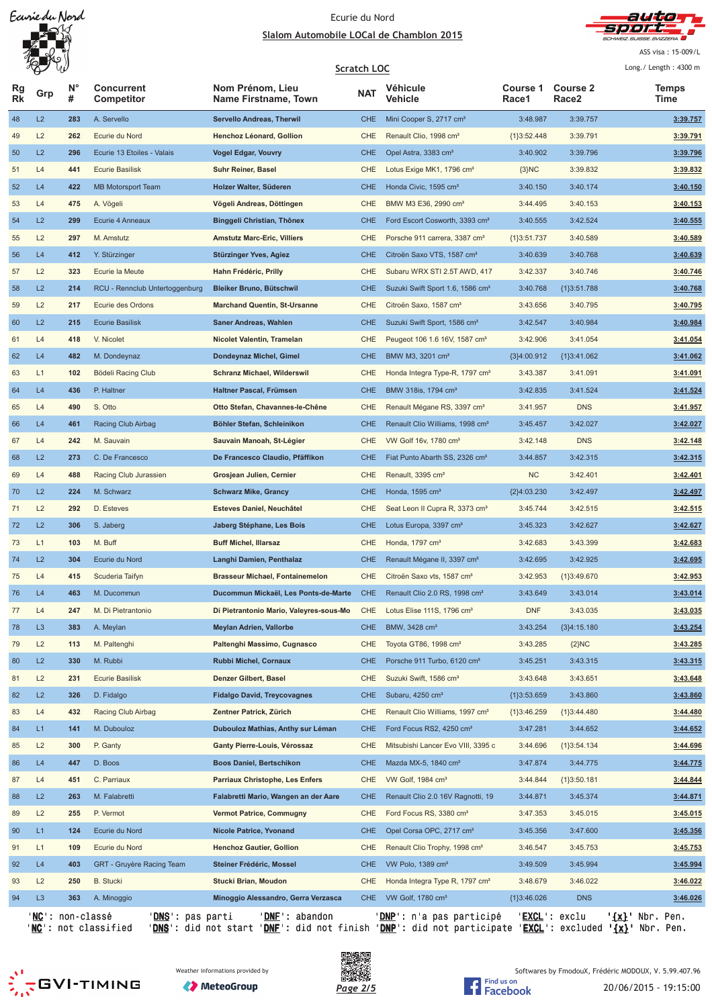

ASS visa: 15-009/L

|                 | W              |                  |                                 |                                          | <b>Scratch LOC</b> |                                              |                   |                                      | Long./ Length: 4300 m |
|-----------------|----------------|------------------|---------------------------------|------------------------------------------|--------------------|----------------------------------------------|-------------------|--------------------------------------|-----------------------|
| Rg<br><b>Rk</b> | Grp            | $N^{\circ}$<br># | <b>Concurrent</b><br>Competitor | Nom Prénom, Lieu<br>Name Firstname, Town | <b>NAT</b>         | Véhicule<br>Vehicle                          | Course 1<br>Race1 | <b>Course 2</b><br>Race <sub>2</sub> | <b>Temps</b><br>Time  |
| 48              | L2             | 283              | A. Servello                     | <b>Servello Andreas, Therwil</b>         | <b>CHE</b>         | Mini Cooper S, 2717 cm <sup>3</sup>          | 3:48.987          | 3:39.757                             | 3:39.757              |
| 49              | L2             | 262              | Ecurie du Nord                  | Henchoz Léonard, Gollion                 | CHE                | Renault Clio, 1998 cm <sup>3</sup>           | ${1}3:52.448$     | 3:39.791                             | 3:39.791              |
| 50              | L2             | 296              | Ecurie 13 Etoiles - Valais      | Vogel Edgar, Vouvry                      | <b>CHE</b>         | Opel Astra, 3383 cm <sup>3</sup>             | 3:40.902          | 3:39.796                             | 3:39.796              |
| 51              | L4             | 441              | <b>Ecurie Basilisk</b>          | <b>Suhr Reiner, Basel</b>                | CHE                | Lotus Exige MK1, 1796 cm <sup>3</sup>        | ${3}NC$           | 3:39.832                             | 3:39.832              |
| 52              | L4             | 422              | <b>MB Motorsport Team</b>       | Holzer Walter, Süderen                   | <b>CHE</b>         | Honda Civic, 1595 cm <sup>3</sup>            | 3:40.150          | 3:40.174                             | 3:40.150              |
| 53              | L4             | 475              | A. Vögeli                       | Vögeli Andreas, Döttingen                | <b>CHE</b>         | BMW M3 E36, 2990 cm <sup>3</sup>             | 3:44.495          | 3:40.153                             | 3:40.153              |
| 54              | L2             | 299              | Ecurie 4 Anneaux                | Binggeli Christian, Thônex               | <b>CHE</b>         | Ford Escort Cosworth, 3393 cm <sup>3</sup>   | 3:40.555          | 3:42.524                             | 3:40.555              |
| 55              | L2             | 297              | M. Amstutz                      | <b>Amstutz Marc-Eric, Villiers</b>       | CHE                | Porsche 911 carrera, 3387 cm <sup>3</sup>    | ${1}3:51.737$     | 3:40.589                             | 3:40.589              |
| 56              | L4             | 412              | Y. Stürzinger                   | Stürzinger Yves, Agiez                   | <b>CHE</b>         | Citroën Saxo VTS, 1587 cm <sup>3</sup>       | 3:40.639          | 3:40.768                             | 3:40.639              |
| 57              | L2             | 323              | Ecurie la Meute                 | Hahn Frédéric, Prilly                    | CHE                | Subaru WRX STI 2.5T AWD, 417                 | 3:42.337          | 3:40.746                             | 3:40.746              |
| 58              | L2             | 214              | RCU - Rennclub Untertoggenburg  | Bleiker Bruno, Bütschwil                 | <b>CHE</b>         | Suzuki Swift Sport 1.6, 1586 cm <sup>3</sup> | 3:40.768          | {1}3:51.788                          | 3:40.768              |
| 59              | L2             | 217              | Ecurie des Ordons               | <b>Marchand Quentin, St-Ursanne</b>      | CHE                | Citroën Saxo, 1587 cm <sup>3</sup>           | 3:43.656          | 3:40.795                             | 3:40.795              |
| 60              | L2             | 215              | <b>Ecurie Basilisk</b>          | Saner Andreas, Wahlen                    | <b>CHE</b>         | Suzuki Swift Sport, 1586 cm <sup>3</sup>     | 3:42.547          | 3:40.984                             | 3:40.984              |
| 61              | L4             | 418              | V. Nicolet                      | Nicolet Valentin, Tramelan               | CHE                | Peugeot 106 1.6 16V, 1587 cm <sup>3</sup>    | 3:42.906          | 3:41.054                             | 3:41.054              |
| 62              | L4             | 482              | M. Dondeynaz                    | Dondeynaz Michel, Gimel                  | <b>CHE</b>         | BMW M3, 3201 cm <sup>3</sup>                 | ${3}4:00.912$     | ${1}3:41.062$                        | 3:41.062              |
| 63              | L1             | 102              | Bödeli Racing Club              | <b>Schranz Michael, Wilderswil</b>       | <b>CHE</b>         | Honda Integra Type-R, 1797 cm <sup>3</sup>   | 3:43.387          | 3:41.091                             | 3:41.091              |
| 64              | L4             | 436              | P. Haltner                      | Haltner Pascal, Frümsen                  | <b>CHE</b>         | BMW 318is, 1794 cm <sup>3</sup>              | 3:42.835          | 3:41.524                             | 3:41.524              |
| 65              | L4             | 490              | S. Otto                         | Otto Stefan, Chavannes-le-Chêne          | <b>CHE</b>         | Renault Mégane RS, 3397 cm <sup>3</sup>      | 3:41.957          | <b>DNS</b>                           | 3:41.957              |
| 66              | L4             | 461              | Racing Club Airbag              | Böhler Stefan, Schleinikon               | <b>CHE</b>         | Renault Clio Williams, 1998 cm <sup>3</sup>  | 3:45.457          | 3:42.027                             | 3:42.027              |
| 67              | L4             | 242              | M. Sauvain                      | Sauvain Manoah, St-Légier                | CHE                | VW Golf 16v, 1780 cm <sup>3</sup>            | 3:42.148          | <b>DNS</b>                           | 3:42.148              |
| 68              | L2             | 273              | C. De Francesco                 | De Francesco Claudio, Pfäffikon          | <b>CHE</b>         | Fiat Punto Abarth SS, 2326 cm <sup>3</sup>   | 3:44.857          | 3:42.315                             | 3:42.315              |
| 69              | L4             | 488              | Racing Club Jurassien           | Grosjean Julien, Cernier                 | <b>CHE</b>         | Renault, 3395 cm <sup>3</sup>                | <b>NC</b>         | 3:42.401                             | 3:42.401              |
| 70              | L2             | 224              | M. Schwarz                      | <b>Schwarz Mike, Grancy</b>              | <b>CHE</b>         | Honda, 1595 cm <sup>3</sup>                  | ${2}4:03.230$     | 3:42.497                             | 3:42.497              |
| 71              | L2             | 292              | D. Esteves                      | Esteves Daniel, Neuchâtel                | CHE                | Seat Leon II Cupra R, 3373 cm <sup>3</sup>   | 3:45.744          | 3:42.515                             | 3:42.515              |
| 72              | L2             | 306              | S. Jaberg                       | Jaberg Stéphane, Les Bois                | <b>CHE</b>         | Lotus Europa, 3397 cm <sup>3</sup>           | 3:45.323          | 3:42.627                             | 3:42.627              |
| 73              | L1             | 103              | M. Buff                         | <b>Buff Michel, Illarsaz</b>             | CHE                | Honda, 1797 cm <sup>3</sup>                  | 3:42.683          | 3:43.399                             | 3:42.683              |
| 74              | L2             | 304              | Ecurie du Nord                  | Langhi Damien, Penthalaz                 | <b>CHE</b>         | Renault Mégane II, 3397 cm <sup>3</sup>      | 3:42.695          | 3:42.925                             | 3:42.695              |
| 75              | L4             | 415              | Scuderia Taifyn                 | <b>Brasseur Michael, Fontainemelon</b>   | <b>CHE</b>         | Citroën Saxo vts, 1587 cm <sup>3</sup>       | 3:42.953          | ${1}3:49.670$                        | 3:42.953              |
| 76              | L4             | 463              | M. Ducommun                     | Ducommun Mickaël, Les Ponts-de-Marte     | <b>CHE</b>         | Renault Clio 2.0 RS, 1998 cm <sup>3</sup>    | 3:43.649          | 3:43.014                             | 3:43.014              |
| 77              | L4             | 247              | M. Di Pietrantonio              | Di Pietrantonio Mario, Valeyres-sous-Mo  | CHE                | Lotus Elise 111S, 1796 cm <sup>3</sup>       | <b>DNF</b>        | 3:43.035                             | 3:43.035              |
| 78              | L <sub>3</sub> | 383              | A. Meylan                       | <b>Meylan Adrien, Vallorbe</b>           | <b>CHE</b>         | BMW, 3428 cm <sup>3</sup>                    | 3:43.254          | ${3}4:15.180$                        | 3:43.254              |
| 79              | L2             | 113              | M. Paltenghi                    | Paltenghi Massimo, Cugnasco              | CHE                | Toyota GT86, 1998 cm <sup>3</sup>            | 3:43.285          | ${2}NC$                              | 3:43.285              |
| 80              | L2             | 330              | M. Rubbi                        | Rubbi Michel, Cornaux                    | <b>CHE</b>         | Porsche 911 Turbo, 6120 cm <sup>3</sup>      | 3:45.251          | 3:43.315                             | 3:43.315              |
| 81              | L2             | 231              | <b>Ecurie Basilisk</b>          | Denzer Gilbert, Basel                    | CHE                | Suzuki Swift, 1586 cm <sup>3</sup>           | 3:43.648          | 3:43.651                             | 3:43.648              |
| 82              | L2             | 326              | D. Fidalgo                      | <b>Fidalgo David, Treycovagnes</b>       | <b>CHE</b>         | Subaru, 4250 cm <sup>3</sup>                 | ${1}3:53.659$     | 3:43.860                             | 3:43.860              |
| 83              | L4             | 432              | Racing Club Airbag              | Zentner Patrick, Zürich                  | CHE                | Renault Clio Williams, 1997 cm <sup>3</sup>  | ${1}3:46.259$     | ${1}3:44.480$                        | 3:44.480              |
| 84              | L1             | 141              | M. Dubouloz                     | Dubouloz Mathias, Anthy sur Léman        | <b>CHE</b>         | Ford Focus RS2, 4250 cm <sup>3</sup>         | 3:47.281          | 3:44.652                             | 3:44.652              |
| 85              | L2             | 300              | P. Ganty                        | Ganty Pierre-Louis, Vérossaz             | CHE                | Mitsubishi Lancer Evo VIII, 3395 c           | 3:44.696          | ${1}3:54.134$                        | 3:44.696              |
| 86              | L4             | 447              | D. Boos                         | <b>Boos Daniel, Bertschikon</b>          | <b>CHE</b>         | Mazda MX-5, 1840 cm <sup>3</sup>             | 3:47.874          | 3:44.775                             | 3:44.775              |
| 87              | L4             | 451              | C. Parriaux                     | Parriaux Christophe, Les Enfers          | CHE                | VW Golf, 1984 cm <sup>3</sup>                | 3:44.844          | ${1}3:50.181$                        | 3:44.844              |
| 88              | L2             | 263              | M. Falabretti                   | Falabretti Mario, Wangen an der Aare     | <b>CHE</b>         | Renault Clio 2.0 16V Ragnotti, 19            | 3:44.871          | 3:45.374                             | 3:44.871              |
| 89              | L2             | 255              | P. Vermot                       | <b>Vermot Patrice, Commugny</b>          | CHE                | Ford Focus RS, 3380 cm <sup>3</sup>          | 3:47.353          | 3:45.015                             | 3:45.015              |
| 90              | L1             | 124              | Ecurie du Nord                  | Nicole Patrice, Yvonand                  | <b>CHE</b>         | Opel Corsa OPC, 2717 cm <sup>3</sup>         | 3:45.356          | 3:47.600                             | 3:45.356              |
| 91              | L1             | 109              | Ecurie du Nord                  | <b>Henchoz Gautier, Gollion</b>          | CHE                | Renault Clio Trophy, 1998 cm <sup>3</sup>    | 3:46.547          | 3:45.753                             | 3:45.753              |
| 92              | L4             | 403              | GRT - Gruyère Racing Team       | Steiner Frédéric, Mossel                 | <b>CHE</b>         | VW Polo, 1389 cm <sup>3</sup>                | 3:49.509          | 3:45.994                             | 3:45.994              |
| 93              | L2             | 250              | <b>B.</b> Stucki                | Stucki Brian, Moudon                     | CHE                | Honda Integra Type R, 1797 cm <sup>3</sup>   | 3:48.679          | 3:46.022                             | 3:46.022              |
| 94              | L <sub>3</sub> | 363              | A. Minoggio                     | Minoggio Alessandro, Gerra Verzasca      | <b>CHE</b>         | VW Golf, 1780 cm <sup>3</sup>                | {1}3:46.026       | <b>DNS</b>                           | 3:46.026              |
|                 |                |                  |                                 |                                          |                    |                                              |                   |                                      |                       |

'<u>NC</u>': non-classé '<u>DNS</u>': pas parti '<u>DNF</u>': abandon '<u>DNP</u>': n'a pas participé '<u>EXCL</u>': exclu '<u>{x}</u>' Nbr. Pen. '<u>NC</u>': not classified '<u>DNS</u>': did not start '<u>DNF</u>': did not finish '<u>DNP</u>': did not participate '<u>EXCL</u>': excluded **'<u>{x}</u>'** Nbr. Pen.



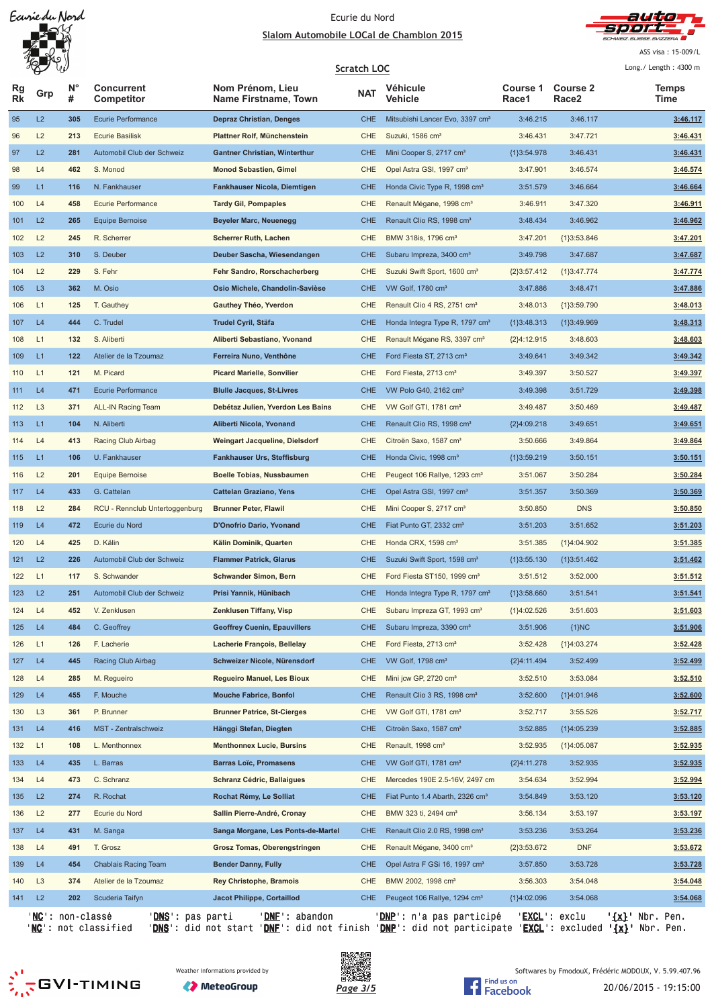

ASS visa: 15-009/L

|                 | W              |                |                                        |                                          | <b>Scratch LOC</b> |                                             |                   |                          | Long./ Length: 4300 m |
|-----------------|----------------|----------------|----------------------------------------|------------------------------------------|--------------------|---------------------------------------------|-------------------|--------------------------|-----------------------|
| Rg<br><b>Rk</b> | Grp            | <b>N°</b><br># | <b>Concurrent</b><br><b>Competitor</b> | Nom Prénom, Lieu<br>Name Firstname, Town | <b>NAT</b>         | Véhicule<br>Vehicle                         | Course 1<br>Race1 | <b>Course 2</b><br>Race2 | <b>Temps</b><br>Time  |
| 95              | L2             | 305            | Ecurie Performance                     | <b>Depraz Christian, Denges</b>          | <b>CHE</b>         | Mitsubishi Lancer Evo, 3397 cm <sup>3</sup> | 3:46.215          | 3:46.117                 | 3:46.117              |
| 96              | L2             | 213            | <b>Ecurie Basilisk</b>                 | Plattner Rolf, Münchenstein              | CHE                | Suzuki, 1586 cm <sup>3</sup>                | 3:46.431          | 3:47.721                 | 3:46.431              |
| 97              | L2             | 281            | Automobil Club der Schweiz             | <b>Gantner Christian, Winterthur</b>     | <b>CHE</b>         | Mini Cooper S, 2717 cm <sup>3</sup>         | ${1}3:54.978$     | 3:46.431                 | 3:46.431              |
| 98              | L4             | 462            | S. Monod                               | <b>Monod Sebastien, Gimel</b>            | CHE                | Opel Astra GSI, 1997 cm <sup>3</sup>        | 3:47.901          | 3:46.574                 | 3:46.574              |
| 99              | L1             | 116            | N. Fankhauser                          | Fankhauser Nicola, Diemtigen             | <b>CHE</b>         | Honda Civic Type R, 1998 cm <sup>3</sup>    | 3:51.579          | 3:46.664                 | 3:46.664              |
| 100             | L4             | 458            | Ecurie Performance                     | <b>Tardy Gil, Pompaples</b>              | <b>CHE</b>         | Renault Mégane, 1998 cm <sup>3</sup>        | 3:46.911          | 3:47.320                 | 3:46.911              |
| 101             | L2             | 265            | <b>Equipe Bernoise</b>                 | <b>Beyeler Marc, Neuenegg</b>            | <b>CHE</b>         | Renault Clio RS, 1998 cm <sup>3</sup>       | 3:48.434          | 3:46.962                 | 3:46.962              |
| 102             | L2             | 245            | R. Scherrer                            | <b>Scherrer Ruth, Lachen</b>             | <b>CHE</b>         | BMW 318is, 1796 cm <sup>3</sup>             | 3:47.201          | ${1}3:53.846$            | 3:47.201              |
| 103             | L2             | 310            | S. Deuber                              | Deuber Sascha, Wiesendangen              | <b>CHE</b>         | Subaru Impreza, 3400 cm <sup>3</sup>        | 3:49.798          | 3:47.687                 | 3:47.687              |
| 104             | L2             | 229            | S. Fehr                                | Fehr Sandro, Rorschacherberg             | CHE                | Suzuki Swift Sport, 1600 cm <sup>3</sup>    | ${2}3:57.412$     | ${1}3:47.774$            | 3:47.774              |
| 105             | L <sub>3</sub> | 362            | M. Osio                                | Osio Michele, Chandolin-Savièse          | <b>CHE</b>         | VW Golf, 1780 cm <sup>3</sup>               | 3:47.886          | 3:48.471                 | 3:47.886              |
| 106             | L1             | 125            | T. Gauthey                             | Gauthey Théo, Yverdon                    | CHE                | Renault Clio 4 RS, 2751 cm <sup>3</sup>     | 3:48.013          | ${1}3:59.790$            | 3:48.013              |
| 107             | L4             | 444            | C. Trudel                              | Trudel Cyril, Stäfa                      | <b>CHE</b>         | Honda Integra Type R, 1797 cm <sup>3</sup>  | ${1}3:48.313$     | ${1}3:49.969$            | 3:48.313              |
| 108             | L1             | 132            | S. Aliberti                            | Aliberti Sebastiano, Yvonand             | CHE                | Renault Mégane RS, 3397 cm <sup>3</sup>     | ${2}4:12.915$     | 3:48.603                 | 3:48.603              |
| 109             | L1             | 122            | Atelier de la Tzoumaz                  | Ferreira Nuno, Venthône                  | <b>CHE</b>         | Ford Fiesta ST, 2713 cm <sup>3</sup>        | 3:49.641          | 3:49.342                 | 3:49.342              |
| 110             | L1             | 121            | M. Picard                              | <b>Picard Marielle, Sonvilier</b>        | CHE                | Ford Fiesta, 2713 cm <sup>3</sup>           | 3:49.397          | 3:50.527                 | 3:49.397              |
| 111             | L4             | 471            | Ecurie Performance                     | <b>Blulle Jacques, St-Livres</b>         | <b>CHE</b>         | VW Polo G40, 2162 cm <sup>3</sup>           | 3:49.398          | 3:51.729                 | 3:49.398              |
| 112             | L <sub>3</sub> | 371            | <b>ALL-IN Racing Team</b>              | Debétaz Julien, Yverdon Les Bains        | CHE                | VW Golf GTI, 1781 cm <sup>3</sup>           | 3:49.487          | 3:50.469                 | 3:49.487              |
| 113             | L1             | 104            | N. Aliberti                            | Aliberti Nicola, Yvonand                 | <b>CHE</b>         | Renault Clio RS, 1998 cm <sup>3</sup>       | ${2}4:09.218$     | 3:49.651                 | 3:49.651              |
| 114             | L4             | 413            | Racing Club Airbag                     | Weingart Jacqueline, Dielsdorf           | CHE                | Citroën Saxo, 1587 cm <sup>3</sup>          | 3:50.666          | 3:49.864                 | 3:49.864              |
| 115             | L1             | 106            | U. Fankhauser                          | <b>Fankhauser Urs, Steffisburg</b>       | <b>CHE</b>         | Honda Civic, 1998 cm <sup>3</sup>           | ${1}3:59.219$     | 3:50.151                 | 3:50.151              |
| 116             | L2             | 201            | <b>Equipe Bernoise</b>                 | Boelle Tobias, Nussbaumen                | <b>CHE</b>         | Peugeot 106 Rallye, 1293 cm <sup>3</sup>    | 3:51.067          | 3:50.284                 | 3:50.284              |
| 117             | L4             | 433            | G. Cattelan                            | <b>Cattelan Graziano, Yens</b>           | <b>CHE</b>         | Opel Astra GSI, 1997 cm <sup>3</sup>        | 3:51.357          | 3:50.369                 | 3:50.369              |
| 118             | L2             | 284            | RCU - Rennclub Untertoggenburg         | <b>Brunner Peter, Flawil</b>             | CHE                | Mini Cooper S, 2717 cm <sup>3</sup>         | 3:50.850          | <b>DNS</b>               | 3:50.850              |
| 119             | L4             | 472            | Ecurie du Nord                         | D'Onofrio Dario, Yvonand                 | <b>CHE</b>         | Fiat Punto GT, 2332 cm <sup>3</sup>         | 3:51.203          | 3:51.652                 | 3:51.203              |
| 120             | L4             | 425            | D. Kälin                               | Kälin Dominik, Quarten                   | CHE                | Honda CRX, 1598 cm <sup>3</sup>             | 3:51.385          | {1}4:04.902              | 3:51.385              |
| 121             | L2             | 226            | Automobil Club der Schweiz             | <b>Flammer Patrick, Glarus</b>           | <b>CHE</b>         | Suzuki Swift Sport, 1598 cm <sup>3</sup>    | ${1}3:55.130$     | ${1}3:51.462$            | 3:51.462              |
| 122             | L1             | 117            | S. Schwander                           | <b>Schwander Simon, Bern</b>             | <b>CHE</b>         | Ford Fiesta ST150, 1999 cm <sup>3</sup>     | 3:51.512          | 3:52.000                 | 3:51.512              |
| 123             | L2             | 251            | Automobil Club der Schweiz             | Prisi Yannik, Hünibach                   | <b>CHE</b>         | Honda Integra Type R, 1797 cm <sup>3</sup>  | ${1}3:58.660$     | 3:51.541                 | 3:51.541              |
| 124             | L4             | 452            | V. Zenklusen                           | <b>Zenklusen Tiffany, Visp</b>           | CHE                | Subaru Impreza GT, 1993 cm <sup>3</sup>     | ${1}4:02.526$     | 3:51.603                 | 3:51.603              |
| 125             | L4             | 484            | C. Geoffrey                            | <b>Geoffrey Cuenin, Epauvillers</b>      | <b>CHE</b>         | Subaru Impreza, 3390 cm <sup>3</sup>        | 3:51.906          | ${1}NC$                  | 3:51.906              |
| 126             | L1             | 126            | F. Lacherie                            | Lacherie François, Bellelay              | CHE                | Ford Fiesta, 2713 cm <sup>3</sup>           | 3:52.428          | ${1}4:03.274$            | 3:52.428              |
| 127             | L4             | 445            | Racing Club Airbag                     | Schweizer Nicole, Nürensdorf             | <b>CHE</b>         | VW Golf, 1798 cm <sup>3</sup>               | {2}4:11.494       | 3:52.499                 | 3:52.499              |
| 128             | L4             | 285            | M. Regueiro                            | <b>Regueiro Manuel, Les Bioux</b>        | CHE                | Mini jcw GP, 2720 cm <sup>3</sup>           | 3:52.510          | 3:53.084                 | 3:52.510              |
| 129             | L4             | 455            | F. Mouche                              | <b>Mouche Fabrice, Bonfol</b>            | <b>CHE</b>         | Renault Clio 3 RS, 1998 cm <sup>3</sup>     | 3:52.600          | ${1}4:01.946$            | 3:52.600              |
| 130             | L <sub>3</sub> | 361            | P. Brunner                             | <b>Brunner Patrice, St-Cierges</b>       | CHE                | VW Golf GTI, 1781 cm <sup>3</sup>           | 3:52.717          | 3:55.526                 | 3:52.717              |
| 131             | L4             | 416            | MST - Zentralschweiz                   | Hänggi Stefan, Diegten                   | <b>CHE</b>         | Citroën Saxo, 1587 cm <sup>3</sup>          | 3:52.885          | ${1}4:05.239$            | 3:52.885              |
| 132             | L1             | 108            | L. Menthonnex                          | <b>Menthonnex Lucie, Bursins</b>         | CHE                | Renault, 1998 cm <sup>3</sup>               | 3:52.935          | ${1}4:05.087$            | 3:52.935              |
| 133             | L4             | 435            | L. Barras                              | <b>Barras Loïc, Promasens</b>            | <b>CHE</b>         | VW Golf GTI, 1781 cm <sup>3</sup>           | {2}4:11.278       | 3:52.935                 | 3:52.935              |
| 134             | L4             | 473            | C. Schranz                             | Schranz Cédric, Ballaigues               | CHE                | Mercedes 190E 2.5-16V, 2497 cm              | 3:54.634          | 3:52.994                 | 3:52.994              |
| 135             | L2             | 274            | R. Rochat                              | Rochat Rémy, Le Solliat                  | <b>CHE</b>         | Fiat Punto 1.4 Abarth, 2326 cm <sup>3</sup> | 3:54.849          | 3:53.120                 | 3:53.120              |
| 136             | L2             | 277            | Ecurie du Nord                         | Sallin Pierre-André, Cronay              | <b>CHE</b>         | BMW 323 ti, 2494 cm <sup>3</sup>            | 3:56.134          | 3:53.197                 | 3:53.197              |
| 137             | L4             | 431            | M. Sanga                               | Sanga Morgane, Les Ponts-de-Martel       | <b>CHE</b>         | Renault Clio 2.0 RS, 1998 cm <sup>3</sup>   | 3:53.236          | 3:53.264                 | 3:53.236              |
| 138             | L4             | 491            | T. Grosz                               | Grosz Tomas, Oberengstringen             | CHE                | Renault Mégane, 3400 cm <sup>3</sup>        | ${2}3:53.672$     | <b>DNF</b>               | 3:53.672              |
| 139             | L4             | 454            | Chablais Racing Team                   | <b>Bender Danny, Fully</b>               | <b>CHE</b>         | Opel Astra F GSi 16, 1997 cm <sup>3</sup>   | 3:57.850          | 3:53.728                 | 3:53.728              |
| 140             | L <sub>3</sub> | 374            | Atelier de la Tzoumaz                  | <b>Rey Christophe, Bramois</b>           | <b>CHE</b>         | BMW 2002, 1998 cm <sup>3</sup>              | 3:56.303          | 3:54.048                 | 3:54.048              |
| 141             | L2             | 202            | Scuderia Taifyn                        | Jacot Philippe, Cortaillod               | <b>CHE</b>         | Peugeot 106 Rallye, 1294 cm <sup>3</sup>    | {1}4:02.096       | 3:54.068                 | 3:54.068              |
|                 |                |                |                                        |                                          |                    |                                             |                   |                          |                       |

'<u>NC</u>': non-classé '<u>DNS</u>': pas parti '<u>DNF</u>': abandon '<u>DNP</u>': n'a pas participé '<u>EXCL</u>': exclu '<u>{x}</u>' Nbr. Pen. '<u>NC</u>': not classified '<u>DNS</u>': did not start '<u>DNF</u>': did not finish '<u>DNP</u>': did not participate '<u>EXCL</u>': excluded **'<u>{x}</u>'** Nbr. Pen.







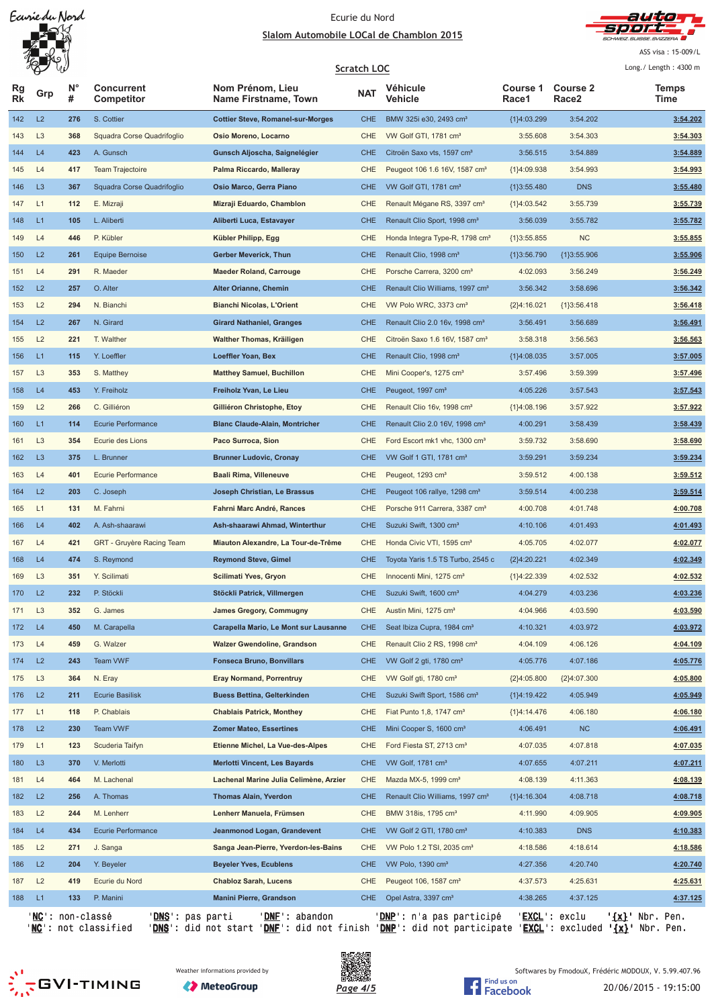

ASS visa: 15-009/L

|          |                |                  |                                 | Scratch LOC                              |            |                                             | Long./ Length: 4300 m |                          |                          |
|----------|----------------|------------------|---------------------------------|------------------------------------------|------------|---------------------------------------------|-----------------------|--------------------------|--------------------------|
| Rg<br>Rk | Grp            | <b>N°</b><br>#   | <b>Concurrent</b><br>Competitor | Nom Prénom, Lieu<br>Name Firstname, Town | <b>NAT</b> | Véhicule<br>Vehicle                         | Course 1<br>Race1     | <b>Course 2</b><br>Race2 | <b>Temps</b><br>Time     |
| 142      | L2             | 276              | S. Cottier                      | <b>Cottier Steve, Romanel-sur-Morges</b> | <b>CHE</b> | BMW 325i e30, 2493 cm <sup>3</sup>          | {1}4:03.299           | 3:54.202                 | 3:54.202                 |
| 143      | L <sub>3</sub> | 368              | Squadra Corse Quadrifoglio      | Osio Moreno, Locarno                     | CHE        | VW Golf GTI, 1781 cm <sup>3</sup>           | 3:55.608              | 3:54.303                 | 3:54.303                 |
| 144      | L4             | 423              | A. Gunsch                       | Gunsch Aljoscha, Saignelégier            | <b>CHE</b> | Citroën Saxo vts, 1597 cm <sup>3</sup>      | 3:56.515              | 3:54.889                 | 3:54.889                 |
| 145      | L4             | 417              | <b>Team Trajectoire</b>         | Palma Riccardo, Malleray                 | CHE        | Peugeot 106 1.6 16V, 1587 cm <sup>3</sup>   | ${1}4:09.938$         | 3:54.993                 | 3:54.993                 |
| 146      | L <sub>3</sub> | 367              | Squadra Corse Quadrifoglio      | Osio Marco, Gerra Piano                  | <b>CHE</b> | VW Golf GTI, 1781 cm <sup>3</sup>           | ${1}3:55.480$         | <b>DNS</b>               | 3:55.480                 |
| 147      | L1             | 112              | E. Mizraji                      | Mizraji Eduardo, Chamblon                | CHE        | Renault Mégane RS, 3397 cm <sup>3</sup>     | ${1}4:03.542$         | 3:55.739                 | 3:55.739                 |
| 148      | L1             | 105              | L. Aliberti                     | Aliberti Luca, Estavayer                 | <b>CHE</b> | Renault Clio Sport, 1998 cm <sup>3</sup>    | 3:56.039              | 3:55.782                 | 3:55.782                 |
| 149      | L4             | 446              | P. Kübler                       | Kübler Philipp, Egg                      | CHE        | Honda Integra Type-R, 1798 cm <sup>3</sup>  | ${1}3:55.855$         | <b>NC</b>                | 3:55.855                 |
| 150      | L2             | 261              | <b>Equipe Bernoise</b>          | Gerber Meverick, Thun                    | <b>CHE</b> | Renault Clio, 1998 cm <sup>3</sup>          | ${1}3:56.790$         | ${1}3:55.906$            | 3:55.906                 |
| 151      | L4             | 291              | R. Maeder                       | <b>Maeder Roland, Carrouge</b>           | <b>CHE</b> | Porsche Carrera, 3200 cm <sup>3</sup>       | 4:02.093              | 3:56.249                 | 3:56.249                 |
| 152      | L2             | 257              | O. Alter                        | Alter Orianne, Chemin                    | <b>CHE</b> | Renault Clio Williams, 1997 cm <sup>3</sup> | 3:56.342              | 3:58.696                 | 3:56.342                 |
| 153      | L2             | 294              | N. Bianchi                      | <b>Bianchi Nicolas, L'Orient</b>         | CHE        | VW Polo WRC, 3373 cm <sup>3</sup>           | {2}4:16.021           | ${1}3:56.418$            | 3:56.418                 |
| 154      | L2             | 267              | N. Girard                       | <b>Girard Nathaniel, Granges</b>         | <b>CHE</b> | Renault Clio 2.0 16v, 1998 cm <sup>3</sup>  | 3:56.491              | 3:56.689                 | 3:56.491                 |
| 155      | L2             | 221              | T. Walther                      | Walther Thomas, Kräiligen                | CHE        | Citroën Saxo 1.6 16V, 1587 cm <sup>3</sup>  | 3:58.318              | 3:56.563                 | 3:56.563                 |
| 156      | L1             | 115              | Y. Loeffler                     | Loeffler Yoan, Bex                       | <b>CHE</b> | Renault Clio, 1998 cm <sup>3</sup>          | {1}4:08.035           | 3:57.005                 | 3:57.005                 |
| 157      | L <sub>3</sub> | 353              | S. Matthey                      | <b>Matthey Samuel, Buchillon</b>         | CHE        | Mini Cooper's, 1275 cm <sup>3</sup>         | 3:57.496              | 3:59.399                 | 3:57.496                 |
| 158      | L4             | 453              | Y. Freiholz                     | Freiholz Yvan, Le Lieu                   | <b>CHE</b> | Peugeot, 1997 cm <sup>3</sup>               | 4:05.226              | 3:57.543                 | 3:57.543                 |
| 159      | L2             | 266              | C. Gilliéron                    | Gilliéron Christophe, Etoy               | CHE        | Renault Clio 16v, 1998 cm <sup>3</sup>      | ${1}4:08.196$         | 3:57.922                 | 3:57.922                 |
| 160      | L1             | 114              | Ecurie Performance              | <b>Blanc Claude-Alain, Montricher</b>    | <b>CHE</b> | Renault Clio 2.0 16V, 1998 cm <sup>3</sup>  | 4:00.291              | 3:58.439                 | 3:58.439                 |
| 161      | L <sub>3</sub> | 354              | Ecurie des Lions                | Paco Surroca, Sion                       | CHE        | Ford Escort mk1 vhc, 1300 cm <sup>3</sup>   | 3:59.732              | 3:58.690                 | 3:58.690                 |
| 162      | L <sub>3</sub> | 375              | L. Brunner                      | <b>Brunner Ludovic, Cronay</b>           | <b>CHE</b> | VW Golf 1 GTI, 1781 cm <sup>3</sup>         | 3:59.291              | 3:59.234                 | 3:59.234                 |
| 163      | L4             | 401              | Ecurie Performance              | <b>Baali Rima, Villeneuve</b>            | CHE        | Peugeot, 1293 cm <sup>3</sup>               | 3:59.512              | 4:00.138                 | 3:59.512                 |
| 164      | L2             | 203              | C. Joseph                       | Joseph Christian, Le Brassus             | <b>CHE</b> | Peugeot 106 rallye, 1298 cm <sup>3</sup>    | 3:59.514              | 4:00.238                 | 3:59.514                 |
| 165      | L1             | 131              | M. Fahrni                       | Fahrni Marc André, Rances                | CHE        | Porsche 911 Carrera, 3387 cm <sup>3</sup>   | 4:00.708              | 4:01.748                 | 4:00.708                 |
| 166      | L4             | 402              | A. Ash-shaarawi                 | Ash-shaarawi Ahmad, Winterthur           | <b>CHE</b> | Suzuki Swift, 1300 cm <sup>3</sup>          | 4:10.106              | 4:01.493                 | 4:01.493                 |
| 167      | L4             | 421              | GRT - Gruyère Racing Team       | Miauton Alexandre, La Tour-de-Trême      | <b>CHE</b> | Honda Civic VTI, 1595 cm <sup>3</sup>       | 4:05.705              | 4:02.077                 | 4:02.077                 |
| 168      | L4             | 474              | S. Reymond                      | <b>Reymond Steve, Gimel</b>              | <b>CHE</b> | Toyota Yaris 1.5 TS Turbo, 2545 c           | ${2}4:20.221$         | 4:02.349                 | 4:02.349                 |
| 169      | L <sub>3</sub> | 351              | Y. Scilimati                    | <b>Scilimati Yves, Gryon</b>             | <b>CHE</b> | Innocenti Mini, 1275 cm <sup>3</sup>        | ${1}4:22.339$         | 4:02.532                 | 4:02.532                 |
| 170      | L2             | 232              | P. Stöckli                      | Stöckli Patrick, Villmergen              | <b>CHE</b> | Suzuki Swift, 1600 cm <sup>3</sup>          | 4:04.279              | 4:03.236                 | 4:03.236                 |
| 171      | L <sub>3</sub> | 352              | G. James                        | <b>James Gregory, Commugny</b>           | <b>CHE</b> | Austin Mini, 1275 cm <sup>3</sup>           | 4:04.966              | 4:03.590                 | 4:03.590                 |
| 172      | L4             | 450              | M. Carapella                    | Carapella Mario, Le Mont sur Lausanne    | <b>CHE</b> | Seat Ibiza Cupra, 1984 cm <sup>3</sup>      | 4:10.321              | 4:03.972                 | 4:03.972                 |
| 173      | L4             | 459              | G. Walzer                       | Walzer Gwendoline, Grandson              | CHE        | Renault Clio 2 RS, 1998 cm <sup>3</sup>     | 4:04.109              | 4:06.126                 | 4:04.109                 |
| 174      | L2             | 243              | Team VWF                        | <b>Fonseca Bruno, Bonvillars</b>         | <b>CHE</b> | VW Golf 2 gti, 1780 cm <sup>3</sup>         | 4:05.776              | 4:07.186                 | 4:05.776                 |
| 175      | L <sub>3</sub> | 364              | N. Eray                         | <b>Eray Normand, Porrentruy</b>          | CHE        | VW Golf gti, 1780 cm <sup>3</sup>           | ${2}4:05.800$         | {2}4:07.300              | 4:05.800                 |
| 176      | L2             | 211              | <b>Ecurie Basilisk</b>          | <b>Buess Bettina, Gelterkinden</b>       | <b>CHE</b> | Suzuki Swift Sport, 1586 cm <sup>3</sup>    | {1}4:19.422           | 4:05.949                 | 4:05.949                 |
| 177      | L1             | 118              | P. Chablais                     | <b>Chablais Patrick, Monthey</b>         | CHE        | Fiat Punto $1,8$ , 1747 cm <sup>3</sup>     | {1}4:14.476           | 4:06.180                 | 4:06.180                 |
| 178      | L2             | 230              | Team VWF                        | <b>Zomer Mateo, Essertines</b>           | <b>CHE</b> | Mini Cooper S, 1600 cm <sup>3</sup>         | 4:06.491              | NC                       | 4:06.491                 |
| 179      | L1             | 123              | Scuderia Taifyn                 | Etienne Michel, La Vue-des-Alpes         | CHE        | Ford Fiesta ST, 2713 cm <sup>3</sup>        | 4:07.035              | 4:07.818                 | 4:07.035                 |
| 180      | L <sub>3</sub> | 370              | V. Merlotti                     | <b>Merlotti Vincent, Les Bayards</b>     | <b>CHE</b> | VW Golf, 1781 cm <sup>3</sup>               | 4:07.655              | 4:07.211                 | 4:07.211                 |
| 181      | L4             | 464              | M. Lachenal                     | Lachenal Marine Julia Celimène, Arzier   | CHE        | Mazda MX-5, 1999 cm <sup>3</sup>            | 4:08.139              | 4:11.363                 | 4:08.139                 |
| 182      | L2             | 256              | A. Thomas                       | <b>Thomas Alain, Yverdon</b>             | <b>CHE</b> | Renault Clio Williams, 1997 cm <sup>3</sup> | ${1}4:16.304$         | 4:08.718                 | 4:08.718                 |
| 183      | L2             | 244              | M. Lenherr                      | Lenherr Manuela, Frümsen                 | CHE        | BMW 318is, 1795 cm <sup>3</sup>             | 4:11.990              | 4:09.905                 | 4:09.905                 |
| 184      | L4             | 434              | Ecurie Performance              | Jeanmonod Logan, Grandevent              | <b>CHE</b> | VW Golf 2 GTI, 1780 cm <sup>3</sup>         | 4:10.383              | <b>DNS</b>               | 4:10.383                 |
| 185      | L2             | 271              | J. Sanga                        | Sanga Jean-Pierre, Yverdon-les-Bains     | CHE        | VW Polo 1.2 TSI, 2035 cm <sup>3</sup>       | 4:18.586              | 4:18.614                 | 4:18.586                 |
| 186      | L2             | 204              | Y. Beyeler                      | <b>Beyeler Yves, Ecublens</b>            | <b>CHE</b> | VW Polo, 1390 cm <sup>3</sup>               | 4:27.356              | 4:20.740                 | 4:20.740                 |
| 187      | L2             | 419              | Ecurie du Nord                  | <b>Chabloz Sarah, Lucens</b>             | CHE        | Peugeot 106, 1587 cm <sup>3</sup>           | 4:37.573              | 4:25.631                 | 4:25.631                 |
| 188      | L1             | 133              | P. Manini                       | Manini Pierre, Grandson                  | <b>CHE</b> | Opel Astra, 3397 cm <sup>3</sup>            | 4:38.265              | 4:37.125                 | 4:37.125                 |
|          |                | 'NC': non-classé | 'DNS': pas parti                | ' <b>DNF</b> ': abandon                  |            | ' <u>DNP</u> ': n'a pas participé           |                       | ' <u>EXCL</u> ': exclu   | ' <u>{x}</u> ' Nbr. Pen. |

'<u>NC</u>': not classified '<u>DNS</u>': did not start '<u>DNF</u>': did not finish '<u>DNP</u>': did not participate '<u>EXCL</u>': excluded **'<u>{x}</u>'** Nbr. Pen.



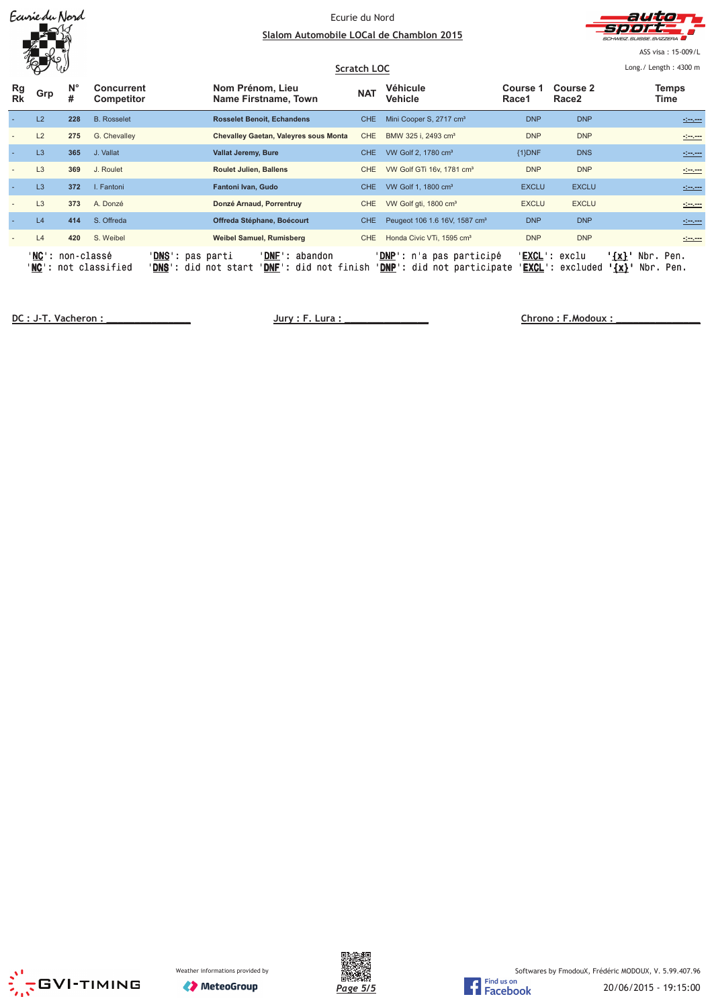|                 | Earriedu Nord                       |                  |                          |                                                  | Ecurie du Nord<br>Slalom Automobile LOCal de Chamblon 2015<br>Scratch LOC |                                                         |            |                                                                 |                   | auto<br>CHWEIZ SUISSE SVIZZERA<br>ASS visa: 15-009/L<br>Long./ Length: 4300 m |                                    |                                 |  |
|-----------------|-------------------------------------|------------------|--------------------------|--------------------------------------------------|---------------------------------------------------------------------------|---------------------------------------------------------|------------|-----------------------------------------------------------------|-------------------|-------------------------------------------------------------------------------|------------------------------------|---------------------------------|--|
| Rg<br><b>Rk</b> | Grp                                 | $N^{\circ}$<br># | Concurrent<br>Competitor |                                                  | Nom Prénom, Lieu                                                          | Name Firstname, Town                                    | <b>NAT</b> | Véhicule<br>Vehicle                                             | Course 1<br>Race1 | Course 2<br>Race <sub>2</sub>                                                 |                                    | Temps<br>Time                   |  |
|                 | L2                                  | 228              | <b>B.</b> Rosselet       |                                                  |                                                                           | <b>Rosselet Benoit, Echandens</b>                       | CHE.       | Mini Cooper S, 2717 cm <sup>3</sup>                             | <b>DNP</b>        | <b>DNP</b>                                                                    |                                    | -1-1-1-1                        |  |
|                 | L2                                  | 275              | G. Chevalley             |                                                  |                                                                           | Chevalley Gaetan, Valeyres sous Monta                   | <b>CHE</b> | BMW 325 i. 2493 cm <sup>3</sup>                                 | <b>DNP</b>        | <b>DNP</b>                                                                    |                                    | -:--.---                        |  |
|                 | L <sub>3</sub>                      | 365              | J. Vallat                |                                                  | Vallat Jeremy, Bure                                                       |                                                         | CHE.       | VW Golf 2, 1780 cm <sup>3</sup>                                 | {1}DNF            | <b>DNS</b>                                                                    |                                    | <u>simm</u>                     |  |
|                 | L <sub>3</sub>                      | 369              | J. Roulet                |                                                  | <b>Roulet Julien, Ballens</b>                                             |                                                         | CHE.       | VW Golf GTi 16v, 1781 cm <sup>3</sup>                           | <b>DNP</b>        | <b>DNP</b>                                                                    |                                    |                                 |  |
|                 | L <sub>3</sub>                      | 372              | I. Fantoni               |                                                  | Fantoni Ivan, Gudo                                                        |                                                         | CHE        | VW Golf 1, 1800 cm <sup>3</sup>                                 | <b>EXCLU</b>      | <b>EXCLU</b>                                                                  |                                    | سيبيت                           |  |
|                 | L <sub>3</sub>                      | 373              | A. Donzé                 |                                                  | Donzé Arnaud, Porrentruy                                                  |                                                         | CHE.       | VW Golf gti, 1800 cm <sup>3</sup>                               | <b>EXCLU</b>      | <b>EXCLU</b>                                                                  |                                    | $\frac{1}{2}$ and $\frac{1}{2}$ |  |
|                 | L4                                  | 414              | S. Offreda               |                                                  |                                                                           | Offreda Stéphane, Boécourt                              | CHE.       | Peugeot 106 1.6 16V, 1587 cm <sup>3</sup>                       | <b>DNP</b>        | <b>DNP</b>                                                                    |                                    | <u>simm</u>                     |  |
|                 | L4                                  | 420              | S. Weibel                |                                                  | Weibel Samuel, Rumisberg                                                  |                                                         | CHE        | Honda Civic VTi, 1595 cm <sup>3</sup>                           | <b>DNP</b>        | <b>DNP</b>                                                                    |                                    | سيبيت                           |  |
|                 | ' <b>NC</b> ': non-classé<br>'NC' : |                  | not classified           | ' <b>DNS</b> ': pas parti<br>' <b>DNS</b> ': did | not start                                                                 | ' <b>DNF</b> ': abandon<br><b>DNF':</b> did not finish' |            | ' <b>DNP</b> ': n'a pas participé<br>'DNP': did not participate | EXCL':            | ' <b>EXCL</b> ': exclu<br>excluded                                            | $\{x\}$ '<br>Nbr.<br>$\frac{1}{x}$ | Pen.<br>Nbr. Pen.               |  |

**!"
"#\$** 





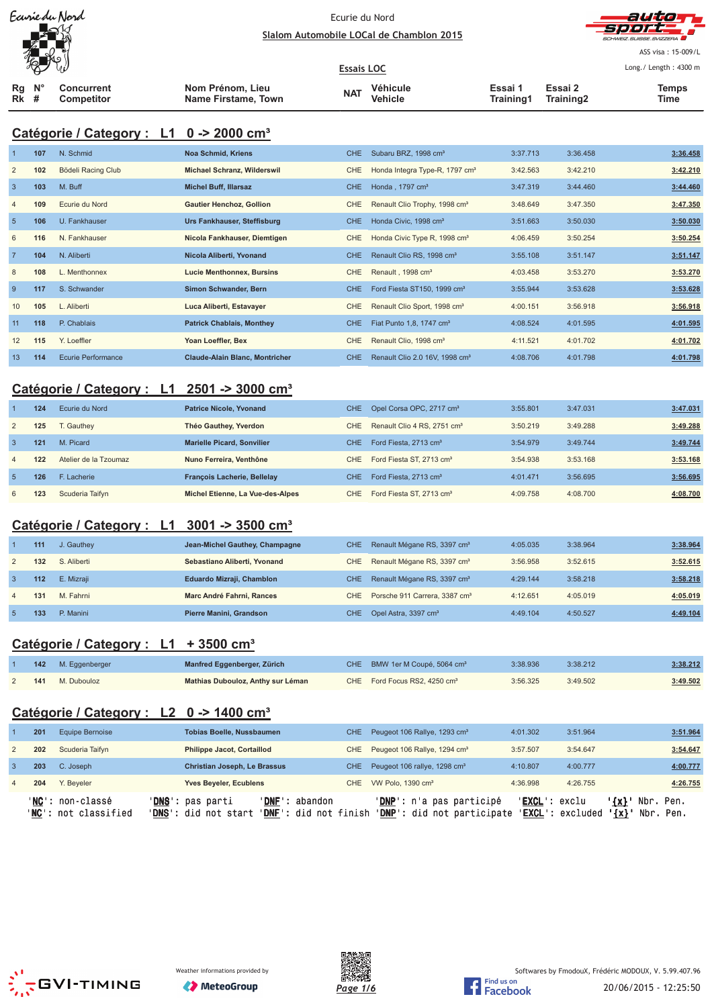| Ecurie du Nord |
|----------------|
|                |
|                |
|                |



ASS visa: 15-009/L Long./ Length: 4300 m

**Essais LOC** ₩ **Nom Prénom, Lieu Véhicule Essai 1 Essai 2 Concurrent Temps Rg N° The MAT**<br> **Training1 Training2** Training2 Time **Competitor Name Firstame, Town Vehicle Training1 Rk #**

# **Catégorie / Category : L1 0 -> 2000 cm³**

| $\overline{1}$ | 107 | N. Schmid                 | <b>Noa Schmid, Kriens</b>             | <b>CHE</b> | Subaru BRZ, 1998 cm <sup>3</sup>           | 3:37.713 | 3:36.458 | 3:36.458 |
|----------------|-----|---------------------------|---------------------------------------|------------|--------------------------------------------|----------|----------|----------|
| $\overline{2}$ | 102 | Bödeli Racing Club        | <b>Michael Schranz, Wilderswil</b>    | <b>CHE</b> | Honda Integra Type-R, 1797 cm <sup>3</sup> | 3:42.563 | 3:42.210 | 3:42.210 |
| $\overline{3}$ | 103 | M. Buff                   | <b>Michel Buff, Illarsaz</b>          | <b>CHE</b> | Honda, 1797 cm <sup>3</sup>                | 3:47.319 | 3:44.460 | 3:44.460 |
| $\overline{4}$ | 109 | Ecurie du Nord            | <b>Gautier Henchoz, Gollion</b>       | CHE.       | Renault Clio Trophy, 1998 cm <sup>3</sup>  | 3:48.649 | 3:47.350 | 3:47.350 |
| $5\phantom{1}$ | 106 | U. Fankhauser             | Urs Fankhauser, Steffisburg           | <b>CHE</b> | Honda Civic, 1998 cm <sup>3</sup>          | 3:51.663 | 3:50.030 | 3:50.030 |
| 6              | 116 | N. Fankhauser             | Nicola Fankhauser, Diemtigen          | CHE        | Honda Civic Type R, 1998 cm <sup>3</sup>   | 4:06.459 | 3:50.254 | 3:50.254 |
| $\overline{7}$ | 104 | N. Aliberti               | Nicola Aliberti, Yvonand              | <b>CHE</b> | Renault Clio RS, 1998 cm <sup>3</sup>      | 3:55.108 | 3:51.147 | 3:51.147 |
| 8              | 108 | L. Menthonnex             | <b>Lucie Menthonnex, Bursins</b>      | <b>CHE</b> | Renault, 1998 cm <sup>3</sup>              | 4:03.458 | 3:53.270 | 3:53.270 |
| 9              | 117 | S. Schwander              | Simon Schwander, Bern                 | <b>CHE</b> | Ford Fiesta ST150, 1999 cm <sup>3</sup>    | 3:55.944 | 3:53.628 | 3:53.628 |
| 10             | 105 | L. Aliberti               | Luca Aliberti, Estavayer              | CHE        | Renault Clio Sport, 1998 cm <sup>3</sup>   | 4:00.151 | 3:56.918 | 3:56.918 |
| 11             | 118 | P. Chablais               | <b>Patrick Chablais, Monthey</b>      | <b>CHE</b> | Fiat Punto 1,8, 1747 cm <sup>3</sup>       | 4:08.524 | 4:01.595 | 4:01.595 |
| 12             | 115 | Y. Loeffler               | Yoan Loeffler, Bex                    | CHE.       | Renault Clio, 1998 cm <sup>3</sup>         | 4:11.521 | 4:01.702 | 4:01.702 |
| 13             | 114 | <b>Ecurie Performance</b> | <b>Claude-Alain Blanc, Montricher</b> | <b>CHE</b> | Renault Clio 2.0 16V, 1998 cm <sup>3</sup> | 4:08.706 | 4:01.798 | 4:01.798 |

# **Catégorie / Category : L1 2501 -> 3000 cm³**

|                | 124 | Ecurie du Nord        | <b>Patrice Nicole, Yvonand</b>     | CHE. | Opel Corsa OPC, 2717 cm <sup>3</sup>    | 3:55.801 | 3:47.031 | 3:47.031 |
|----------------|-----|-----------------------|------------------------------------|------|-----------------------------------------|----------|----------|----------|
| 2              | 125 | <b>C</b> . Gauthev    | Théo Gauthey, Yverdon              | CHE  | Renault Clio 4 RS, 2751 cm <sup>3</sup> | 3:50.219 | 3:49.288 | 3:49.288 |
| 3              | 121 | M. Picard             | <b>Marielle Picard, Sonvilier</b>  | CHE  | Ford Fiesta, 2713 cm <sup>3</sup>       | 3:54.979 | 3:49.744 | 3:49.744 |
| $\overline{4}$ | 122 | Atelier de la Tzoumaz | Nuno Ferreira, Venthône            | CHE. | Ford Fiesta ST, 2713 cm <sup>3</sup>    | 3:54.938 | 3:53.168 | 3:53.168 |
| $\overline{5}$ | 126 | F. Lacherie           | <b>François Lacherie, Bellelay</b> | CHE  | Ford Fiesta, 2713 cm <sup>3</sup>       | 4:01.471 | 3:56.695 | 3:56.695 |
| 6              | 123 | Scuderia Taifyn       | Michel Etienne, La Vue-des-Alpes   | CHE. | Ford Fiesta ST, 2713 cm <sup>3</sup>    | 4:09.758 | 4:08.700 | 4:08.700 |

### **Catégorie / Category : L1 3001 -> 3500 cm³**

|                | 111 | J. Gauthey  | Jean-Michel Gauthey, Champagne | CHE | Renault Mégane RS, 3397 cm <sup>3</sup>     | 4:05.035 | 3:38.964 | 3:38.964 |
|----------------|-----|-------------|--------------------------------|-----|---------------------------------------------|----------|----------|----------|
| 2              | 132 | S. Aliberti | Sebastiano Aliberti, Yvonand   | CHE | Renault Mégane RS, 3397 cm <sup>3</sup>     | 3:56.958 | 3:52.615 | 3:52.615 |
|                | 112 | E. Mizraii  | Eduardo Mizraji, Chamblon      |     | CHE Renault Mégane RS, 3397 cm <sup>3</sup> | 4:29.144 | 3:58.218 | 3:58.218 |
| $\overline{4}$ | 131 | M. Fahrni   | Marc André Fahrni, Rances      | CHE | Porsche 911 Carrera, 3387 cm <sup>3</sup>   | 4:12.651 | 4:05.019 | 4:05.019 |
|                | 133 | P. Manini   | Pierre Manini, Grandson        |     | CHE Opel Astra, 3397 cm <sup>3</sup>        | 4:49.104 | 4:50.527 | 4:49.104 |

#### **Catégorie / Category : L1 + 3500 cm³**

|     | 142 M. Eggenberger | Manfred Eggenberger, Zürich       | CHE BMW 1er M Coupé, 5064 cm <sup>3</sup> | 3:38.936 | 3:38.212 | 3:38.212 |
|-----|--------------------|-----------------------------------|-------------------------------------------|----------|----------|----------|
| 141 | M. Dubouloz        | Mathias Dubouloz, Anthy sur Léman | CHE Ford Focus RS2, 4250 cm <sup>3</sup>  | 3:56.325 | 3:49.502 | 3:49.502 |

### **Catégorie / Category : L2 0 -> 1400 cm³**

|                | 201 | Equipe Bernoise                          |                                                            | <b>Tobias Boelle, Nussbaumen</b>    |                                                | CHE Peugeot 106 Rallye, 1293 cm <sup>3</sup>                    | 4:01.302               | 3:51.964         |                        |                        | 3:51.964 |
|----------------|-----|------------------------------------------|------------------------------------------------------------|-------------------------------------|------------------------------------------------|-----------------------------------------------------------------|------------------------|------------------|------------------------|------------------------|----------|
| 2              | 202 | Scuderia Taifvn                          |                                                            | <b>Philippe Jacot, Cortaillod</b>   |                                                | CHE Peugeot 106 Rallye, 1294 cm <sup>3</sup>                    | 3:57.507               | 3:54.647         |                        |                        | 3:54.647 |
|                | 203 | C. Joseph                                |                                                            | <b>Christian Joseph, Le Brassus</b> |                                                | CHE Peugeot 106 rallye, 1298 cm <sup>3</sup>                    | 4:10.807               | 4:00.777         |                        |                        | 4:00.777 |
| $\overline{4}$ | 204 | Y. Beveler                               |                                                            | <b>Yves Beyeler, Ecublens</b>       |                                                | CHE VW Polo, 1390 cm <sup>3</sup>                               | 4:36.998               | 4:26.755         |                        |                        | 4:26.755 |
|                |     | 'NC': non-classé<br>'NC': not classified | ' <b>DNS</b> ': pas parti<br>' <b>DNS</b> ': did not start |                                     | 'DNF': abandon<br><b>'DNF':</b> did not finish | ' <b>DNP</b> ': n'a pas participé<br>'DNP': did not participate | ' <b>EXCL</b> ': exclu | 'EXCL': excluded | $'$ {x} $'$<br>$\{x\}$ | Nbr. Pen.<br>Nbr. Pen. |          |





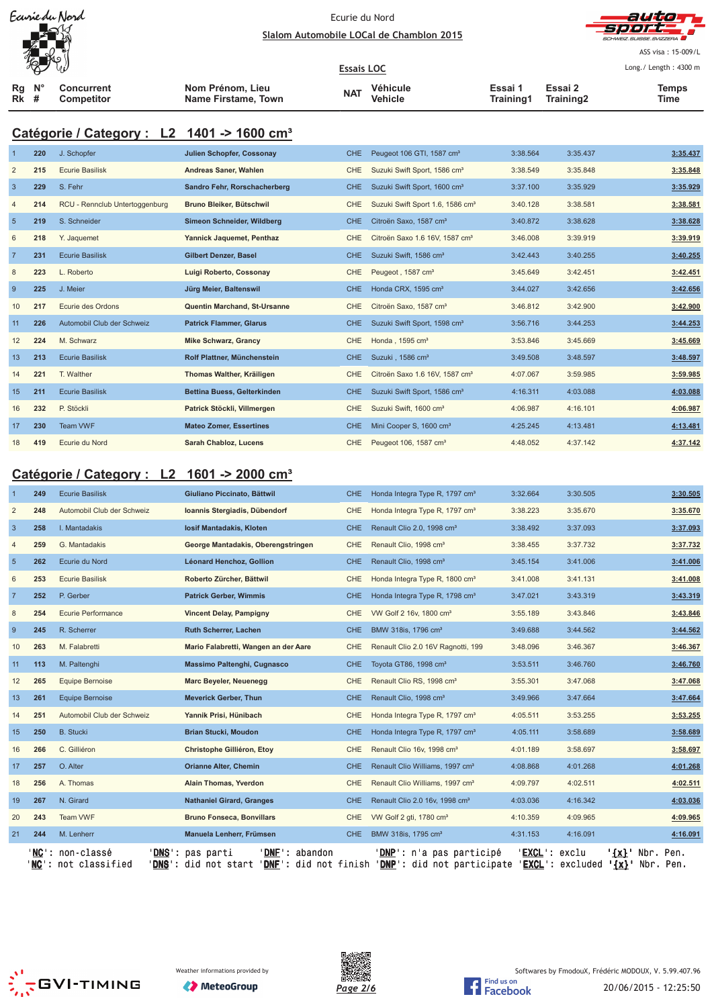#### Ecurie du Nord Slalom Automobile LOCal de Chamblon 2015



ASS visa: 15-009/L Long./ Length: 4300 m

**Essais LOC Rg Rk N° # Concurrent Competitor Nom Prénom, Lieu Name Firstame, Town Véhicule Vehicle Essai 1 The Markt School of the Casar Contract Contract Contract Contract Contract Contract Contract Contract Contract Contract Contract Contract Contract Contract Contract Contract Contract Contract Contract Contract Contract Co Essai 2 Training2 Temps**

# **Catégorie / Category : L2 1401 -> 1600 cm³**

| $\overline{1}$ | 220 | J. Schopfer                    | <b>Julien Schopfer, Cossonay</b>    | CHE.       | Peugeot 106 GTI, 1587 cm <sup>3</sup>        | 3:38.564 | 3:35.437 | 3:35.437 |
|----------------|-----|--------------------------------|-------------------------------------|------------|----------------------------------------------|----------|----------|----------|
| $\overline{2}$ | 215 | <b>Ecurie Basilisk</b>         | Andreas Saner, Wahlen               | <b>CHE</b> | Suzuki Swift Sport, 1586 cm <sup>3</sup>     | 3:38.549 | 3:35.848 | 3:35.848 |
| $\mathbf{3}$   | 229 | S. Fehr                        | Sandro Fehr, Rorschacherberg        | <b>CHE</b> | Suzuki Swift Sport, 1600 cm <sup>3</sup>     | 3:37.100 | 3:35.929 | 3:35.929 |
| $\overline{4}$ | 214 | RCU - Rennclub Untertoggenburg | Bruno Bleiker, Bütschwil            | <b>CHE</b> | Suzuki Swift Sport 1.6, 1586 cm <sup>3</sup> | 3:40.128 | 3:38.581 | 3:38.581 |
| $5\phantom{1}$ | 219 | S. Schneider                   | Simeon Schneider, Wildberg          | <b>CHE</b> | Citroën Saxo, 1587 cm <sup>3</sup>           | 3:40.872 | 3:38.628 | 3:38.628 |
| 6              | 218 | Y. Jaquemet                    | Yannick Jaquemet, Penthaz           | <b>CHE</b> | Citroën Saxo 1.6 16V, 1587 cm <sup>3</sup>   | 3:46.008 | 3:39.919 | 3:39.919 |
| $\overline{7}$ | 231 | <b>Ecurie Basilisk</b>         | Gilbert Denzer, Basel               | CHE.       | Suzuki Swift, 1586 cm <sup>3</sup>           | 3:42.443 | 3:40.255 | 3:40.255 |
| 8              | 223 | L. Roberto                     | Luigi Roberto, Cossonay             | <b>CHE</b> | Peugeot, 1587 cm <sup>3</sup>                | 3:45.649 | 3:42.451 | 3:42.451 |
| 9              | 225 | J. Meier                       | Jürg Meier, Baltenswil              | <b>CHE</b> | Honda CRX, 1595 cm <sup>3</sup>              | 3:44.027 | 3:42.656 | 3:42.656 |
| 10             | 217 | Ecurie des Ordons              | <b>Quentin Marchand, St-Ursanne</b> | <b>CHE</b> | Citroën Saxo, 1587 cm <sup>3</sup>           | 3:46.812 | 3:42.900 | 3:42.900 |
| 11             | 226 | Automobil Club der Schweiz     | <b>Patrick Flammer, Glarus</b>      | <b>CHE</b> | Suzuki Swift Sport, 1598 cm <sup>3</sup>     | 3:56.716 | 3:44.253 | 3:44.253 |
| 12             | 224 | M. Schwarz                     | <b>Mike Schwarz, Grancy</b>         | CHE        | Honda, 1595 cm <sup>3</sup>                  | 3:53.846 | 3:45.669 | 3:45.669 |
| 13             | 213 | <b>Ecurie Basilisk</b>         | Rolf Plattner, Münchenstein         | CHE.       | Suzuki, 1586 cm <sup>3</sup>                 | 3:49.508 | 3:48.597 | 3:48.597 |
| 14             | 221 | T. Walther                     | Thomas Walther, Kräiligen           | <b>CHE</b> | Citroën Saxo 1.6 16V, 1587 cm <sup>3</sup>   | 4:07.067 | 3:59.985 | 3:59.985 |
| 15             | 211 | <b>Ecurie Basilisk</b>         | Bettina Buess, Gelterkinden         | <b>CHE</b> | Suzuki Swift Sport, 1586 cm <sup>3</sup>     | 4:16.311 | 4:03.088 | 4:03.088 |
| 16             | 232 | P. Stöckli                     | Patrick Stöckli, Villmergen         | <b>CHE</b> | Suzuki Swift, 1600 cm <sup>3</sup>           | 4:06.987 | 4:16.101 | 4:06.987 |
| 17             | 230 | Team VWF                       | <b>Mateo Zomer, Essertines</b>      | <b>CHE</b> | Mini Cooper S, 1600 cm <sup>3</sup>          | 4:25.245 | 4:13.481 | 4:13.481 |
| 18             | 419 | Ecurie du Nord                 | <b>Sarah Chabloz, Lucens</b>        | <b>CHE</b> | Peugeot 106, 1587 cm <sup>3</sup>            | 4:48.052 | 4:37.142 | 4:37.142 |

# **Catégorie / Category : L2 1601 -> 2000 cm³**

|                 | 249            | <b>Ecurie Basilisk</b>                                | Giuliano Piccinato, Bättwil                                          | <b>CHE</b> | Honda Integra Type R, 1797 cm <sup>3</sup>                                           | 3:32.664 | 3:30.505                                                  | 3:30.505 |
|-----------------|----------------|-------------------------------------------------------|----------------------------------------------------------------------|------------|--------------------------------------------------------------------------------------|----------|-----------------------------------------------------------|----------|
| $\overline{2}$  | 248            | Automobil Club der Schweiz                            | Ioannis Stergiadis, Dübendorf                                        | <b>CHE</b> | Honda Integra Type R, 1797 cm <sup>3</sup>                                           | 3:38.223 | 3:35.670                                                  | 3:35.670 |
| $\mathbf{3}$    | 258            | I. Mantadakis                                         | losif Mantadakis, Kloten                                             | <b>CHE</b> | Renault Clio 2.0, 1998 cm <sup>3</sup>                                               | 3:38.492 | 3:37.093                                                  | 3:37.093 |
| $\overline{4}$  | 259            | G. Mantadakis                                         | George Mantadakis, Oberengstringen                                   | <b>CHE</b> | Renault Clio, 1998 cm <sup>3</sup>                                                   | 3:38.455 | 3:37.732                                                  | 3:37.732 |
| $5\overline{5}$ | 262            | Ecurie du Nord                                        | Léonard Henchoz, Gollion                                             | <b>CHE</b> | Renault Clio, 1998 cm <sup>3</sup>                                                   | 3:45.154 | 3:41.006                                                  | 3:41.006 |
| 6               | 253            | <b>Ecurie Basilisk</b>                                | Roberto Zürcher, Bättwil                                             | CHE        | Honda Integra Type R, 1800 cm <sup>3</sup>                                           | 3:41.008 | 3:41.131                                                  | 3:41.008 |
| $\overline{7}$  | 252            | P. Gerber                                             | <b>Patrick Gerber, Wimmis</b>                                        | <b>CHE</b> | Honda Integra Type R, 1798 cm <sup>3</sup>                                           | 3:47.021 | 3:43.319                                                  | 3:43.319 |
| 8               | 254            | <b>Ecurie Performance</b>                             | <b>Vincent Delay, Pampigny</b>                                       | <b>CHE</b> | VW Golf 2 16v, 1800 cm <sup>3</sup>                                                  | 3:55.189 | 3:43.846                                                  | 3:43.846 |
| $\overline{9}$  | 245            | R. Scherrer                                           | Ruth Scherrer, Lachen                                                | <b>CHE</b> | BMW 318is, 1796 cm <sup>3</sup>                                                      | 3:49.688 | 3:44.562                                                  | 3:44.562 |
| 10              | 263            | M. Falabretti                                         | Mario Falabretti, Wangen an der Aare                                 | <b>CHE</b> | Renault Clio 2.0 16V Ragnotti, 199                                                   | 3:48.096 | 3:46.367                                                  | 3:46.367 |
| 11              | 113            | M. Paltenghi                                          | Massimo Paltenghi, Cugnasco                                          | <b>CHE</b> | Toyota GT86, 1998 cm <sup>3</sup>                                                    | 3:53.511 | 3:46.760                                                  | 3:46.760 |
| 12              | 265            | Equipe Bernoise                                       | Marc Beyeler, Neuenegg                                               | <b>CHE</b> | Renault Clio RS, 1998 cm <sup>3</sup>                                                | 3:55.301 | 3:47.068                                                  | 3:47.068 |
| 13              | 261            | <b>Equipe Bernoise</b>                                | <b>Meverick Gerber, Thun</b>                                         | <b>CHE</b> | Renault Clio, 1998 cm <sup>3</sup>                                                   | 3:49.966 | 3:47.664                                                  | 3:47.664 |
| 14              | 251            | Automobil Club der Schweiz                            | Yannik Prisi, Hünibach                                               | CHE        | Honda Integra Type R, 1797 cm <sup>3</sup>                                           | 4:05.511 | 3:53.255                                                  | 3:53.255 |
| 15              | 250            | <b>B.</b> Stucki                                      | <b>Brian Stucki, Moudon</b>                                          | <b>CHE</b> | Honda Integra Type R, 1797 cm <sup>3</sup>                                           | 4:05.111 | 3:58.689                                                  | 3:58.689 |
| 16              | 266            | C. Gilliéron                                          | Christophe Gilliéron, Etoy                                           | CHE        | Renault Clio 16v, 1998 cm <sup>3</sup>                                               | 4:01.189 | 3:58.697                                                  | 3:58.697 |
| 17              | 257            | O. Alter                                              | <b>Orianne Alter, Chemin</b>                                         | <b>CHE</b> | Renault Clio Williams, 1997 cm <sup>3</sup>                                          | 4:08.868 | 4:01.268                                                  | 4:01.268 |
| 18              | 256            | A. Thomas                                             | Alain Thomas, Yverdon                                                | CHE        | Renault Clio Williams, 1997 cm <sup>3</sup>                                          | 4:09.797 | 4:02.511                                                  | 4:02.511 |
| 19              | 267            | N. Girard                                             | <b>Nathaniel Girard, Granges</b>                                     | <b>CHE</b> | Renault Clio 2.0 16v, 1998 cm <sup>3</sup>                                           | 4:03.036 | 4:16.342                                                  | 4:03.036 |
| 20              | 243            | <b>Team VWF</b>                                       | <b>Bruno Fonseca, Bonvillars</b>                                     | <b>CHE</b> | VW Golf 2 gti, 1780 cm <sup>3</sup>                                                  | 4:10.359 | 4:09.965                                                  | 4:09.965 |
| 21              | 244            | M. Lenherr                                            | Manuela Lenherr, Frümsen                                             | CHE.       | BMW 318is, 1795 cm <sup>3</sup>                                                      | 4:31.153 | 4:16.091                                                  | 4:16.091 |
|                 | $NC^{\perp}$ : | non-classé<br><b>DNS</b><br>not classified<br>'DNS' : | <b>DNF</b><br>abandon<br>pas parti<br>did not start<br>$'$ DNF $'$ : |            | <b>'DNP':</b> n'a pas participé<br>did not finish 'DNP': did not participate 'EXCL': | 'EXCL' : | exclu<br>Nbr.<br>$\{x\}$<br>excluded<br>$\{x\}$ Nbr. Pen. | Pen.     |





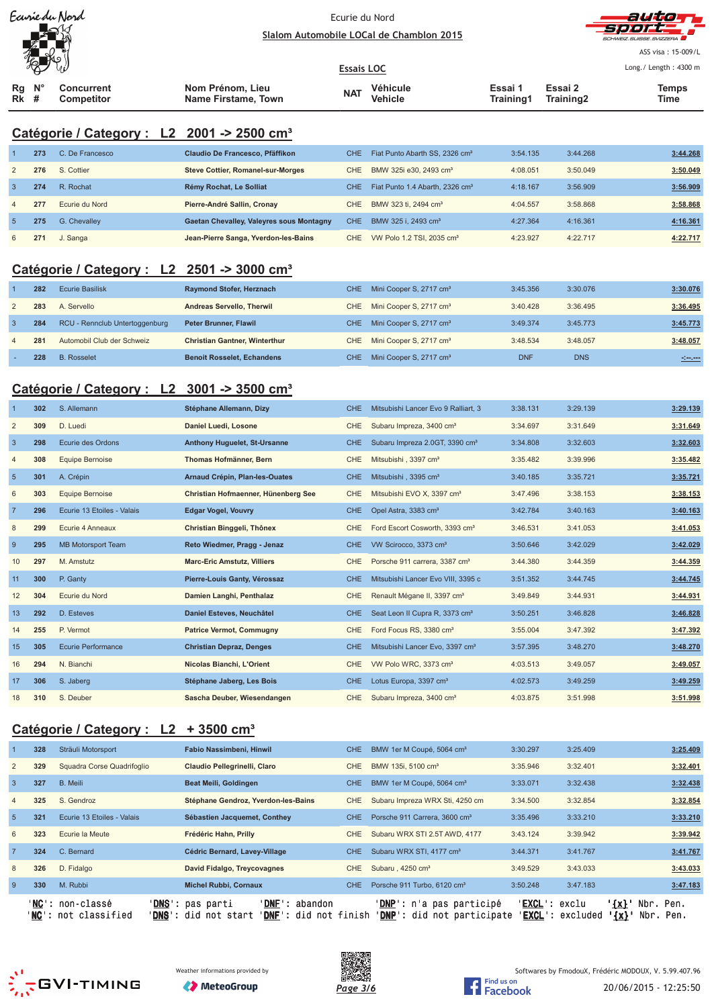

#### Ecurie du Nord Slalom Automobile LOCal de Chamblon 2015



ASS visa: 15-009/L Long./ Length: 4300 m

**Essais LOC Rg Rk N° # Concurrent Competitor Nom Prénom, Lieu Name Firstame, Town Véhicule Vehicle Essai 1 Training1 Essai 2 The MAT**<br> **Training1 Training2** Training2 Time **Temps**

# **Catégorie / Category : L2 2001 -> 2500 cm³**

|                | 273 | C. De Francesco | Claudio De Francesco, Pfäffikon                 | CHE. | Fiat Punto Abarth SS, 2326 cm <sup>3</sup>  | 3:54.135 | 3:44.268 | 3:44.268 |
|----------------|-----|-----------------|-------------------------------------------------|------|---------------------------------------------|----------|----------|----------|
| 2              | 276 | S. Cottier      | <b>Steve Cottier, Romanel-sur-Morges</b>        | CHE  | BMW 325i e30, 2493 cm <sup>3</sup>          | 4:08.051 | 3:50.049 | 3:50.049 |
| -3             | 274 | R. Rochat       | Rémy Rochat, Le Solliat                         | CHE. | Fiat Punto 1.4 Abarth, 2326 cm <sup>3</sup> | 4:18.167 | 3:56.909 | 3:56.909 |
| $\overline{4}$ | 277 | Ecurie du Nord  | Pierre-André Sallin, Cronay                     | CHE  | BMW 323 ti, 2494 cm <sup>3</sup>            | 4:04.557 | 3:58.868 | 3:58.868 |
| -5             | 275 | G. Chevalley    | <b>Gaetan Chevalley, Valeyres sous Montagny</b> | CHE. | BMW 325 i. 2493 cm <sup>3</sup>             | 4:27.364 | 4:16.361 | 4:16.361 |
| 6              | 271 | J. Sanga        | Jean-Pierre Sanga, Yverdon-les-Bains            | CHE. | VW Polo 1.2 TSI, 2035 cm <sup>3</sup>       | 4:23.927 | 4:22.717 | 4:22.717 |

### **Catégorie / Category : L2 2501 -> 3000 cm³**

|   | 228 | <b>B.</b> Rosselet             | <b>Benoit Rosselet, Echandens</b>    | CHE . | Mini Cooper S, 2717 cm <sup>3</sup> | <b>DNF</b> | <b>DNS</b> | and any provinci |
|---|-----|--------------------------------|--------------------------------------|-------|-------------------------------------|------------|------------|------------------|
| 4 | 281 | Automobil Club der Schweiz     | <b>Christian Gantner, Winterthur</b> | CHE   | Mini Cooper S, 2717 cm <sup>3</sup> | 3:48.534   | 3:48.057   | 3:48.057         |
| 3 | 284 | RCU - Rennclub Untertoggenburg | <b>Peter Brunner, Flawil</b>         | CHE   | Mini Cooper S, 2717 cm <sup>3</sup> | 3:49.374   | 3:45.773   | 3:45.773         |
|   | 283 | A. Servello                    | Andreas Servello, Therwil            | CHE.  | Mini Cooper S, 2717 cm <sup>3</sup> | 3:40.428   | 3:36.495   | 3:36.495         |
|   | 282 | Ecurie Basilisk                | <b>Raymond Stofer, Herznach</b>      | CHE I | Mini Cooper S, 2717 cm <sup>3</sup> | 3:45.356   | 3:30.076   | 3:30.076         |

### **Catégorie / Category : L2 3001 -> 3500 cm³**

| $\overline{1}$ | 302 | S. Allemann                | Stéphane Allemann, Dizy               | CHE.       | Mitsubishi Lancer Evo 9 Ralliart, 3         | 3:38.131 | 3:29.139 | 3:29.139 |
|----------------|-----|----------------------------|---------------------------------------|------------|---------------------------------------------|----------|----------|----------|
| $\overline{2}$ | 309 | D. Luedi                   | Daniel Luedi, Losone                  | <b>CHE</b> | Subaru Impreza, 3400 cm <sup>3</sup>        | 3:34.697 | 3:31.649 | 3:31.649 |
| 3              | 298 | Ecurie des Ordons          | <b>Anthony Huguelet, St-Ursanne</b>   | CHE.       | Subaru Impreza 2.0GT, 3390 cm <sup>3</sup>  | 3:34.808 | 3:32.603 | 3:32.603 |
| 4              | 308 | <b>Equipe Bernoise</b>     | Thomas Hofmänner, Bern                | CHE        | Mitsubishi, 3397 cm <sup>3</sup>            | 3:35.482 | 3:39.996 | 3:35.482 |
| $5\phantom{1}$ | 301 | A. Crépin                  | <b>Arnaud Crépin, Plan-les-Ouates</b> | CHE.       | Mitsubishi, 3395 cm <sup>3</sup>            | 3:40.185 | 3:35.721 | 3:35.721 |
| 6              | 303 | <b>Equipe Bernoise</b>     | Christian Hofmaenner, Hünenberg See   | <b>CHE</b> | Mitsubishi EVO X, 3397 cm <sup>3</sup>      | 3:47.496 | 3:38.153 | 3:38.153 |
| $\overline{7}$ | 296 | Ecurie 13 Etoiles - Valais | <b>Edgar Vogel, Vouvry</b>            | <b>CHE</b> | Opel Astra, 3383 cm <sup>3</sup>            | 3:42.784 | 3:40.163 | 3:40.163 |
| 8              | 299 | Ecurie 4 Anneaux           | Christian Binggeli, Thônex            | <b>CHE</b> | Ford Escort Cosworth, 3393 cm <sup>3</sup>  | 3:46.531 | 3:41.053 | 3:41.053 |
| 9              | 295 | <b>MB Motorsport Team</b>  | Reto Wiedmer, Pragg - Jenaz           | CHE.       | VW Scirocco, 3373 cm <sup>3</sup>           | 3:50.646 | 3:42.029 | 3:42.029 |
| 10             | 297 | M. Amstutz                 | <b>Marc-Eric Amstutz, Villiers</b>    | <b>CHE</b> | Porsche 911 carrera, 3387 cm <sup>3</sup>   | 3:44.380 | 3:44.359 | 3:44.359 |
| 11             | 300 | P. Ganty                   | Pierre-Louis Ganty, Vérossaz          | <b>CHE</b> | Mitsubishi Lancer Evo VIII, 3395 c          | 3:51.352 | 3:44.745 | 3:44.745 |
| 12             | 304 | Ecurie du Nord             | Damien Langhi, Penthalaz              | <b>CHE</b> | Renault Mégane II, 3397 cm <sup>3</sup>     | 3:49.849 | 3:44.931 | 3:44.931 |
| 13             | 292 | D. Esteves                 | Daniel Esteves, Neuchâtel             | CHE.       | Seat Leon II Cupra R, 3373 cm <sup>3</sup>  | 3:50.251 | 3:46.828 | 3:46.828 |
| 14             | 255 | P. Vermot                  | <b>Patrice Vermot, Commugny</b>       | <b>CHE</b> | Ford Focus RS, 3380 cm <sup>3</sup>         | 3:55.004 | 3:47.392 | 3:47.392 |
| 15             | 305 | <b>Ecurie Performance</b>  | <b>Christian Depraz, Denges</b>       | <b>CHE</b> | Mitsubishi Lancer Evo, 3397 cm <sup>3</sup> | 3:57.395 | 3:48.270 | 3:48.270 |
| 16             | 294 | N. Bianchi                 | Nicolas Bianchi, L'Orient             | CHE        | VW Polo WRC, 3373 cm <sup>3</sup>           | 4:03.513 | 3:49.057 | 3:49.057 |
| 17             | 306 | S. Jaberg                  | Stéphane Jaberg, Les Bois             | CHE.       | Lotus Europa, 3397 cm <sup>3</sup>          | 4:02.573 | 3:49.259 | 3:49.259 |
| 18             | 310 | S. Deuber                  | Sascha Deuber, Wiesendangen           | <b>CHE</b> | Subaru Impreza, 3400 cm <sup>3</sup>        | 4:03.875 | 3:51.998 | 3:51.998 |

### **Catégorie / Category : L2 + 3500 cm³**

|                | 328 | Sträuli Motorsport                                | Fabio Nassimbeni, Hinwil                                                                                   | CHE.       | BMW 1er M Coupé, 5064 cm <sup>3</sup>                                  | 3:30.297               | 3:25.409                                      | 3:25.409               |
|----------------|-----|---------------------------------------------------|------------------------------------------------------------------------------------------------------------|------------|------------------------------------------------------------------------|------------------------|-----------------------------------------------|------------------------|
| $\overline{2}$ | 329 | Squadra Corse Quadrifoglio                        | Claudio Pellegrinelli, Claro                                                                               | CHE.       | BMW 135i, 5100 cm <sup>3</sup>                                         | 3:35.946               | 3:32.401                                      | 3:32.401               |
| $\mathbf{3}$   | 327 | B. Meili                                          | Beat Meili, Goldingen                                                                                      | CHE.       | BMW 1er M Coupé, 5064 cm <sup>3</sup>                                  | 3:33.071               | 3:32.438                                      | 3:32.438               |
| $\overline{4}$ | 325 | S. Gendroz                                        | Stéphane Gendroz, Yverdon-les-Bains                                                                        | CHE.       | Subaru Impreza WRX Sti, 4250 cm                                        | 3:34.500               | 3:32.854                                      | 3:32.854               |
| 5              | 321 | Ecurie 13 Etoiles - Valais                        | Sébastien Jacquemet, Conthey                                                                               | CHE.       | Porsche 911 Carrera, 3600 cm <sup>3</sup>                              | 3:35.496               | 3:33.210                                      | 3:33.210               |
| 6              | 323 | Ecurie la Meute                                   | Frédéric Hahn, Prilly                                                                                      | <b>CHE</b> | Subaru WRX STI 2.5T AWD, 4177                                          | 3:43.124               | 3:39.942                                      | 3:39.942               |
|                | 324 | C. Bernard                                        | Cédric Bernard, Lavey-Village                                                                              | CHE.       | Subaru WRX STI, 4177 cm <sup>3</sup>                                   | 3:44.371               | 3:41.767                                      | 3:41.767               |
| 8              | 326 | D. Fidalgo                                        | David Fidalgo, Treycovagnes                                                                                | CHE.       | Subaru, 4250 cm <sup>3</sup>                                           | 3:49.529               | 3:43.033                                      | 3:43.033               |
| -9             | 330 | M. Rubbi                                          | <b>Michel Rubbi, Cornaux</b>                                                                               | CHE.       | Porsche 911 Turbo, 6120 cm <sup>3</sup>                                | 3:50.248               | 3:47.183                                      | 3:47.183               |
|                |     | 'NC': non-classé<br>' <b>NC</b> ': not classified | ' <b>DNS</b> ': pas parti<br>'DNF': abandon<br><b>DNS':</b> did not start'<br><b>DNF':</b> did not finish' |            | ' <b>DNP</b> ': n'a pas participé<br><b>DNP':</b> did not participate" | ' <b>EXCL</b> ': exclu | $\{x\}$<br>$\{x\}$<br><b>'EXCL':</b> excluded | Nbr. Pen.<br>Nbr. Pen. |







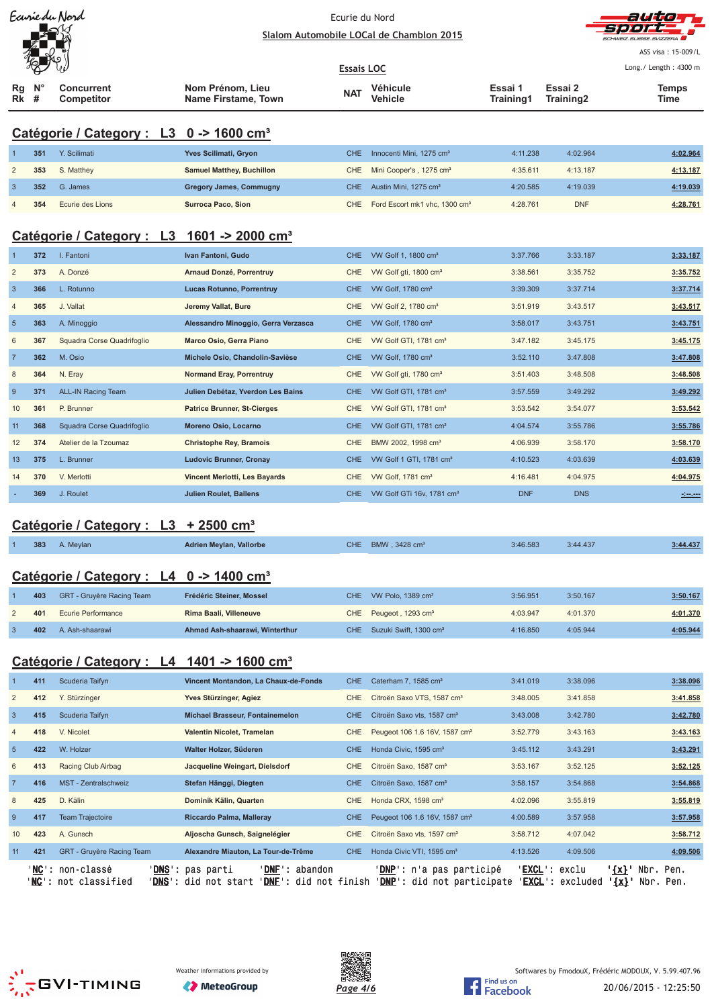| Ecurie du Nord                         |                  | Ecurie du Nord                           |      |  |  |  |
|----------------------------------------|------------------|------------------------------------------|------|--|--|--|
|                                        |                  | Slalom Automobile LOCal de Chamblon 2015 |      |  |  |  |
| 'b<br>ЛĹ                               |                  | <b>Essais LOC</b>                        |      |  |  |  |
| $N^{\circ}$<br>Rq<br><b>Concurrent</b> | Nom Prénom, Lieu | <b>Véhicule</b><br><b>NAT</b>            | Essa |  |  |  |



ASS visa: 15-009/L Long./ Length: 4300 m

| Rg<br><b>Rk</b> # | $N^{\circ}$ | <b>Concurrent</b><br>Competitor                        | Nom Prénom, Lieu<br>Name Firstame, Town | <b>NAT</b> | <b>Véhicule</b><br><b>Vehicle</b>         | Essai 1<br>Training1 | Essai 2<br>Training2 | <b>Temps</b><br>Time                                                                                                 |
|-------------------|-------------|--------------------------------------------------------|-----------------------------------------|------------|-------------------------------------------|----------------------|----------------------|----------------------------------------------------------------------------------------------------------------------|
|                   |             | Catégorie / Category : L3 0 -> 1600 cm <sup>3</sup>    |                                         |            |                                           |                      |                      |                                                                                                                      |
|                   | 351         | Y. Scilimati                                           | Yves Scilimati, Gryon                   | <b>CHE</b> | Innocenti Mini, 1275 cm <sup>3</sup>      | 4:11.238             | 4:02.964             | 4:02.964                                                                                                             |
| $\overline{c}$    | 353         | S. Matthey                                             | <b>Samuel Matthey, Buchillon</b>        | CHE        | Mini Cooper's, 1275 cm <sup>3</sup>       | 4:35.611             | 4:13.187             | 4:13.187                                                                                                             |
| $\mathbf{3}$      | 352         | G. James                                               | <b>Gregory James, Commugny</b>          | <b>CHE</b> | Austin Mini, 1275 cm <sup>3</sup>         | 4:20.585             | 4:19.039             | 4:19.039                                                                                                             |
| 4                 | 354         | Ecurie des Lions                                       | <b>Surroca Paco, Sion</b>               | <b>CHE</b> | Ford Escort mk1 vhc, 1300 cm <sup>3</sup> | 4:28.761             | <b>DNF</b>           | 4:28.761                                                                                                             |
|                   |             | Catégorie / Category : L3 1601 -> 2000 cm <sup>3</sup> |                                         |            |                                           |                      |                      |                                                                                                                      |
| $\mathbf{1}$      | 372         | I. Fantoni                                             | Ivan Fantoni, Gudo                      | <b>CHE</b> | VW Golf 1, 1800 cm <sup>3</sup>           | 3:37.766             | 3:33.187             | 3:33.187                                                                                                             |
| $\sqrt{2}$        | 373         | A. Donzé                                               | Arnaud Donzé, Porrentruy                | <b>CHE</b> | VW Golf gti, 1800 cm <sup>3</sup>         | 3:38.561             | 3:35.752             | 3:35.752                                                                                                             |
| $\mathbf{3}$      | 366         | L. Rotunno                                             | Lucas Rotunno, Porrentruy               | <b>CHE</b> | VW Golf, 1780 cm <sup>3</sup>             | 3:39.309             | 3:37.714             | 3:37.714                                                                                                             |
| $\overline{4}$    | 365         | J. Vallat                                              | Jeremy Vallat, Bure                     | CHE        | VW Golf 2, 1780 cm <sup>3</sup>           | 3:51.919             | 3:43.517             | 3:43.517                                                                                                             |
| $\sqrt{5}$        | 363         | A. Minoggio                                            | Alessandro Minoggio, Gerra Verzasca     | <b>CHE</b> | VW Golf, 1780 cm <sup>3</sup>             | 3:58.017             | 3:43.751             | 3:43.751                                                                                                             |
| 6                 | 367         | Squadra Corse Quadrifoglio                             | Marco Osio, Gerra Piano                 | CHE        | VW Golf GTI, 1781 cm <sup>3</sup>         | 3:47.182             | 3:45.175             | 3:45.175                                                                                                             |
| $\overline{7}$    | 362         | M. Osio                                                | Michele Osio, Chandolin-Savièse         | <b>CHE</b> | VW Golf, 1780 cm <sup>3</sup>             | 3:52.110             | 3:47.808             | 3:47.808                                                                                                             |
| 8                 | 364         | N. Eray                                                | <b>Normand Eray, Porrentruy</b>         | CHE        | VW Golf gti, 1780 cm <sup>3</sup>         | 3:51.403             | 3:48.508             | 3:48.508                                                                                                             |
| 9                 | 371         | <b>ALL-IN Racing Team</b>                              | Julien Debétaz, Yverdon Les Bains       | <b>CHE</b> | VW Golf GTI, 1781 cm <sup>3</sup>         | 3:57.559             | 3:49.292             | 3:49.292                                                                                                             |
| 10                | 361         | P. Brunner                                             | <b>Patrice Brunner, St-Cierges</b>      | CHE        | VW Golf GTI, 1781 cm <sup>3</sup>         | 3:53.542             | 3:54.077             | 3:53.542                                                                                                             |
| 11                | 368         | Squadra Corse Quadrifoglio                             | Moreno Osio, Locarno                    | <b>CHE</b> | VW Golf GTI, 1781 cm <sup>3</sup>         | 4:04.574             | 3:55.786             | 3:55.786                                                                                                             |
| 12                | 374         | Atelier de la Tzoumaz                                  | <b>Christophe Rey, Bramois</b>          | CHE        | BMW 2002, 1998 cm <sup>3</sup>            | 4:06.939             | 3:58.170             | 3:58.170                                                                                                             |
| 13                | 375         | L. Brunner                                             | <b>Ludovic Brunner, Cronay</b>          | <b>CHE</b> | VW Golf 1 GTI, 1781 cm <sup>3</sup>       | 4:10.523             | 4:03.639             | 4:03.639                                                                                                             |
| 14                | 370         | V. Merlotti                                            | Vincent Merlotti, Les Bayards           | CHE        | VW Golf, 1781 cm <sup>3</sup>             | 4:16.481             | 4:04.975             | 4:04.975                                                                                                             |
|                   | 369         | J. Roulet                                              | <b>Julien Roulet, Ballens</b>           | CHE        | VW Golf GTi 16v, 1781 cm <sup>3</sup>     | <b>DNF</b>           | <b>DNS</b>           | <u> - 1000 - 1000 - 1000 - 1000 - 1000 - 1000 - 1000 - 1000 - 1000 - 1000 - 1000 - 1000 - 1000 - 1000 - 1000 - 1</u> |
|                   |             |                                                        |                                         |            |                                           |                      |                      |                                                                                                                      |
|                   |             | Catégorie / Category : L3                              | <u>+ 2500 cm<sup>3</sup></u>            |            |                                           |                      |                      |                                                                                                                      |
|                   | 383         | A. Meylan                                              | Adrien Meylan, Vallorbe                 | CHE        | BMW, 3428 cm <sup>3</sup>                 | 3:46.583             | 3:44.437             | 3:44.437                                                                                                             |
|                   |             | Catégorie / Category : L4 0 -> 1400 cm <sup>3</sup>    |                                         |            |                                           |                      |                      |                                                                                                                      |
|                   | 403         | GRT - Gruyère Racing Team                              | Frédéric Steiner, Mossel                | CHE.       | VW Polo, 1389 cm <sup>3</sup>             | 3:56.951             | 3:50.167             | 3:50.167                                                                                                             |
| $\overline{2}$    | 401         | Ecurie Performance                                     | Rima Baali, Villeneuve                  |            | CHE Peugeot, 1293 cm <sup>3</sup>         | 4:03.947             | 4:01.370             | 4:01.370                                                                                                             |
| 3                 | 402         | A. Ash-shaarawi                                        | Ahmad Ash-shaarawi, Winterthur          |            | CHE Suzuki Swift, 1300 cm <sup>3</sup>    | 4:16.850             | 4:05.944             | 4:05.944                                                                                                             |
|                   |             |                                                        |                                         |            |                                           |                      |                      |                                                                                                                      |
|                   |             | Catégorie / Category : L4 1401 -> 1600 cm <sup>3</sup> |                                         |            |                                           |                      |                      |                                                                                                                      |
|                   | 411         | Scuderia Taifyn                                        | Vincent Montandon, La Chaux-de-Fonds    | <b>CHE</b> | Caterham 7, 1585 cm <sup>3</sup>          | 3:41.019             | 3:38.096             | 3:38.096                                                                                                             |
| $\overline{2}$    | 412         | Y. Stürzinger                                          | Yves Stürzinger, Agiez                  | CHE        | Citroën Saxo VTS, 1587 cm <sup>3</sup>    | 3:48.005             | 3:41.858             | 3:41.858                                                                                                             |
| $\mathbf{3}$      | 415         | Scuderia Taifyn                                        | <b>Michael Brasseur, Fontainemelon</b>  | CHE        | Citroën Saxo vts, 1587 cm <sup>3</sup>    | 3:43.008             | 3:42.780             | 3:42.780                                                                                                             |
| 4                 | 418         | V. Nicolet                                             | Valentin Nicolet, Tramelan              | <b>CHE</b> | Peugeot 106 1.6 16V, 1587 cm <sup>3</sup> | 3:52.779             | 3:43.163             | 3:43.163                                                                                                             |
| 5                 | 422         | W. Holzer                                              | Walter Holzer, Süderen                  | <b>CHE</b> | Honda Civic, 1595 cm <sup>3</sup>         | 3:45.112             | 3:43.291             | 3:43.291                                                                                                             |
| 6                 | 413         | Racing Club Airbag                                     | Jacqueline Weingart, Dielsdorf          | <b>CHE</b> | Citroën Saxo, 1587 cm <sup>3</sup>        | 3:53.167             | 3:52.125             | 3:52.125                                                                                                             |
| $\overline{7}$    | 416         | MST - Zentralschweiz                                   | Stefan Hänggi, Diegten                  | CHE        | Citroën Saxo, 1587 cm <sup>3</sup>        | 3:58.157             | 3:54.868             | 3:54.868                                                                                                             |
| 8                 | 425         | D. Kälin                                               | Dominik Kälin, Quarten                  | CHE        | Honda CRX, 1598 cm <sup>3</sup>           | 4:02.096             | 3:55.819             | 3:55.819                                                                                                             |
| 9                 | 417         | <b>Team Trajectoire</b>                                | Riccardo Palma, Malleray                | <b>CHE</b> | Peugeot 106 1.6 16V, 1587 cm <sup>3</sup> | 4:00.589             | 3:57.958             | 3:57.958                                                                                                             |
| 10                | 423         | A. Gunsch                                              | Aljoscha Gunsch, Saignelégier           | CHE        | Citroën Saxo vts, 1597 cm <sup>3</sup>    | 3:58.712             | 4:07.042             | 3:58.712                                                                                                             |

'<u>NC</u>': non-classé '<u>DNS</u>': pas parti '<u>DNF</u>': abandon '<u>DNP</u>': n'a pas participé '<u>EXCL</u>': exclu '<u>{x}</u>' Nbr. Pen. '<u>NC</u>': not classified '<u>DNS</u>': did not start '<u>DNF</u>': did not finish '<u>DNP</u>': did not participate '<u>EXCL</u>': excluded **'{x}'** Nbr. Pen.

11 **421** GRT - Gruyère Racing Team **Alexandre Miauton, La Tour-de-Trême** CHE Honda Civic VTI, 1595 cm³ 4:13.526 4:09.506 **4:09.506**







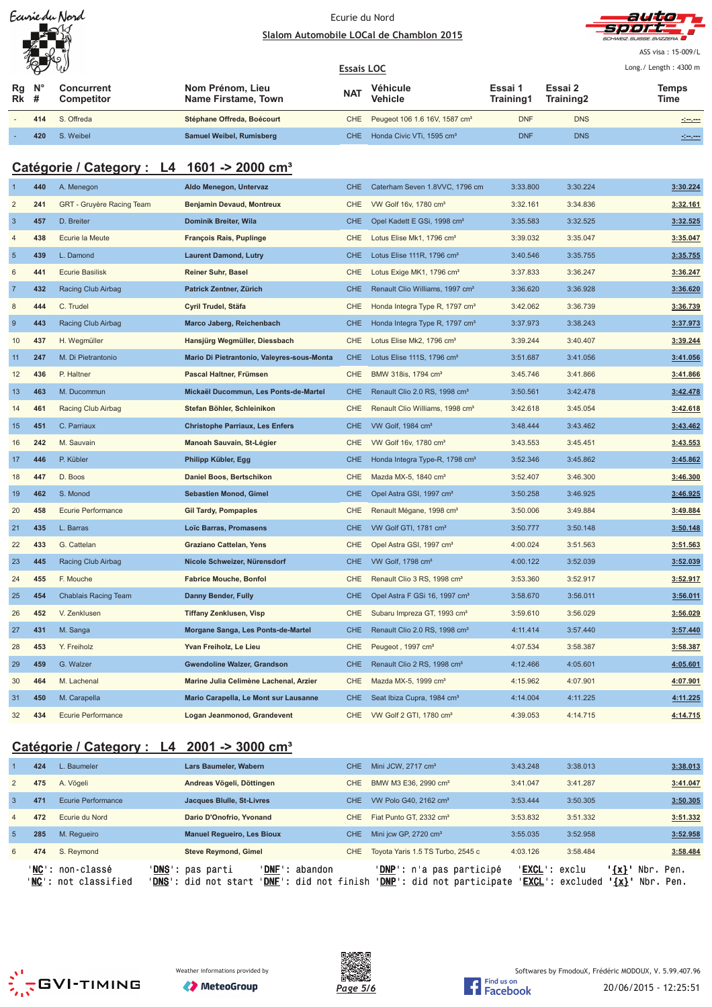| Ecurie du Nord |
|----------------|
|                |
|                |
|                |

#### Ecurie du Nord Slalom Automobile LOCal de Chamblon 2015



ASS visa: 15-009/L Lo ng./ Length: 4300 m

|          | HA V<br>Vý              |                                 |                                         | <b>Essais LOC</b> |                                               | Long./ Length: 4300 m |                      |               |
|----------|-------------------------|---------------------------------|-----------------------------------------|-------------------|-----------------------------------------------|-----------------------|----------------------|---------------|
| Rq<br>Rk | $\mathsf{N}^\circ$<br># | Concurrent<br><b>Competitor</b> | Nom Prénom, Lieu<br>Name Firstame, Town | <b>NAT</b>        | Véhicule<br><b>Vehicle</b>                    | Essai 1<br>Training1  | Essai 2<br>Training2 | Temps<br>Time |
|          | 414                     | S. Offreda                      | Stéphane Offreda, Boécourt              |                   | CHE Peugeot 106 1.6 16V, 1587 cm <sup>3</sup> | <b>DNF</b>            | <b>DNS</b>           | <u>simen</u>  |
|          | 420                     | S. Weibel                       | Samuel Weibel, Rumisberg                |                   | CHE Honda Civic VTi, 1595 cm <sup>3</sup>     | <b>DNF</b>            | <b>DNS</b>           |               |

# **Catégorie / Category : L4 1601 -> 2000 cm³**

| $\mathbf 1$      | 440 | A. Menegon                | Aldo Menegon, Untervaz                     | <b>CHE</b> | Caterham Seven 1.8VVC, 1796 cm              | 3:33.800 | 3:30.224 | 3:30.224 |
|------------------|-----|---------------------------|--------------------------------------------|------------|---------------------------------------------|----------|----------|----------|
| $\overline{2}$   | 241 | GRT - Gruyère Racing Team | <b>Benjamin Devaud, Montreux</b>           | CHE        | VW Golf 16v, 1780 cm <sup>3</sup>           | 3:32.161 | 3:34.836 | 3:32.161 |
| $\overline{3}$   | 457 |                           |                                            |            |                                             |          | 3:32.525 |          |
|                  |     | D. Breiter                | Dominik Breiter, Wila                      | <b>CHE</b> | Opel Kadett E GSi, 1998 cm <sup>3</sup>     | 3:35.583 |          | 3:32.525 |
| $\sqrt{4}$       | 438 | Ecurie la Meute           | <b>François Rais, Puplinge</b>             | CHE        | Lotus Elise Mk1, 1796 cm <sup>3</sup>       | 3:39.032 | 3:35.047 | 3:35.047 |
| $\overline{5}$   | 439 | L. Damond                 | <b>Laurent Damond, Lutry</b>               | <b>CHE</b> | Lotus Elise 111R, 1796 cm <sup>3</sup>      | 3:40.546 | 3:35.755 | 3:35.755 |
| $\,6$            | 441 | <b>Ecurie Basilisk</b>    | Reiner Suhr, Basel                         | <b>CHE</b> | Lotus Exige MK1, 1796 cm <sup>3</sup>       | 3:37.833 | 3:36.247 | 3:36.247 |
| $\overline{7}$   | 432 | Racing Club Airbag        | Patrick Zentner, Zürich                    | <b>CHE</b> | Renault Clio Williams, 1997 cm <sup>3</sup> | 3:36.620 | 3:36.928 | 3:36.620 |
| 8                | 444 | C. Trudel                 | Cyril Trudel, Stäfa                        | CHE        | Honda Integra Type R, 1797 cm <sup>3</sup>  | 3:42.062 | 3:36.739 | 3:36.739 |
| $\boldsymbol{9}$ | 443 | Racing Club Airbag        | Marco Jaberg, Reichenbach                  | <b>CHE</b> | Honda Integra Type R, 1797 cm <sup>3</sup>  | 3:37.973 | 3:38.243 | 3:37.973 |
| 10               | 437 | H. Wegmüller              | Hansjürg Wegmüller, Diessbach              | CHE        | Lotus Elise Mk2, 1796 cm <sup>3</sup>       | 3:39.244 | 3:40.407 | 3:39.244 |
| 11               | 247 | M. Di Pietrantonio        | Mario Di Pietrantonio, Valeyres-sous-Monta | <b>CHE</b> | Lotus Elise 111S, 1796 cm <sup>3</sup>      | 3:51.687 | 3:41.056 | 3:41.056 |
| 12               | 436 | P. Haltner                | Pascal Haltner, Frümsen                    | CHE        | BMW 318is, 1794 cm <sup>3</sup>             | 3:45.746 | 3:41.866 | 3:41.866 |
| 13               | 463 | M. Ducommun               | Mickaël Ducommun, Les Ponts-de-Martel      | <b>CHE</b> | Renault Clio 2.0 RS, 1998 cm <sup>3</sup>   | 3:50.561 | 3:42.478 | 3:42.478 |
| 14               | 461 | Racing Club Airbag        | Stefan Böhler, Schleinikon                 | <b>CHE</b> | Renault Clio Williams, 1998 cm <sup>3</sup> | 3:42.618 | 3:45.054 | 3:42.618 |
| 15               | 451 | C. Parriaux               | <b>Christophe Parriaux, Les Enfers</b>     | <b>CHE</b> | VW Golf, 1984 cm <sup>3</sup>               | 3:48.444 | 3:43.462 | 3:43.462 |
| 16               | 242 | M. Sauvain                | Manoah Sauvain, St-Légier                  | CHE        | VW Golf 16v, 1780 cm <sup>3</sup>           | 3:43.553 | 3:45.451 | 3:43.553 |
| 17               | 446 | P. Kübler                 | Philipp Kübler, Egg                        | <b>CHE</b> | Honda Integra Type-R, 1798 cm <sup>3</sup>  | 3:52.346 | 3:45.862 | 3:45.862 |
| 18               | 447 | D. Boos                   | Daniel Boos, Bertschikon                   | CHE        | Mazda MX-5, 1840 cm <sup>3</sup>            | 3:52.407 | 3:46.300 | 3:46.300 |
| 19               | 462 | S. Monod                  | <b>Sebastien Monod, Gimel</b>              | <b>CHE</b> | Opel Astra GSI, 1997 cm <sup>3</sup>        | 3:50.258 | 3:46.925 | 3:46.925 |
| 20               | 458 | Ecurie Performance        | <b>Gil Tardy, Pompaples</b>                | CHE        | Renault Mégane, 1998 cm <sup>3</sup>        | 3:50.006 | 3:49.884 | 3:49.884 |
| 21               | 435 | L. Barras                 | Loïc Barras, Promasens                     | <b>CHE</b> | VW Golf GTI, 1781 cm <sup>3</sup>           | 3:50.777 | 3:50.148 | 3:50.148 |
| 22               | 433 | G. Cattelan               | Graziano Cattelan, Yens                    | CHE        | Opel Astra GSI, 1997 cm <sup>3</sup>        | 4:00.024 | 3:51.563 | 3:51.563 |
| 23               | 445 | Racing Club Airbag        | Nicole Schweizer, Nürensdorf               | <b>CHE</b> | VW Golf, 1798 cm <sup>3</sup>               | 4:00.122 | 3:52.039 | 3:52.039 |
| 24               | 455 | F. Mouche                 | <b>Fabrice Mouche, Bonfol</b>              | CHE        | Renault Clio 3 RS, 1998 cm <sup>3</sup>     | 3:53.360 | 3:52.917 | 3:52.917 |
| 25               | 454 | Chablais Racing Team      | Danny Bender, Fully                        | <b>CHE</b> | Opel Astra F GSi 16, 1997 cm <sup>3</sup>   | 3:58.670 | 3:56.011 | 3:56.011 |
| 26               | 452 | V. Zenklusen              | <b>Tiffany Zenklusen, Visp</b>             | CHE        | Subaru Impreza GT, 1993 cm <sup>3</sup>     | 3:59.610 | 3:56.029 | 3:56.029 |
| 27               | 431 | M. Sanga                  | Morgane Sanga, Les Ponts-de-Martel         | <b>CHE</b> | Renault Clio 2.0 RS, 1998 cm <sup>3</sup>   | 4:11.414 | 3:57.440 | 3:57.440 |
| 28               | 453 | Y. Freiholz               | Yvan Freiholz, Le Lieu                     | <b>CHE</b> | Peugeot, 1997 cm <sup>3</sup>               | 4:07.534 | 3:58.387 | 3:58.387 |
| 29               | 459 | G. Walzer                 | Gwendoline Walzer, Grandson                | <b>CHE</b> | Renault Clio 2 RS, 1998 cm <sup>3</sup>     | 4:12.466 | 4:05.601 | 4:05.601 |
| 30               | 464 | M. Lachenal               | Marine Julia Celimène Lachenal, Arzier     | CHE        | Mazda MX-5, 1999 cm <sup>3</sup>            | 4:15.962 | 4:07.901 | 4:07.901 |
| 31               | 450 | M. Carapella              | Mario Carapella, Le Mont sur Lausanne      | <b>CHE</b> | Seat Ibiza Cupra, 1984 cm <sup>3</sup>      | 4:14.004 | 4:11.225 | 4:11.225 |
| 32               | 434 | Ecurie Performance        | Logan Jeanmonod, Grandevent                | <b>CHE</b> | VW Golf 2 GTI, 1780 cm <sup>3</sup>         | 4:39.053 | 4:14.715 | 4:14.715 |
|                  |     |                           |                                            |            |                                             |          |          |          |

# **Catégorie / Category : L4 2001 -> 3000 cm³**

|                | 424   | L. Baumeler                                | Lars Baumeler, Wabern                                |                                                     | CHE.       | Mini JCW, 2717 cm <sup>3</sup>                                           | 3:43.248               | 3:38.013                  |                    | 3:38.013                     |
|----------------|-------|--------------------------------------------|------------------------------------------------------|-----------------------------------------------------|------------|--------------------------------------------------------------------------|------------------------|---------------------------|--------------------|------------------------------|
| $\overline{2}$ | 475   | A. Vögeli                                  | Andreas Vögeli, Döttingen                            |                                                     | <b>CHE</b> | BMW M3 E36, 2990 cm <sup>3</sup>                                         | 3:41.047               | 3:41.287                  |                    | 3:41.047                     |
| 3              | 471   | Ecurie Performance                         | Jacques Blulle, St-Livres                            |                                                     | <b>CHE</b> | VW Polo G40, 2162 cm <sup>3</sup>                                        | 3:53.444               | 3:50.305                  |                    | 3:50.305                     |
| $\overline{4}$ | 472   | Ecurie du Nord                             | Dario D'Onofrio, Yvonand                             |                                                     | CHE.       | Fiat Punto GT, 2332 cm <sup>3</sup>                                      | 3:53.832               | 3:51.332                  |                    | 3:51.332                     |
| $\overline{5}$ | 285   | M. Requeiro                                | <b>Manuel Requeiro, Les Bioux</b>                    |                                                     | CHE.       | Mini jcw GP, 2720 cm <sup>3</sup>                                        | 3:55.035               | 3:52.958                  |                    | 3:52.958                     |
| 6              | 474   | S. Reymond                                 | <b>Steve Reymond, Gimel</b>                          |                                                     | CHE        | Toyota Yaris 1.5 TS Turbo, 2545 c                                        | 4:03.126               | 3:58.484                  |                    | 3:58.484                     |
|                | 'NC': | non-classé<br>' <b>NC':</b> not classified | ' <b>DNS':</b> pas parti<br>'DNS' :<br>did not start | abandon<br>' DNF :<br>' <b>DNF':</b> did not finish |            | ' <b>DNP</b> ': n'a pas participé<br>' <b>DNP</b> ': did not participate | ' <b>EXCL</b> ': exclu | ' <b>EXCL</b> ': excluded | ' {x} '<br>$\{x\}$ | Nbr.<br>Pen.<br>Nbr.<br>Pen. |